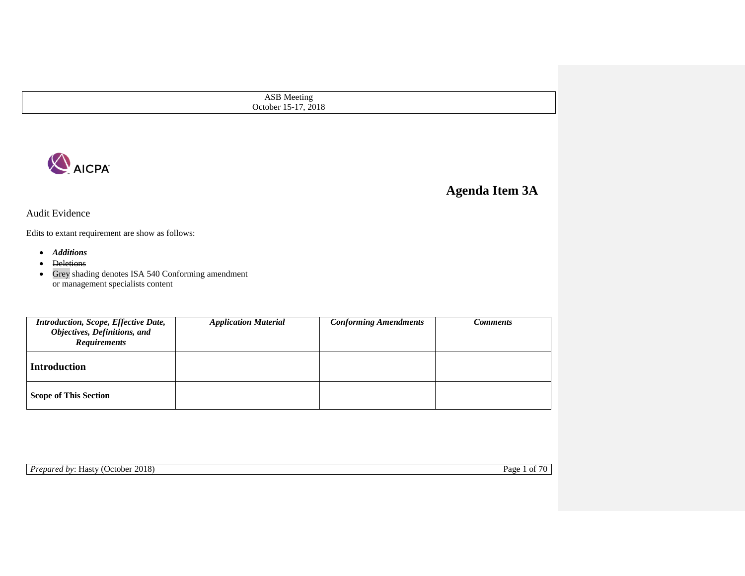ASB Meeting October 15-17, 2018



# **Agenda Item 3A**

Audit Evidence

Edits to extant requirement are show as follows:

- *Additions*
- Deletions
- Grey shading denotes ISA 540 Conforming amendment or management specialists content

| Introduction, Scope, Effective Date,<br>Objectives, Definitions, and<br><b>Requirements</b> | <b>Application Material</b> | <b>Conforming Amendments</b> | Comments |
|---------------------------------------------------------------------------------------------|-----------------------------|------------------------------|----------|
| <b>Introduction</b>                                                                         |                             |                              |          |
| <b>Scope of This Section</b>                                                                |                             |                              |          |

**Prepared by: Hasty (October 2018)** Page 1 of 70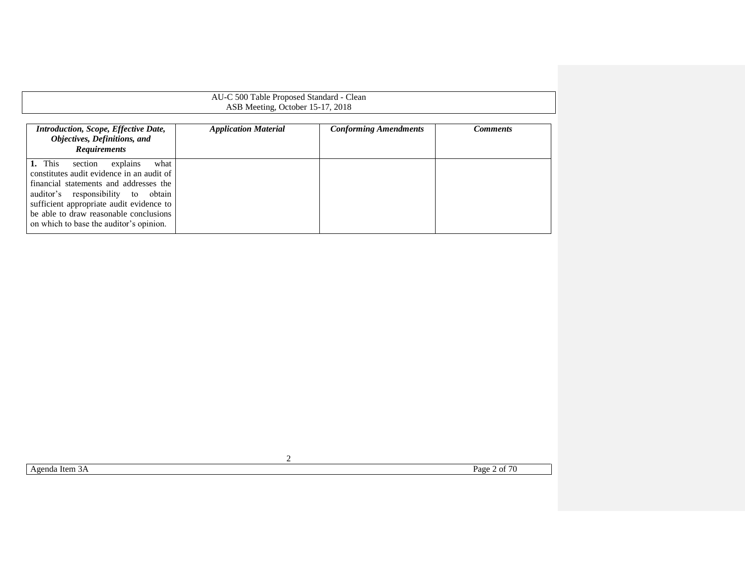### AU-C 500 Table Proposed Standard - Clean ASB Meeting, October 15-17, 2018

| <b>Introduction, Scope, Effective Date,</b><br>Objectives, Definitions, and<br><b>Requirements</b>                                                                                                                                                                                                   | <b>Application Material</b> | <b>Conforming Amendments</b> | Comments |
|------------------------------------------------------------------------------------------------------------------------------------------------------------------------------------------------------------------------------------------------------------------------------------------------------|-----------------------------|------------------------------|----------|
| 1. This<br>what<br>explains<br>section<br>constitutes audit evidence in an audit of<br>financial statements and addresses the<br>auditor's responsibility to obtain<br>sufficient appropriate audit evidence to<br>be able to draw reasonable conclusions<br>on which to base the auditor's opinion. |                             |                              |          |

Agenda Item 3A Page 2 of 70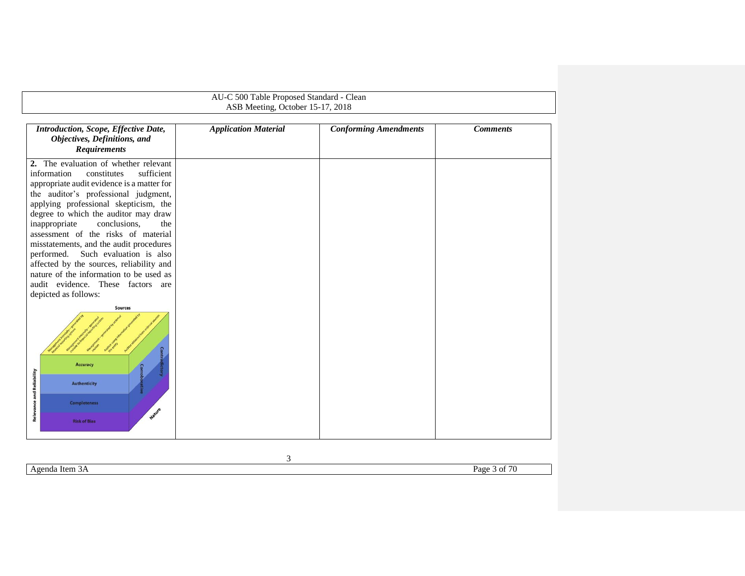<span id="page-2-0"></span>

| AU-C 500 Table Proposed Standard - Clean<br>ASB Meeting, October 15-17, 2018                                                                                                                                                                                                                                                                                                                                                                                                                                                                                                 |                             |                              |                 |  |  |
|------------------------------------------------------------------------------------------------------------------------------------------------------------------------------------------------------------------------------------------------------------------------------------------------------------------------------------------------------------------------------------------------------------------------------------------------------------------------------------------------------------------------------------------------------------------------------|-----------------------------|------------------------------|-----------------|--|--|
|                                                                                                                                                                                                                                                                                                                                                                                                                                                                                                                                                                              |                             |                              |                 |  |  |
| Introduction, Scope, Effective Date,<br>Objectives, Definitions, and<br><b>Requirements</b>                                                                                                                                                                                                                                                                                                                                                                                                                                                                                  | <b>Application Material</b> | <b>Conforming Amendments</b> | <b>Comments</b> |  |  |
| 2. The evaluation of whether relevant<br>information<br>constitutes<br>sufficient<br>appropriate audit evidence is a matter for<br>the auditor's professional judgment,<br>applying professional skepticism, the<br>degree to which the auditor may draw<br>conclusions,<br>inappropriate<br>the<br>assessment of the risks of material<br>misstatements, and the audit procedures<br>performed. Such evaluation is also<br>affected by the sources, reliability and<br>nature of the information to be used as<br>audit evidence. These factors are<br>depicted as follows: |                             |                              |                 |  |  |
| <b>Sources</b><br><b>Accuracy</b><br><b>Relevance and Reliability</b><br><b>Authenticity</b><br><b>Completeness</b><br>Nature<br><b>Risk of Bias</b>                                                                                                                                                                                                                                                                                                                                                                                                                         |                             |                              |                 |  |  |

Agenda Item 3A Page 3 of 70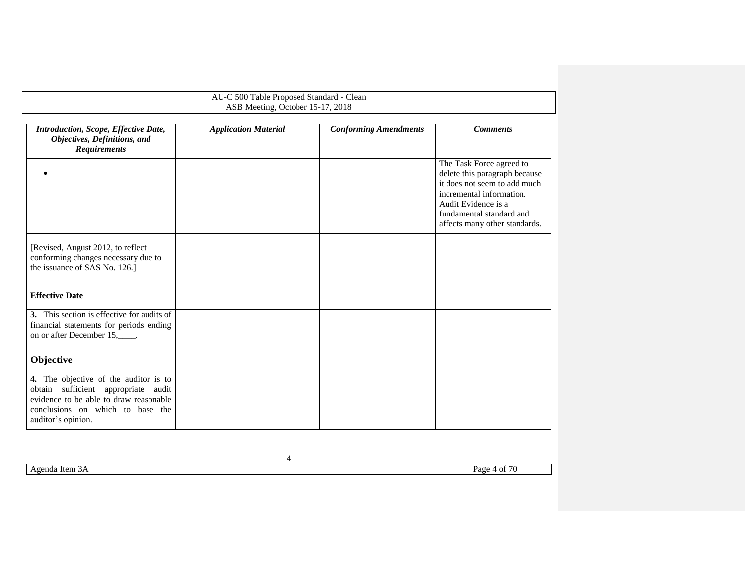## AU-C 500 Table Proposed Standard - Clean ASB Meeting, October 15-17, 2018 *Introduction, Scope, Effective Date, Objectives, Definitions, and Requirements Application Material Conforming Amendments Comments*  $\bullet$ The Task Force agreed to delete this paragraph because it does not seem to add much incremental information. Audit Evidence is a fundamental standard and affects many other standards. [Revised, August 2012, to reflect conforming changes necessary due to the issuance of SAS No. 126.] **Effective Date 3.** This section is effective for audits of financial statements for periods ending on or after December 15,\_\_\_\_\_. **Objective 4.** The objective of the auditor is to obtain sufficient appropriate audit evidence to be able to draw reasonable conclusions on which to base the auditor's opinion.

Agenda Item 3A Page 4 of 70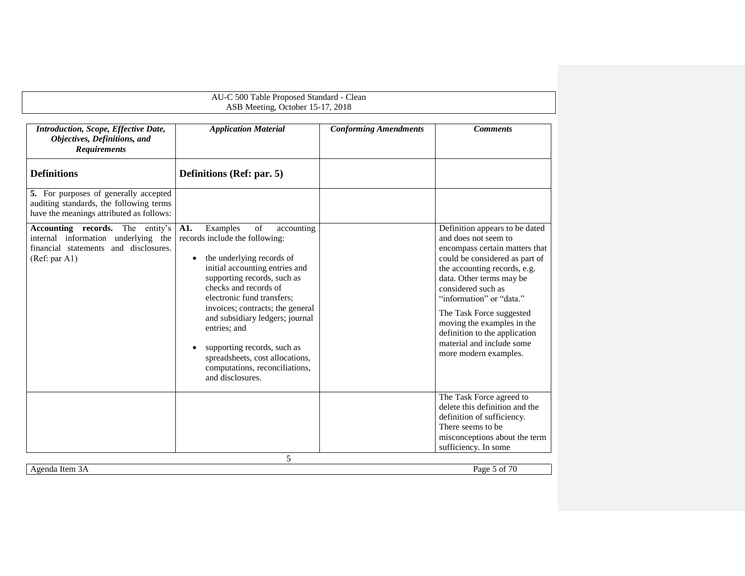<span id="page-4-1"></span><span id="page-4-0"></span>

|                                                                                                                                      | AU-C 500 Table Proposed Standard - Clean<br>ASB Meeting, October 15-17, 2018                                                                                                                                                                                                                                                                                                                                                                           |                              |                                                                                                                                                                                                                                                                                                                                                                                           |
|--------------------------------------------------------------------------------------------------------------------------------------|--------------------------------------------------------------------------------------------------------------------------------------------------------------------------------------------------------------------------------------------------------------------------------------------------------------------------------------------------------------------------------------------------------------------------------------------------------|------------------------------|-------------------------------------------------------------------------------------------------------------------------------------------------------------------------------------------------------------------------------------------------------------------------------------------------------------------------------------------------------------------------------------------|
| Introduction, Scope, Effective Date,<br>Objectives, Definitions, and<br><b>Requirements</b>                                          | <b>Application Material</b>                                                                                                                                                                                                                                                                                                                                                                                                                            | <b>Conforming Amendments</b> | <b>Comments</b>                                                                                                                                                                                                                                                                                                                                                                           |
| <b>Definitions</b>                                                                                                                   | Definitions (Ref: par. 5)                                                                                                                                                                                                                                                                                                                                                                                                                              |                              |                                                                                                                                                                                                                                                                                                                                                                                           |
| 5. For purposes of generally accepted<br>auditing standards, the following terms<br>have the meanings attributed as follows:         |                                                                                                                                                                                                                                                                                                                                                                                                                                                        |                              |                                                                                                                                                                                                                                                                                                                                                                                           |
| Accounting records.<br>The entity's<br>internal information underlying the<br>financial statements and disclosures.<br>(Ref: par A1) | A1.<br>of<br>Examples<br>accounting<br>records include the following:<br>the underlying records of<br>$\bullet$<br>initial accounting entries and<br>supporting records, such as<br>checks and records of<br>electronic fund transfers:<br>invoices; contracts; the general<br>and subsidiary ledgers; journal<br>entries; and<br>supporting records, such as<br>spreadsheets, cost allocations,<br>computations, reconciliations,<br>and disclosures. |                              | Definition appears to be dated<br>and does not seem to<br>encompass certain matters that<br>could be considered as part of<br>the accounting records, e.g.<br>data. Other terms may be<br>considered such as<br>"information" or "data."<br>The Task Force suggested<br>moving the examples in the<br>definition to the application<br>material and include some<br>more modern examples. |
|                                                                                                                                      |                                                                                                                                                                                                                                                                                                                                                                                                                                                        |                              | The Task Force agreed to<br>delete this definition and the<br>definition of sufficiency.<br>There seems to be.<br>misconceptions about the term<br>sufficiency. In some                                                                                                                                                                                                                   |
|                                                                                                                                      | 5                                                                                                                                                                                                                                                                                                                                                                                                                                                      |                              |                                                                                                                                                                                                                                                                                                                                                                                           |
| Agenda Item 3A                                                                                                                       |                                                                                                                                                                                                                                                                                                                                                                                                                                                        |                              | Page 5 of 70                                                                                                                                                                                                                                                                                                                                                                              |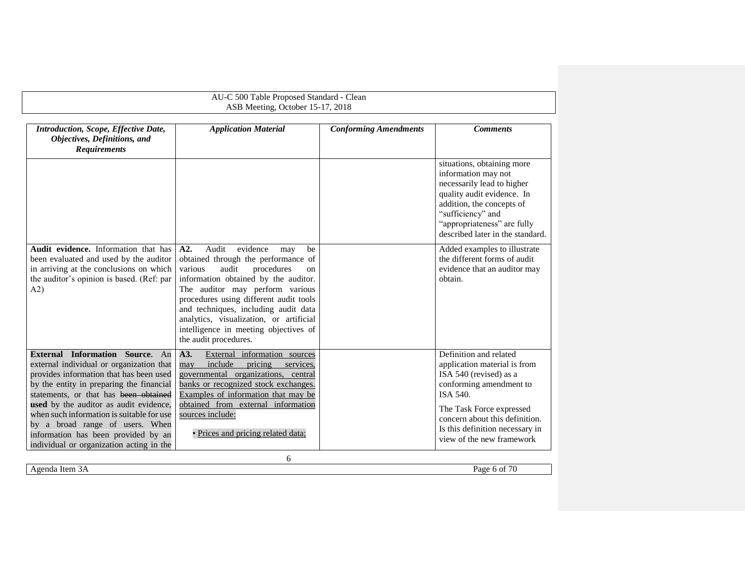#### <span id="page-5-0"></span>AU-C 500 Table Proposed Standard - Clean ASB Meeting, October 15-17, 2018 6 *Introduction, Scope, Effective Date, Objectives, Definitions, and Requirements Application Material Conforming Amendments Comments* situations, obtaining more information may not necessarily lead to higher quality audit evidence. In addition, the concepts of "sufficiency" and "appropriateness" are fully described later in the standard. **Audit evidence.** Information that has been evaluated and used by the auditor in arriving at the conclusions on which the auditor's opinion is based. (Ref: par [A2\)](#page-5-0) **A2.** Audit evidence may be obtained through the performance of various audit procedures on information obtained by the auditor. The auditor may perform various procedures using different audit tools and techniques, including audit data analytics, visualization, or artificial intelligence in meeting objectives of the audit procedures. Added examples to illustrate the different forms of audit evidence that an auditor may obtain. **External Information Source.** An external individual or organization that provides information that has been used by the entity in preparing the financial statements, or that has been obtained **used** by the auditor as audit evidence, when such information is suitable for use by a broad range of users. When information has been provided by an individual or organization acting in the **A3.** External information sources may include pricing services, governmental organizations, central banks or recognized stock exchanges. Examples of information that may be obtained from external information sources include: • Prices and pricing related data; Definition and related application material is from ISA 540 (revised) as a conforming amendment to ISA 540. The Task Force expressed concern about this definition. Is this definition necessary in view of the new framework

<span id="page-5-1"></span>Agenda Item 3A Page 6 of 70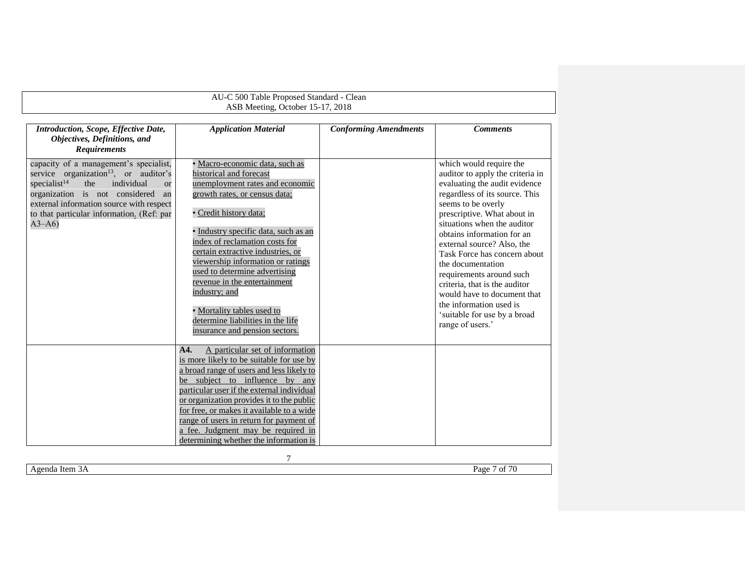| AU-C 500 Table Proposed Standard - Clean                                                                                                                                                                                                                                                                |                                                                                                                                                                                                                                                                                                                                                                                                                                                                                                |                              |                                                                                                                                                                                                                                                                                                                                                                                                                                                                                                                |  |
|---------------------------------------------------------------------------------------------------------------------------------------------------------------------------------------------------------------------------------------------------------------------------------------------------------|------------------------------------------------------------------------------------------------------------------------------------------------------------------------------------------------------------------------------------------------------------------------------------------------------------------------------------------------------------------------------------------------------------------------------------------------------------------------------------------------|------------------------------|----------------------------------------------------------------------------------------------------------------------------------------------------------------------------------------------------------------------------------------------------------------------------------------------------------------------------------------------------------------------------------------------------------------------------------------------------------------------------------------------------------------|--|
| ASB Meeting, October 15-17, 2018                                                                                                                                                                                                                                                                        |                                                                                                                                                                                                                                                                                                                                                                                                                                                                                                |                              |                                                                                                                                                                                                                                                                                                                                                                                                                                                                                                                |  |
| Introduction, Scope, Effective Date,<br>Objectives, Definitions, and<br><b>Requirements</b>                                                                                                                                                                                                             | <b>Application Material</b>                                                                                                                                                                                                                                                                                                                                                                                                                                                                    | <b>Conforming Amendments</b> | <b>Comments</b>                                                                                                                                                                                                                                                                                                                                                                                                                                                                                                |  |
| capacity of a management's specialist,<br>service organization <sup>13</sup> , or auditor's<br>specialist <sup>14</sup><br>the<br>individual<br><b>or</b><br>organization is not considered<br>an<br>external information source with respect<br>to that particular information. (Ref: par<br>$A3 - A6$ | Macro-economic data, such as<br>historical and forecast<br>unemployment rates and economic<br>growth rates, or census data;<br>· Credit history data;<br>Industry specific data, such as an<br>index of reclamation costs for<br>certain extractive industries, or<br>viewership information or ratings<br>used to determine advertising<br>revenue in the entertainment<br>industry; and<br>· Mortality tables used to<br>determine liabilities in the life<br>insurance and pension sectors. |                              | which would require the<br>auditor to apply the criteria in<br>evaluating the audit evidence<br>regardless of its source. This<br>seems to be overly<br>prescriptive. What about in<br>situations when the auditor<br>obtains information for an<br>external source? Also, the<br>Task Force has concern about<br>the documentation<br>requirements around such<br>criteria, that is the auditor<br>would have to document that<br>the information used is<br>'suitable for use by a broad<br>range of users.' |  |
|                                                                                                                                                                                                                                                                                                         | A particular set of information<br>A <sub>4</sub><br>is more likely to be suitable for use by<br>a broad range of users and less likely to<br>be subject to influence by any<br>particular user if the external individual<br>or organization provides it to the public<br>for free, or makes it available to a wide<br>range of users in return for payment of<br>a fee. Judgment may be required in<br>determining whether the information is                                                |                              |                                                                                                                                                                                                                                                                                                                                                                                                                                                                                                                |  |

Agenda Item 3A Page 7 of 70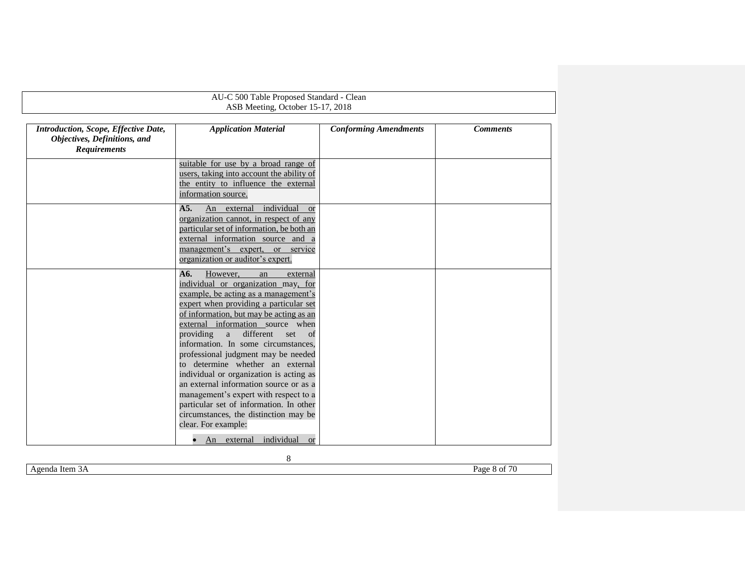|                                                                                             | AU-C 500 Table Proposed Standard - Clean                                                                                                                                                                                                                                                                                                                                                                                                                                                                                                                                                                                                         |                              |                 |  |  |
|---------------------------------------------------------------------------------------------|--------------------------------------------------------------------------------------------------------------------------------------------------------------------------------------------------------------------------------------------------------------------------------------------------------------------------------------------------------------------------------------------------------------------------------------------------------------------------------------------------------------------------------------------------------------------------------------------------------------------------------------------------|------------------------------|-----------------|--|--|
|                                                                                             | ASB Meeting, October 15-17, 2018                                                                                                                                                                                                                                                                                                                                                                                                                                                                                                                                                                                                                 |                              |                 |  |  |
| Introduction, Scope, Effective Date,<br>Objectives, Definitions, and<br><b>Requirements</b> | <b>Application Material</b>                                                                                                                                                                                                                                                                                                                                                                                                                                                                                                                                                                                                                      | <b>Conforming Amendments</b> | <b>Comments</b> |  |  |
|                                                                                             | suitable for use by a broad range of<br>users, taking into account the ability of<br>the entity to influence the external<br>information source.                                                                                                                                                                                                                                                                                                                                                                                                                                                                                                 |                              |                 |  |  |
|                                                                                             | A <sub>5</sub><br>individual<br>An<br>external<br><sub>or</sub><br>organization cannot, in respect of any<br>particular set of information, be both an<br>external information source and a<br>management's expert, or service<br>organization or auditor's expert.                                                                                                                                                                                                                                                                                                                                                                              |                              |                 |  |  |
|                                                                                             | A6.<br>However,<br>external<br>an<br>individual or organization may, for<br>example, be acting as a management's<br>expert when providing a particular set<br>of information, but may be acting as an<br>external information source when<br>different<br>providing<br>a<br>set<br>of<br>information. In some circumstances,<br>professional judgment may be needed<br>to determine whether an external<br>individual or organization is acting as<br>an external information source or as a<br>management's expert with respect to a<br>particular set of information. In other<br>circumstances, the distinction may be<br>clear. For example: |                              |                 |  |  |
|                                                                                             | individual<br>An external<br><b>or</b>                                                                                                                                                                                                                                                                                                                                                                                                                                                                                                                                                                                                           |                              |                 |  |  |

Agenda Item 3A Page 8 of 70

<span id="page-7-0"></span>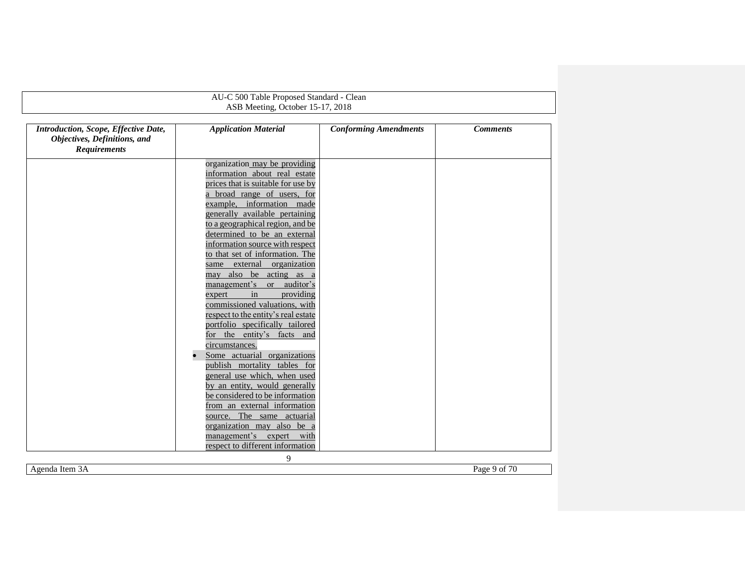|                                      | AU-C 500 Table Proposed Standard - Clean                       |                              |                 |
|--------------------------------------|----------------------------------------------------------------|------------------------------|-----------------|
|                                      | ASB Meeting, October 15-17, 2018                               |                              |                 |
|                                      |                                                                |                              |                 |
| Introduction, Scope, Effective Date, | <b>Application Material</b>                                    | <b>Conforming Amendments</b> | <b>Comments</b> |
| Objectives, Definitions, and         |                                                                |                              |                 |
| <b>Requirements</b>                  |                                                                |                              |                 |
|                                      |                                                                |                              |                 |
|                                      | organization may be providing<br>information about real estate |                              |                 |
|                                      | prices that is suitable for use by                             |                              |                 |
|                                      | a broad range of users, for                                    |                              |                 |
|                                      | example, information made                                      |                              |                 |
|                                      | generally available pertaining                                 |                              |                 |
|                                      | to a geographical region, and be                               |                              |                 |
|                                      | determined to be an external                                   |                              |                 |
|                                      | information source with respect                                |                              |                 |
|                                      | to that set of information. The                                |                              |                 |
|                                      | same external organization                                     |                              |                 |
|                                      | may also be acting as a                                        |                              |                 |
|                                      | management's or auditor's                                      |                              |                 |
|                                      | in<br>providing<br>expert                                      |                              |                 |
|                                      | commissioned valuations, with                                  |                              |                 |
|                                      | respect to the entity's real estate                            |                              |                 |
|                                      | portfolio specifically tailored                                |                              |                 |
|                                      | for the entity's facts and                                     |                              |                 |
|                                      | circumstances.                                                 |                              |                 |
|                                      | Some actuarial organizations                                   |                              |                 |
|                                      | publish mortality tables for                                   |                              |                 |
|                                      | general use which, when used                                   |                              |                 |
|                                      | by an entity, would generally                                  |                              |                 |
|                                      | be considered to be information                                |                              |                 |
|                                      | from an external information                                   |                              |                 |
|                                      | source. The same actuarial                                     |                              |                 |
|                                      | organization may also be a                                     |                              |                 |
|                                      | management's expert with                                       |                              |                 |
|                                      | respect to different information<br>9                          |                              |                 |

Agenda Item 3A Page 9 of 70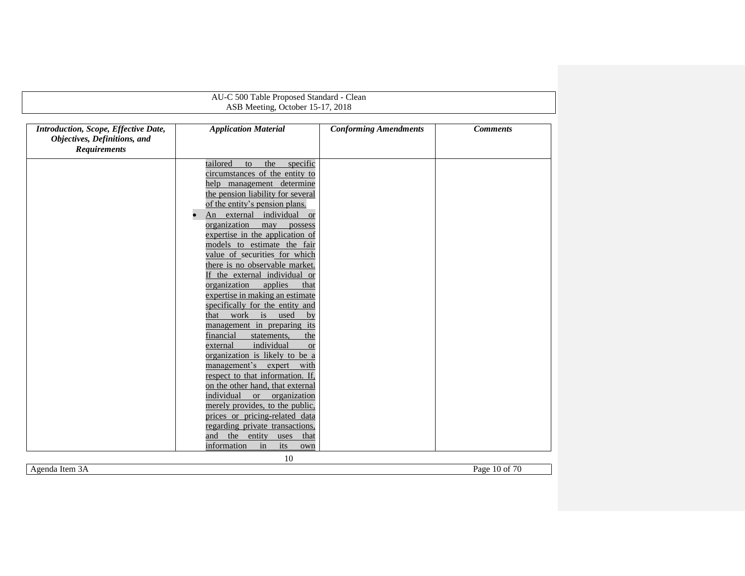|                                      | AU-C 500 Table Proposed Standard - Clean                  |                              |                 |
|--------------------------------------|-----------------------------------------------------------|------------------------------|-----------------|
|                                      | ASB Meeting, October 15-17, 2018                          |                              |                 |
|                                      |                                                           |                              |                 |
| Introduction, Scope, Effective Date, | <b>Application Material</b>                               | <b>Conforming Amendments</b> | <b>Comments</b> |
| Objectives, Definitions, and         |                                                           |                              |                 |
| <b>Requirements</b>                  |                                                           |                              |                 |
|                                      | tailored<br>the<br>specific<br>to                         |                              |                 |
|                                      | circumstances of the entity to                            |                              |                 |
|                                      | help management determine                                 |                              |                 |
|                                      | the pension liability for several                         |                              |                 |
|                                      | of the entity's pension plans.                            |                              |                 |
|                                      | An external individual or                                 |                              |                 |
|                                      | organization<br>may<br>possess                            |                              |                 |
|                                      | expertise in the application of                           |                              |                 |
|                                      | models to estimate the fair                               |                              |                 |
|                                      | value of securities for which                             |                              |                 |
|                                      | there is no observable market.                            |                              |                 |
|                                      | If the external individual or                             |                              |                 |
|                                      | organization<br>applies<br>that                           |                              |                 |
|                                      | expertise in making an estimate                           |                              |                 |
|                                      | specifically for the entity and                           |                              |                 |
|                                      | that work is used<br>by                                   |                              |                 |
|                                      | management in preparing its                               |                              |                 |
|                                      | financial<br>statements,<br>the<br>individual<br>external |                              |                 |
|                                      | <b>or</b><br>organization is likely to be a               |                              |                 |
|                                      | management's expert with                                  |                              |                 |
|                                      | respect to that information. If,                          |                              |                 |
|                                      | on the other hand, that external                          |                              |                 |
|                                      | individual<br>organization<br>$\alpha$                    |                              |                 |
|                                      | merely provides, to the public,                           |                              |                 |
|                                      | prices or pricing-related data                            |                              |                 |
|                                      | regarding private transactions,                           |                              |                 |
|                                      | and the<br>entity<br>uses<br>that                         |                              |                 |
|                                      | information<br>in<br>its<br>own                           |                              |                 |
|                                      | 10                                                        |                              |                 |

Agenda Item 3A Page 10 of 70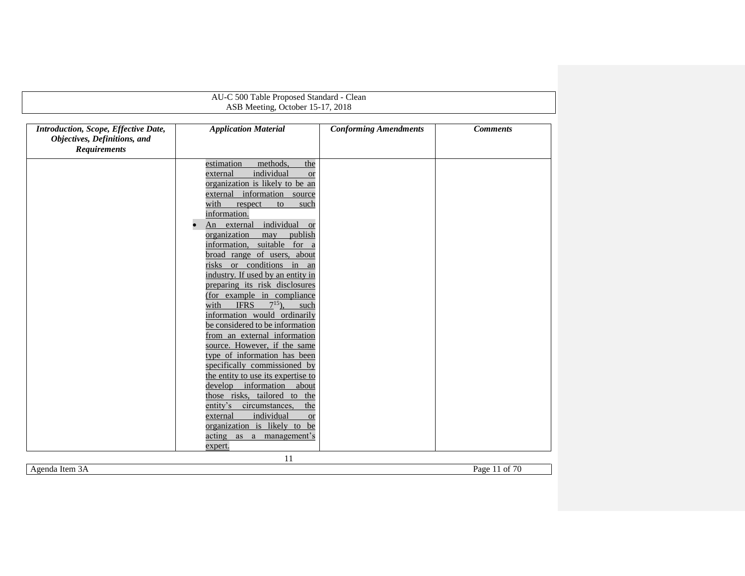| AU-C 500 Table Proposed Standard - Clean                                                    |                                                                                                                                                                                                                                                                                                                                                                                                                                                                                                                                                                                                                                                                                                                                                                                                                                                                                                                                                                                  |                              |                 |  |
|---------------------------------------------------------------------------------------------|----------------------------------------------------------------------------------------------------------------------------------------------------------------------------------------------------------------------------------------------------------------------------------------------------------------------------------------------------------------------------------------------------------------------------------------------------------------------------------------------------------------------------------------------------------------------------------------------------------------------------------------------------------------------------------------------------------------------------------------------------------------------------------------------------------------------------------------------------------------------------------------------------------------------------------------------------------------------------------|------------------------------|-----------------|--|
|                                                                                             | ASB Meeting, October 15-17, 2018                                                                                                                                                                                                                                                                                                                                                                                                                                                                                                                                                                                                                                                                                                                                                                                                                                                                                                                                                 |                              |                 |  |
|                                                                                             |                                                                                                                                                                                                                                                                                                                                                                                                                                                                                                                                                                                                                                                                                                                                                                                                                                                                                                                                                                                  |                              |                 |  |
| Introduction, Scope, Effective Date,<br>Objectives, Definitions, and<br><b>Requirements</b> | <b>Application Material</b>                                                                                                                                                                                                                                                                                                                                                                                                                                                                                                                                                                                                                                                                                                                                                                                                                                                                                                                                                      | <b>Conforming Amendments</b> | <b>Comments</b> |  |
|                                                                                             | estimation<br>methods,<br>the<br>individual<br>external<br><b>or</b><br>organization is likely to be an<br>external information source<br>with<br>respect<br>to<br>such<br>information.<br>An external individual<br><b>or</b><br>organization<br>publish<br>may<br>information, suitable for a<br>broad range of users, about<br>risks or conditions in an<br>industry. If used by an entity in<br>preparing its risk disclosures<br>(for example in compliance<br>$7^{15}$ ).<br><b>IFRS</b><br>with<br>such<br>information would ordinarily<br>be considered to be information<br>from an external information<br>source. However, if the same<br>type of information has been<br>specifically commissioned by<br>the entity to use its expertise to<br>develop<br>information<br>about<br>those risks, tailored to the<br>entity's<br>circumstances,<br>the<br>individual<br>external<br><b>or</b><br>organization is likely to be<br>acting<br>as a management's<br>expert. |                              |                 |  |

Agenda Item 3A Page 11 of 70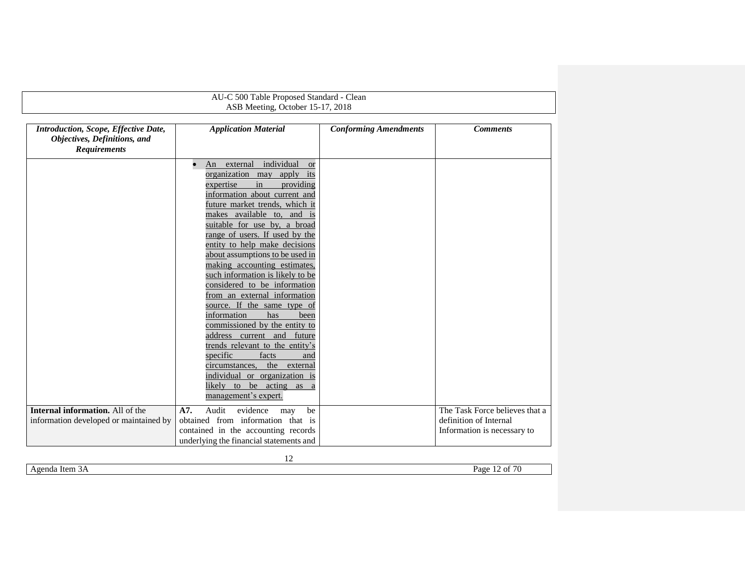|                                                                                             | AU-C 500 Table Proposed Standard - Clean                                                                                                                                                                                                                                                                                                                                                                                                                                                                                                                                                                                                                                                                                                       |                              |                                                                                         |
|---------------------------------------------------------------------------------------------|------------------------------------------------------------------------------------------------------------------------------------------------------------------------------------------------------------------------------------------------------------------------------------------------------------------------------------------------------------------------------------------------------------------------------------------------------------------------------------------------------------------------------------------------------------------------------------------------------------------------------------------------------------------------------------------------------------------------------------------------|------------------------------|-----------------------------------------------------------------------------------------|
|                                                                                             | ASB Meeting, October 15-17, 2018                                                                                                                                                                                                                                                                                                                                                                                                                                                                                                                                                                                                                                                                                                               |                              |                                                                                         |
| Introduction, Scope, Effective Date,<br>Objectives, Definitions, and<br><b>Requirements</b> | <b>Application Material</b>                                                                                                                                                                                                                                                                                                                                                                                                                                                                                                                                                                                                                                                                                                                    | <b>Conforming Amendments</b> | <b>Comments</b>                                                                         |
|                                                                                             | An external individual<br><sub>or</sub><br>organization may apply its<br>in<br>expertise<br>providing<br>information about current and<br>future market trends, which it<br>makes available to, and is<br>suitable for use by, a broad<br>range of users. If used by the<br>entity to help make decisions<br>about assumptions to be used in<br>making accounting estimates,<br>such information is likely to be<br>considered to be information<br>from an external information<br>source. If the same type of<br>information<br>has<br>been<br>commissioned by the entity to<br>address current and future<br>trends relevant to the entity's<br>specific<br>facts<br>and<br>circumstances,<br>the external<br>individual or organization is |                              |                                                                                         |
|                                                                                             | likely to be acting as a<br>management's expert.                                                                                                                                                                                                                                                                                                                                                                                                                                                                                                                                                                                                                                                                                               |                              |                                                                                         |
| Internal information. All of the<br>information developed or maintained by                  | Audit<br>A7.<br>evidence<br>be<br>may<br>obtained from information that is<br>contained in the accounting records<br>underlying the financial statements and                                                                                                                                                                                                                                                                                                                                                                                                                                                                                                                                                                                   |                              | The Task Force believes that a<br>definition of Internal<br>Information is necessary to |
|                                                                                             | 12                                                                                                                                                                                                                                                                                                                                                                                                                                                                                                                                                                                                                                                                                                                                             |                              |                                                                                         |

<span id="page-11-0"></span>Agenda Item 3A Page 12 of 70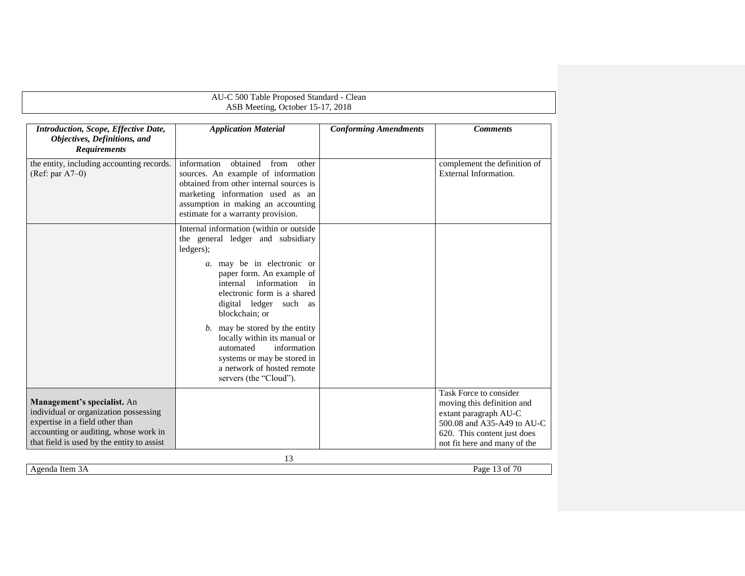<span id="page-12-0"></span>

|                                                                                                                                                                                                | AU-C 500 Table Proposed Standard - Clean<br>ASB Meeting, October 15-17, 2018                                                                                                                                                                                                                                                                                                                                                                       |                              |                                                                                                                                                                            |
|------------------------------------------------------------------------------------------------------------------------------------------------------------------------------------------------|----------------------------------------------------------------------------------------------------------------------------------------------------------------------------------------------------------------------------------------------------------------------------------------------------------------------------------------------------------------------------------------------------------------------------------------------------|------------------------------|----------------------------------------------------------------------------------------------------------------------------------------------------------------------------|
| Introduction, Scope, Effective Date,<br>Objectives, Definitions, and<br><b>Requirements</b>                                                                                                    | <b>Application Material</b>                                                                                                                                                                                                                                                                                                                                                                                                                        | <b>Conforming Amendments</b> | <b>Comments</b>                                                                                                                                                            |
| the entity, including accounting records.<br>$(Ref: par A7-0)$                                                                                                                                 | information<br>obtained<br>from<br>other<br>sources. An example of information<br>obtained from other internal sources is<br>marketing information used as an<br>assumption in making an accounting<br>estimate for a warranty provision.                                                                                                                                                                                                          |                              | complement the definition of<br>External Information.                                                                                                                      |
|                                                                                                                                                                                                | Internal information (within or outside<br>the general ledger and subsidiary<br>ledgers);<br>a. may be in electronic or<br>paper form. An example of<br>internal information in<br>electronic form is a shared<br>digital ledger such as<br>blockchain; or<br>$b$ . may be stored by the entity<br>locally within its manual or<br>information<br>automated<br>systems or may be stored in<br>a network of hosted remote<br>servers (the "Cloud"). |                              |                                                                                                                                                                            |
| Management's specialist. An<br>individual or organization possessing<br>expertise in a field other than<br>accounting or auditing, whose work in<br>that field is used by the entity to assist |                                                                                                                                                                                                                                                                                                                                                                                                                                                    |                              | Task Force to consider<br>moving this definition and<br>extant paragraph AU-C<br>500.08 and A35-A49 to AU-C<br>620. This content just does<br>not fit here and many of the |
| Agenda Item 3A                                                                                                                                                                                 | 13                                                                                                                                                                                                                                                                                                                                                                                                                                                 |                              | Page 13 of 70                                                                                                                                                              |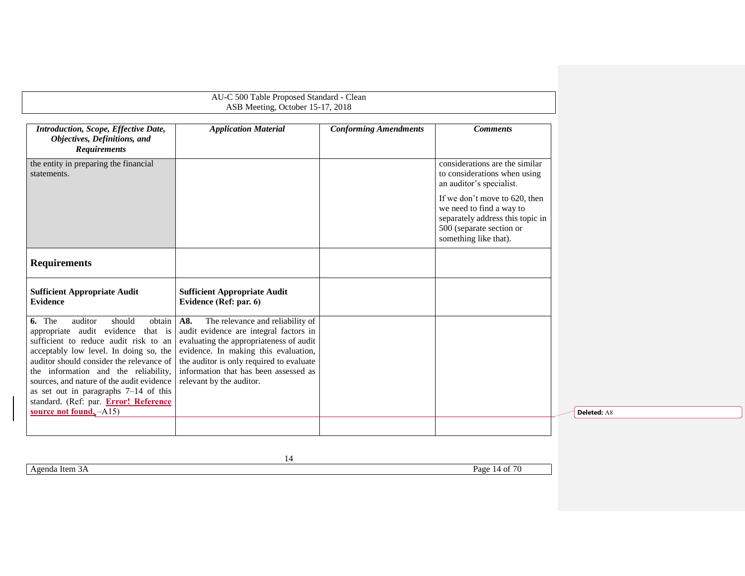| AU-C 500 Table Proposed Standard - Clean<br>ASB Meeting, October 15-17, 2018                                                                                                                                                                                                                                                                                                                                      |                                                                                                                                                                                                                                                                                       |                              |                                                                                                                                                                                                                                                  |  |
|-------------------------------------------------------------------------------------------------------------------------------------------------------------------------------------------------------------------------------------------------------------------------------------------------------------------------------------------------------------------------------------------------------------------|---------------------------------------------------------------------------------------------------------------------------------------------------------------------------------------------------------------------------------------------------------------------------------------|------------------------------|--------------------------------------------------------------------------------------------------------------------------------------------------------------------------------------------------------------------------------------------------|--|
| Introduction, Scope, Effective Date,<br>Objectives, Definitions, and<br><b>Requirements</b>                                                                                                                                                                                                                                                                                                                       | <b>Application Material</b>                                                                                                                                                                                                                                                           | <b>Conforming Amendments</b> | <b>Comments</b>                                                                                                                                                                                                                                  |  |
| the entity in preparing the financial<br>statements.                                                                                                                                                                                                                                                                                                                                                              |                                                                                                                                                                                                                                                                                       |                              | considerations are the similar<br>to considerations when using<br>an auditor's specialist.<br>If we don't move to 620, then<br>we need to find a way to<br>separately address this topic in<br>500 (separate section or<br>something like that). |  |
| <b>Requirements</b>                                                                                                                                                                                                                                                                                                                                                                                               |                                                                                                                                                                                                                                                                                       |                              |                                                                                                                                                                                                                                                  |  |
| <b>Sufficient Appropriate Audit</b><br><b>Evidence</b>                                                                                                                                                                                                                                                                                                                                                            | <b>Sufficient Appropriate Audit</b><br>Evidence (Ref: par. 6)                                                                                                                                                                                                                         |                              |                                                                                                                                                                                                                                                  |  |
| 6. The<br>auditor<br>should<br>obtain<br>appropriate audit evidence<br>that is<br>sufficient to reduce audit risk to an<br>acceptably low level. In doing so, the<br>auditor should consider the relevance of<br>the information and the reliability,<br>sources, and nature of the audit evidence<br>as set out in paragraphs $7-14$ of this<br>standard. (Ref: par. Error! Reference<br>source not found, -A15) | A8.<br>The relevance and reliability of<br>audit evidence are integral factors in<br>evaluating the appropriateness of audit<br>evidence. In making this evaluation,<br>the auditor is only required to evaluate<br>information that has been assessed as<br>relevant by the auditor. |                              |                                                                                                                                                                                                                                                  |  |
|                                                                                                                                                                                                                                                                                                                                                                                                                   |                                                                                                                                                                                                                                                                                       |                              |                                                                                                                                                                                                                                                  |  |

<span id="page-13-0"></span>Agenda Item 3A Page 14 of 70

14

**Deleted:** A8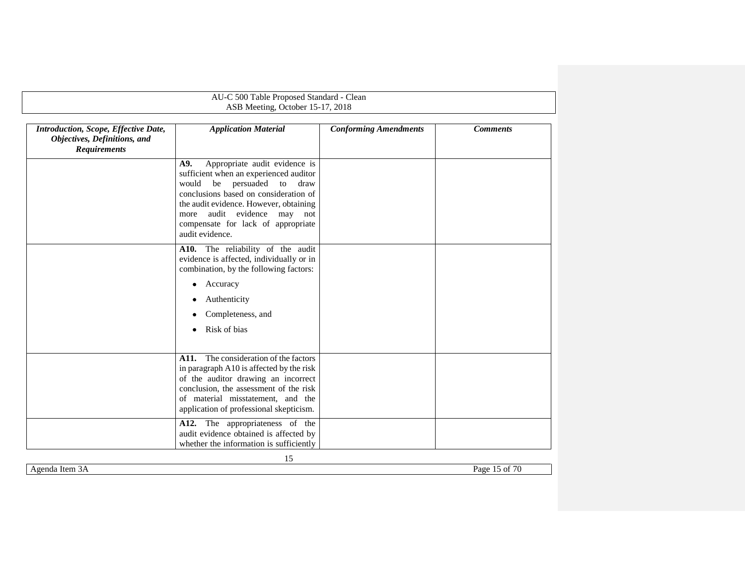<span id="page-14-0"></span>

|                                                                                             | AU-C 500 Table Proposed Standard - Clean<br>ASB Meeting, October 15-17, 2018                                                                                                                                                                                                                           |                              |                 |
|---------------------------------------------------------------------------------------------|--------------------------------------------------------------------------------------------------------------------------------------------------------------------------------------------------------------------------------------------------------------------------------------------------------|------------------------------|-----------------|
| Introduction, Scope, Effective Date,<br>Objectives, Definitions, and<br><b>Requirements</b> | <b>Application Material</b>                                                                                                                                                                                                                                                                            | <b>Conforming Amendments</b> | <b>Comments</b> |
|                                                                                             | Appropriate audit evidence is<br>A9.<br>sufficient when an experienced auditor<br>would<br>be<br>persuaded<br>to<br>draw<br>conclusions based on consideration of<br>the audit evidence. However, obtaining<br>audit evidence may not<br>more<br>compensate for lack of appropriate<br>audit evidence. |                              |                 |
|                                                                                             | A10. The reliability of the audit<br>evidence is affected, individually or in<br>combination, by the following factors:                                                                                                                                                                                |                              |                 |
|                                                                                             | Accuracy<br>٠<br>Authenticity<br>Completeness, and<br>Risk of bias                                                                                                                                                                                                                                     |                              |                 |
|                                                                                             | The consideration of the factors<br>A11.<br>in paragraph A10 is affected by the risk<br>of the auditor drawing an incorrect<br>conclusion, the assessment of the risk<br>of material misstatement, and the<br>application of professional skepticism.                                                  |                              |                 |
|                                                                                             | A12. The appropriateness of the<br>audit evidence obtained is affected by<br>whether the information is sufficiently                                                                                                                                                                                   |                              |                 |

Agenda Item 3A Page 15 of 70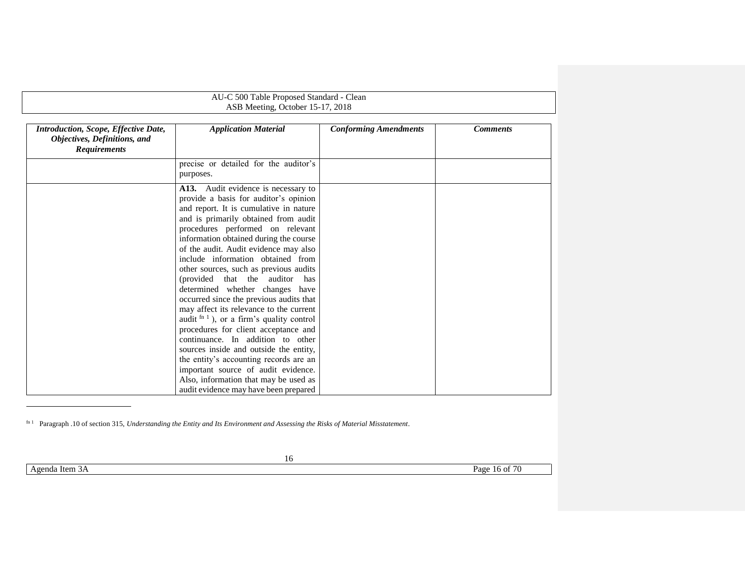| AU-C 500 Table Proposed Standard - Clean<br>ASB Meeting, October 15-17, 2018                |                                                                                                                                                                                                                                                                                                                                                                                                                                                                                                                                                                                                                                                                                                                                                                                                                                                                              |                              |                 |  |
|---------------------------------------------------------------------------------------------|------------------------------------------------------------------------------------------------------------------------------------------------------------------------------------------------------------------------------------------------------------------------------------------------------------------------------------------------------------------------------------------------------------------------------------------------------------------------------------------------------------------------------------------------------------------------------------------------------------------------------------------------------------------------------------------------------------------------------------------------------------------------------------------------------------------------------------------------------------------------------|------------------------------|-----------------|--|
| Introduction, Scope, Effective Date,<br>Objectives, Definitions, and<br><b>Requirements</b> | <b>Application Material</b>                                                                                                                                                                                                                                                                                                                                                                                                                                                                                                                                                                                                                                                                                                                                                                                                                                                  | <b>Conforming Amendments</b> | <b>Comments</b> |  |
|                                                                                             | precise or detailed for the auditor's<br>purposes.                                                                                                                                                                                                                                                                                                                                                                                                                                                                                                                                                                                                                                                                                                                                                                                                                           |                              |                 |  |
|                                                                                             | A13. Audit evidence is necessary to<br>provide a basis for auditor's opinion<br>and report. It is cumulative in nature<br>and is primarily obtained from audit<br>procedures performed on relevant<br>information obtained during the course<br>of the audit. Audit evidence may also<br>include information obtained from<br>other sources, such as previous audits<br>(provided that the auditor<br>has<br>determined whether changes have<br>occurred since the previous audits that<br>may affect its relevance to the current<br>audit $fin 1$ ), or a firm's quality control<br>procedures for client acceptance and<br>continuance. In addition to other<br>sources inside and outside the entity,<br>the entity's accounting records are an<br>important source of audit evidence.<br>Also, information that may be used as<br>audit evidence may have been prepared |                              |                 |  |

fn 1 Paragraph .10 of section 315, *Understanding the Entity and Its Environment and Assessing the Risks of Material Misstatement*.

Agenda Item 3A Page 16 of 70

l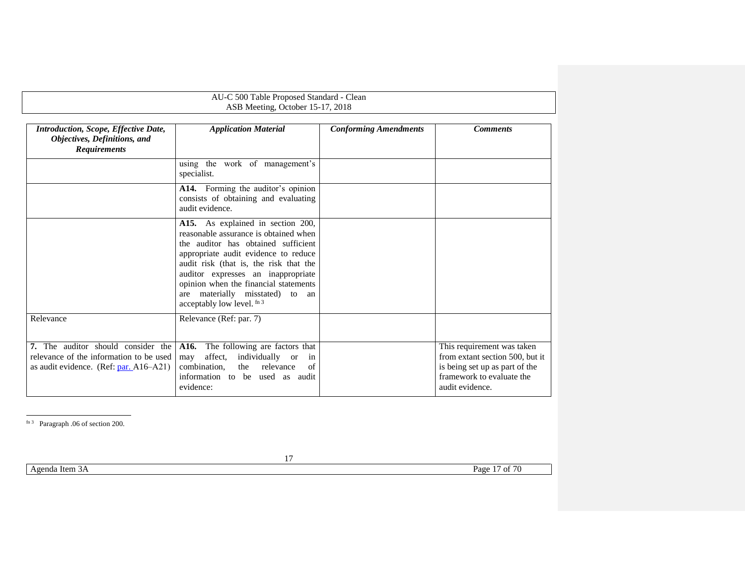<span id="page-16-1"></span>

| AU-C 500 Table Proposed Standard - Clean<br>ASB Meeting, October 15-17, 2018                                               |                                                                                                                                                                                                                                                                                                                                                     |                              |                                                                                                                                                 |  |
|----------------------------------------------------------------------------------------------------------------------------|-----------------------------------------------------------------------------------------------------------------------------------------------------------------------------------------------------------------------------------------------------------------------------------------------------------------------------------------------------|------------------------------|-------------------------------------------------------------------------------------------------------------------------------------------------|--|
| Introduction, Scope, Effective Date,<br>Objectives, Definitions, and<br><b>Requirements</b>                                | <b>Application Material</b>                                                                                                                                                                                                                                                                                                                         | <b>Conforming Amendments</b> | <b>Comments</b>                                                                                                                                 |  |
|                                                                                                                            | using the work of management's<br>specialist.                                                                                                                                                                                                                                                                                                       |                              |                                                                                                                                                 |  |
|                                                                                                                            | A14. Forming the auditor's opinion<br>consists of obtaining and evaluating<br>audit evidence.                                                                                                                                                                                                                                                       |                              |                                                                                                                                                 |  |
|                                                                                                                            | A15. As explained in section 200,<br>reasonable assurance is obtained when<br>the auditor has obtained sufficient<br>appropriate audit evidence to reduce<br>audit risk (that is, the risk that the<br>auditor expresses an inappropriate<br>opinion when the financial statements<br>are materially misstated) to an<br>acceptably low level. fn 3 |                              |                                                                                                                                                 |  |
| Relevance                                                                                                                  | Relevance (Ref: par. 7)                                                                                                                                                                                                                                                                                                                             |                              |                                                                                                                                                 |  |
| 7. The auditor should consider the<br>relevance of the information to be used<br>as audit evidence. (Ref: $par. A16-A21$ ) | The following are factors that<br>A16.<br>affect,<br>individually or<br>may<br>in<br>combination.<br>relevance<br>the<br>of<br>information to be used as audit<br>evidence:                                                                                                                                                                         |                              | This requirement was taken<br>from extant section 500, but it<br>is being set up as part of the<br>framework to evaluate the<br>audit evidence. |  |

<span id="page-16-2"></span><span id="page-16-0"></span>l fn 3 Paragraph .06 of section 200.

Agenda Item 3A Page 17 of 70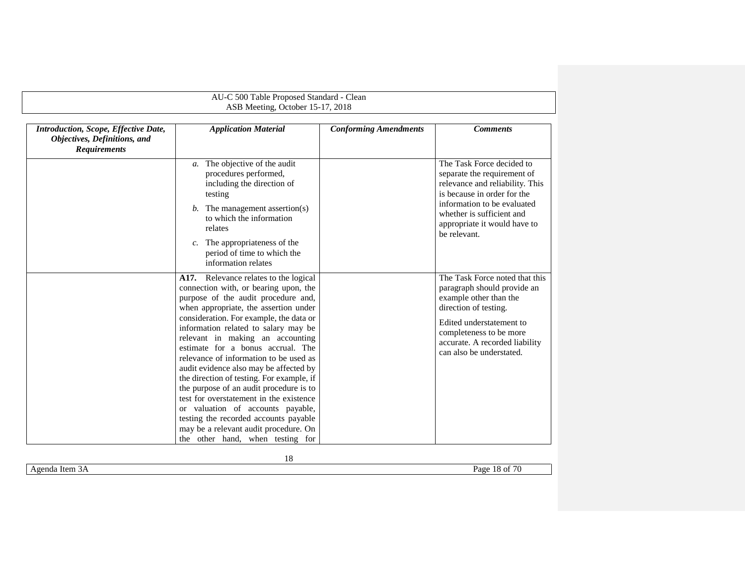| AU-C 500 Table Proposed Standard - Clean<br>ASB Meeting, October 15-17, 2018                |                                                                                                                                                                                                                                                                                                                                                                                                                                                                                                                                                                                                                                                                                                              |                              |                                                                                                                                                                                                                                        |
|---------------------------------------------------------------------------------------------|--------------------------------------------------------------------------------------------------------------------------------------------------------------------------------------------------------------------------------------------------------------------------------------------------------------------------------------------------------------------------------------------------------------------------------------------------------------------------------------------------------------------------------------------------------------------------------------------------------------------------------------------------------------------------------------------------------------|------------------------------|----------------------------------------------------------------------------------------------------------------------------------------------------------------------------------------------------------------------------------------|
| Introduction, Scope, Effective Date,<br>Objectives, Definitions, and<br><b>Requirements</b> | <b>Application Material</b>                                                                                                                                                                                                                                                                                                                                                                                                                                                                                                                                                                                                                                                                                  | <b>Conforming Amendments</b> | <b>Comments</b>                                                                                                                                                                                                                        |
|                                                                                             | The objective of the audit<br>$\mathfrak{a}.$<br>procedures performed,<br>including the direction of<br>testing<br>$b$ . The management assertion(s)<br>to which the information<br>relates<br>The appropriateness of the<br>$c_{\cdot}$<br>period of time to which the<br>information relates                                                                                                                                                                                                                                                                                                                                                                                                               |                              | The Task Force decided to<br>separate the requirement of<br>relevance and reliability. This<br>is because in order for the<br>information to be evaluated<br>whether is sufficient and<br>appropriate it would have to<br>be relevant. |
|                                                                                             | A17. Relevance relates to the logical<br>connection with, or bearing upon, the<br>purpose of the audit procedure and,<br>when appropriate, the assertion under<br>consideration. For example, the data or<br>information related to salary may be<br>relevant in making an accounting<br>estimate for a bonus accrual. The<br>relevance of information to be used as<br>audit evidence also may be affected by<br>the direction of testing. For example, if<br>the purpose of an audit procedure is to<br>test for overstatement in the existence<br>or valuation of accounts payable,<br>testing the recorded accounts payable<br>may be a relevant audit procedure. On<br>the other hand, when testing for |                              | The Task Force noted that this<br>paragraph should provide an<br>example other than the<br>direction of testing.<br>Edited understatement to<br>completeness to be more<br>accurate. A recorded liability<br>can also be understated.  |

Agenda Item 3A Page 18 of 70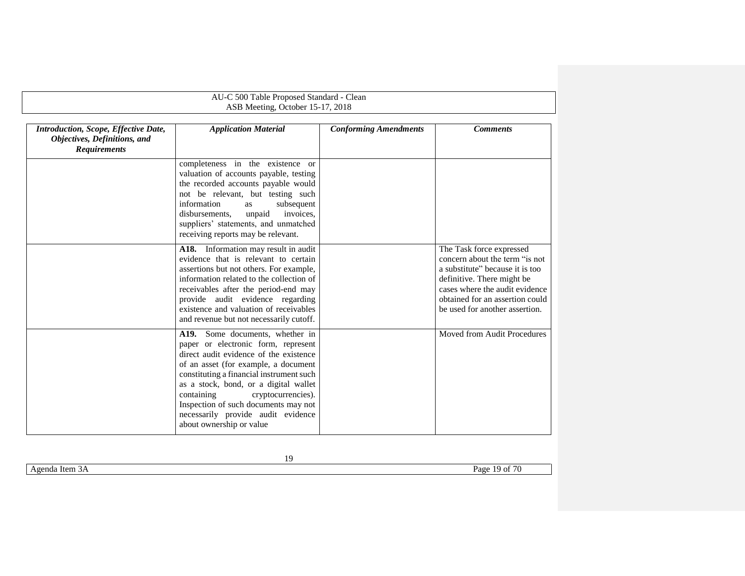|                                                                                             | AU-C 500 Table Proposed Standard - Clean                                                                                                                                                                                                                                                                                                                                                    |                              |                                                                                                                                                                                                                                    |  |
|---------------------------------------------------------------------------------------------|---------------------------------------------------------------------------------------------------------------------------------------------------------------------------------------------------------------------------------------------------------------------------------------------------------------------------------------------------------------------------------------------|------------------------------|------------------------------------------------------------------------------------------------------------------------------------------------------------------------------------------------------------------------------------|--|
| ASB Meeting, October 15-17, 2018                                                            |                                                                                                                                                                                                                                                                                                                                                                                             |                              |                                                                                                                                                                                                                                    |  |
| Introduction, Scope, Effective Date,<br>Objectives, Definitions, and<br><b>Requirements</b> | <b>Application Material</b>                                                                                                                                                                                                                                                                                                                                                                 | <b>Conforming Amendments</b> | <b>Comments</b>                                                                                                                                                                                                                    |  |
|                                                                                             | completeness in the existence or<br>valuation of accounts payable, testing<br>the recorded accounts payable would<br>not be relevant, but testing such<br>information<br>subsequent<br>as<br>disbursements.<br>unpaid<br>invoices.<br>suppliers' statements, and unmatched<br>receiving reports may be relevant.                                                                            |                              |                                                                                                                                                                                                                                    |  |
|                                                                                             | A18. Information may result in audit<br>evidence that is relevant to certain<br>assertions but not others. For example,<br>information related to the collection of<br>receivables after the period-end may<br>provide audit evidence regarding<br>existence and valuation of receivables<br>and revenue but not necessarily cutoff.                                                        |                              | The Task force expressed<br>concern about the term "is not<br>a substitute" because it is too<br>definitive. There might be<br>cases where the audit evidence<br>obtained for an assertion could<br>be used for another assertion. |  |
|                                                                                             | A19. Some documents, whether in<br>paper or electronic form, represent<br>direct audit evidence of the existence<br>of an asset (for example, a document<br>constituting a financial instrument such<br>as a stock, bond, or a digital wallet<br>containing<br>cryptocurrencies).<br>Inspection of such documents may not<br>necessarily provide audit evidence<br>about ownership or value |                              | Moved from Audit Procedures                                                                                                                                                                                                        |  |

Agenda Item 3A Page 19 of 70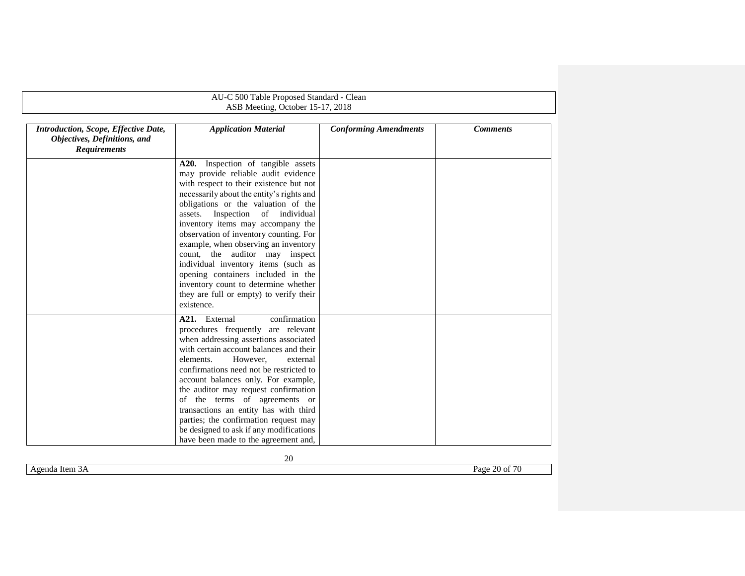|                                                                                             | AU-C 500 Table Proposed Standard - Clean                                                                                                                                                                                                                                                                                                                                                                                                                                                                                                                                               |                              |                 |  |  |
|---------------------------------------------------------------------------------------------|----------------------------------------------------------------------------------------------------------------------------------------------------------------------------------------------------------------------------------------------------------------------------------------------------------------------------------------------------------------------------------------------------------------------------------------------------------------------------------------------------------------------------------------------------------------------------------------|------------------------------|-----------------|--|--|
|                                                                                             | ASB Meeting, October 15-17, 2018                                                                                                                                                                                                                                                                                                                                                                                                                                                                                                                                                       |                              |                 |  |  |
| Introduction, Scope, Effective Date,<br>Objectives, Definitions, and<br><b>Requirements</b> | <b>Application Material</b>                                                                                                                                                                                                                                                                                                                                                                                                                                                                                                                                                            | <b>Conforming Amendments</b> | <b>Comments</b> |  |  |
|                                                                                             | Inspection of tangible assets<br>A20.<br>may provide reliable audit evidence<br>with respect to their existence but not<br>necessarily about the entity's rights and<br>obligations or the valuation of the<br>assets. Inspection of individual<br>inventory items may accompany the<br>observation of inventory counting. For<br>example, when observing an inventory<br>count, the auditor may inspect<br>individual inventory items (such as<br>opening containers included in the<br>inventory count to determine whether<br>they are full or empty) to verify their<br>existence. |                              |                 |  |  |
|                                                                                             | A <sub>21</sub> . External<br>confirmation<br>procedures frequently are relevant<br>when addressing assertions associated<br>with certain account balances and their<br>elements.<br>However.<br>external<br>confirmations need not be restricted to<br>account balances only. For example,<br>the auditor may request confirmation<br>of the terms of agreements or<br>transactions an entity has with third<br>parties; the confirmation request may<br>be designed to ask if any modifications<br>have been made to the agreement and,                                              |                              |                 |  |  |

<span id="page-19-0"></span>Agenda Item 3A Page 20 of 70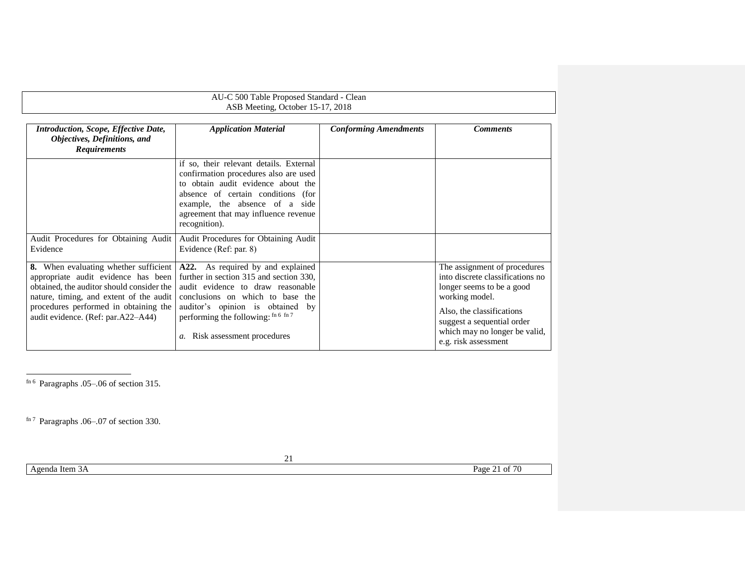| AU-C 500 Table Proposed Standard - Clean<br>ASB Meeting, October 15-17, 2018                                                                                                                                                                        |                                                                                                                                                                                                                                                                |                              |                                                                                                                                                                                                                                     |
|-----------------------------------------------------------------------------------------------------------------------------------------------------------------------------------------------------------------------------------------------------|----------------------------------------------------------------------------------------------------------------------------------------------------------------------------------------------------------------------------------------------------------------|------------------------------|-------------------------------------------------------------------------------------------------------------------------------------------------------------------------------------------------------------------------------------|
| Introduction, Scope, Effective Date,<br>Objectives, Definitions, and<br><b>Requirements</b>                                                                                                                                                         | <b>Application Material</b>                                                                                                                                                                                                                                    | <b>Conforming Amendments</b> | <b>Comments</b>                                                                                                                                                                                                                     |
|                                                                                                                                                                                                                                                     | if so, their relevant details. External<br>confirmation procedures also are used<br>to obtain audit evidence about the<br>absence of certain conditions (for<br>example, the absence of a side<br>agreement that may influence revenue<br>recognition).        |                              |                                                                                                                                                                                                                                     |
| Audit Procedures for Obtaining Audit<br>Evidence                                                                                                                                                                                                    | Audit Procedures for Obtaining Audit<br>Evidence (Ref: par. 8)                                                                                                                                                                                                 |                              |                                                                                                                                                                                                                                     |
| 8. When evaluating whether sufficient<br>appropriate audit evidence has been<br>obtained, the auditor should consider the<br>nature, timing, and extent of the audit<br>procedures performed in obtaining the<br>audit evidence. (Ref: par.A22–A44) | A22. As required by and explained<br>further in section 315 and section 330,<br>audit evidence to draw reasonable<br>conclusions on which to base the<br>auditor's opinion is obtained by<br>performing the following: fn 6 fn 7<br>Risk assessment procedures |                              | The assignment of procedures<br>into discrete classifications no<br>longer seems to be a good<br>working model.<br>Also, the classifications<br>suggest a sequential order<br>which may no longer be valid,<br>e.g. risk assessment |

<span id="page-20-1"></span><span id="page-20-0"></span> $\overline{a}$ f<sup>n 6</sup> Paragraphs .05–.06 of section 315.

fn 7 Paragraphs .06–.07 of section 330.

21

Agenda Item 3A Page 21 of 70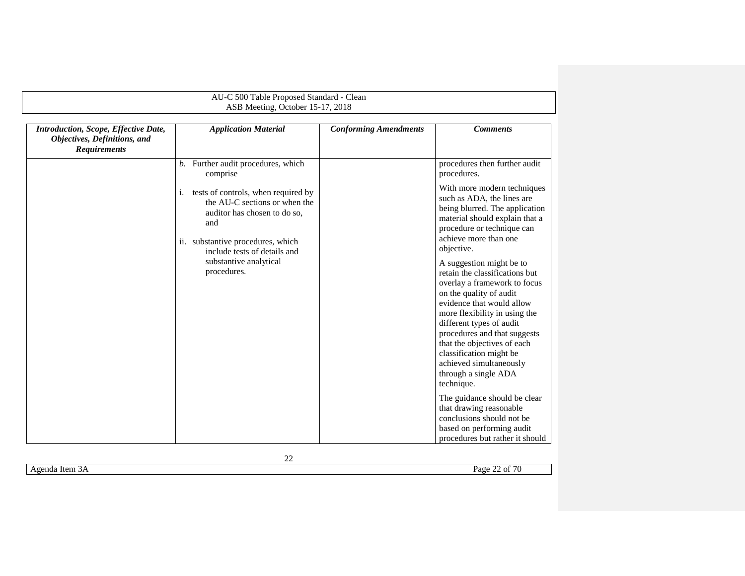|                                                                                             | AU-C 500 Table Proposed Standard - Clean<br>ASB Meeting, October 15-17, 2018                                                                                                           |                              |                                                                                                                                                                                                                                                                                                                                                                            |  |  |
|---------------------------------------------------------------------------------------------|----------------------------------------------------------------------------------------------------------------------------------------------------------------------------------------|------------------------------|----------------------------------------------------------------------------------------------------------------------------------------------------------------------------------------------------------------------------------------------------------------------------------------------------------------------------------------------------------------------------|--|--|
| Introduction, Scope, Effective Date,<br>Objectives, Definitions, and<br><b>Requirements</b> | <b>Application Material</b>                                                                                                                                                            | <b>Conforming Amendments</b> | <b>Comments</b>                                                                                                                                                                                                                                                                                                                                                            |  |  |
|                                                                                             | b. Further audit procedures, which<br>comprise                                                                                                                                         |                              | procedures then further audit<br>procedures.                                                                                                                                                                                                                                                                                                                               |  |  |
|                                                                                             | tests of controls, when required by<br>i.<br>the AU-C sections or when the<br>auditor has chosen to do so,<br>and<br>ii. substantive procedures, which<br>include tests of details and |                              | With more modern techniques<br>such as ADA, the lines are<br>being blurred. The application<br>material should explain that a<br>procedure or technique can<br>achieve more than one<br>objective.                                                                                                                                                                         |  |  |
|                                                                                             | substantive analytical<br>procedures.                                                                                                                                                  |                              | A suggestion might be to<br>retain the classifications but<br>overlay a framework to focus<br>on the quality of audit<br>evidence that would allow<br>more flexibility in using the<br>different types of audit<br>procedures and that suggests<br>that the objectives of each<br>classification might be<br>achieved simultaneously<br>through a single ADA<br>technique. |  |  |
|                                                                                             |                                                                                                                                                                                        |                              | The guidance should be clear<br>that drawing reasonable<br>conclusions should not be<br>based on performing audit<br>procedures but rather it should                                                                                                                                                                                                                       |  |  |

Agenda Item 3A Page 22 of 70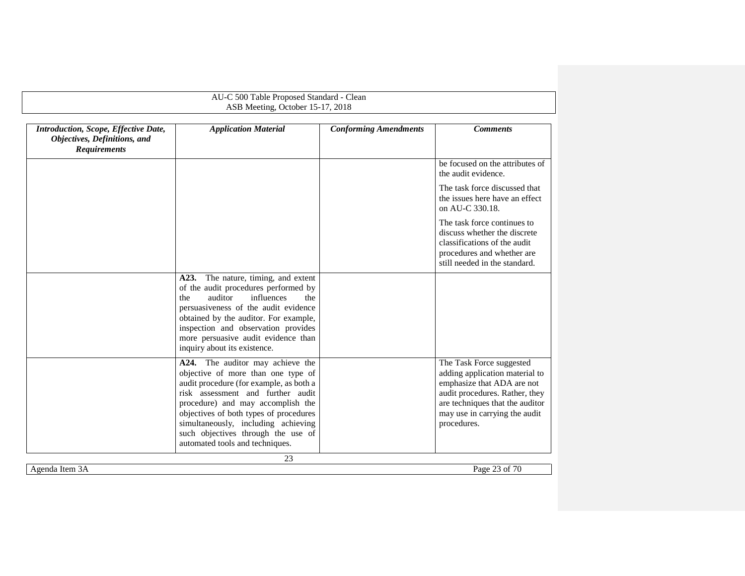| Introduction, Scope, Effective Date,<br>Objectives, Definitions, and<br><b>Requirements</b> | <b>Application Material</b>                                                                                                                                                                                                                                                                                                                           | <b>Conforming Amendments</b> | <b>Comments</b>                                                                                                                                                                                               |
|---------------------------------------------------------------------------------------------|-------------------------------------------------------------------------------------------------------------------------------------------------------------------------------------------------------------------------------------------------------------------------------------------------------------------------------------------------------|------------------------------|---------------------------------------------------------------------------------------------------------------------------------------------------------------------------------------------------------------|
|                                                                                             |                                                                                                                                                                                                                                                                                                                                                       |                              | be focused on the attributes of<br>the audit evidence.                                                                                                                                                        |
|                                                                                             |                                                                                                                                                                                                                                                                                                                                                       |                              | The task force discussed that<br>the issues here have an effect<br>on AU-C 330.18.                                                                                                                            |
|                                                                                             |                                                                                                                                                                                                                                                                                                                                                       |                              | The task force continues to<br>discuss whether the discrete<br>classifications of the audit<br>procedures and whether are<br>still needed in the standard.                                                    |
|                                                                                             | The nature, timing, and extent<br>A23.<br>of the audit procedures performed by<br>auditor<br>influences<br>the<br>the<br>persuasiveness of the audit evidence<br>obtained by the auditor. For example,<br>inspection and observation provides<br>more persuasive audit evidence than<br>inquiry about its existence.                                  |                              |                                                                                                                                                                                                               |
|                                                                                             | A24. The auditor may achieve the<br>objective of more than one type of<br>audit procedure (for example, as both a<br>risk assessment and further audit<br>procedure) and may accomplish the<br>objectives of both types of procedures<br>simultaneously, including achieving<br>such objectives through the use of<br>automated tools and techniques. |                              | The Task Force suggested<br>adding application material to<br>emphasize that ADA are not<br>audit procedures. Rather, they<br>are techniques that the auditor<br>may use in carrying the audit<br>procedures. |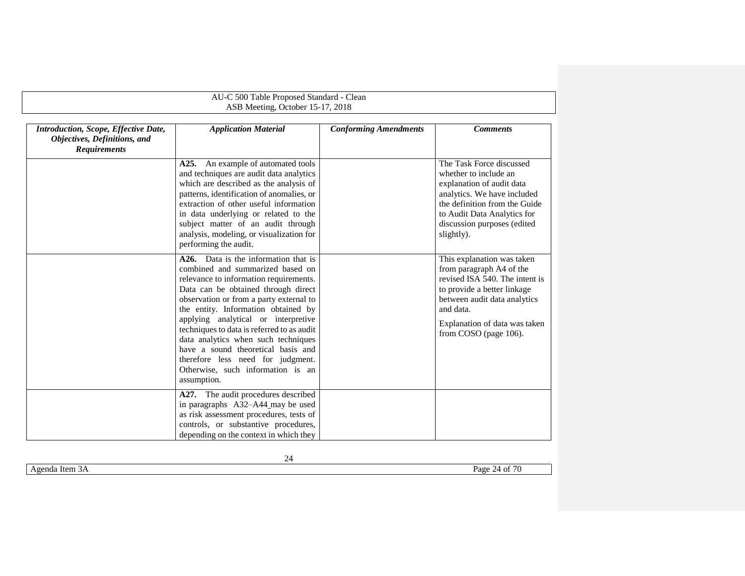|                                                                                             | AU-C 500 Table Proposed Standard - Clean                                                                                                                                                                                                                                                                                                                                                                                                                                                                                                                                                                                                                                                                           |                              |                                                                                                                                                                                                                                                                                                                                                                                                                                                              |  |  |
|---------------------------------------------------------------------------------------------|--------------------------------------------------------------------------------------------------------------------------------------------------------------------------------------------------------------------------------------------------------------------------------------------------------------------------------------------------------------------------------------------------------------------------------------------------------------------------------------------------------------------------------------------------------------------------------------------------------------------------------------------------------------------------------------------------------------------|------------------------------|--------------------------------------------------------------------------------------------------------------------------------------------------------------------------------------------------------------------------------------------------------------------------------------------------------------------------------------------------------------------------------------------------------------------------------------------------------------|--|--|
|                                                                                             | ASB Meeting, October 15-17, 2018                                                                                                                                                                                                                                                                                                                                                                                                                                                                                                                                                                                                                                                                                   |                              |                                                                                                                                                                                                                                                                                                                                                                                                                                                              |  |  |
| Introduction, Scope, Effective Date,<br>Objectives, Definitions, and<br><b>Requirements</b> | <b>Application Material</b>                                                                                                                                                                                                                                                                                                                                                                                                                                                                                                                                                                                                                                                                                        | <b>Conforming Amendments</b> | <b>Comments</b>                                                                                                                                                                                                                                                                                                                                                                                                                                              |  |  |
|                                                                                             | A25. An example of automated tools<br>and techniques are audit data analytics<br>which are described as the analysis of<br>patterns, identification of anomalies, or<br>extraction of other useful information<br>in data underlying or related to the<br>subject matter of an audit through<br>analysis, modeling, or visualization for<br>performing the audit.<br>A <sub>26</sub> . Data is the information that is<br>combined and summarized based on<br>relevance to information requirements.<br>Data can be obtained through direct<br>observation or from a party external to<br>the entity. Information obtained by<br>applying analytical or interpretive<br>techniques to data is referred to as audit |                              | The Task Force discussed<br>whether to include an<br>explanation of audit data<br>analytics. We have included<br>the definition from the Guide<br>to Audit Data Analytics for<br>discussion purposes (edited<br>slightly).<br>This explanation was taken<br>from paragraph A4 of the<br>revised ISA 540. The intent is<br>to provide a better linkage<br>between audit data analytics<br>and data.<br>Explanation of data was taken<br>from COSO (page 106). |  |  |
|                                                                                             | data analytics when such techniques<br>have a sound theoretical basis and<br>therefore less need for judgment.<br>Otherwise, such information is an<br>assumption.                                                                                                                                                                                                                                                                                                                                                                                                                                                                                                                                                 |                              |                                                                                                                                                                                                                                                                                                                                                                                                                                                              |  |  |
|                                                                                             | A27. The audit procedures described<br>in paragraphs A32-A44_may be used<br>as risk assessment procedures, tests of<br>controls, or substantive procedures,<br>depending on the context in which they                                                                                                                                                                                                                                                                                                                                                                                                                                                                                                              |                              |                                                                                                                                                                                                                                                                                                                                                                                                                                                              |  |  |

Agenda Item 3A Page 24 of 70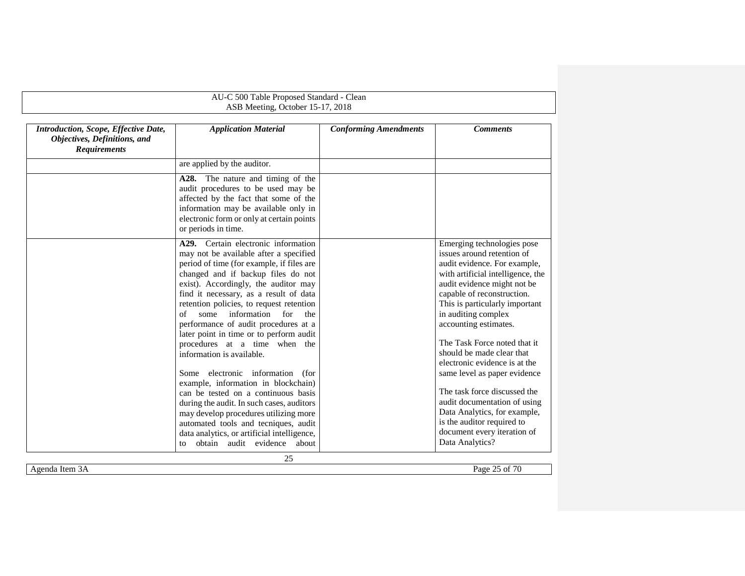|                                                                                             | AU-C 500 Table Proposed Standard - Clean<br>ASB Meeting, October 15-17, 2018                                                                                                                                                                                                               |                              |                                                                                                                                                                                                                  |
|---------------------------------------------------------------------------------------------|--------------------------------------------------------------------------------------------------------------------------------------------------------------------------------------------------------------------------------------------------------------------------------------------|------------------------------|------------------------------------------------------------------------------------------------------------------------------------------------------------------------------------------------------------------|
| Introduction, Scope, Effective Date,<br>Objectives, Definitions, and<br><b>Requirements</b> | <b>Application Material</b>                                                                                                                                                                                                                                                                | <b>Conforming Amendments</b> | <b>Comments</b>                                                                                                                                                                                                  |
|                                                                                             | are applied by the auditor.<br>A28.<br>The nature and timing of the<br>audit procedures to be used may be<br>affected by the fact that some of the<br>information may be available only in                                                                                                 |                              |                                                                                                                                                                                                                  |
|                                                                                             | electronic form or only at certain points<br>or periods in time.<br>A <sub>29</sub> . Certain electronic information<br>may not be available after a specified                                                                                                                             |                              | Emerging technologies pose<br>issues around retention of                                                                                                                                                         |
|                                                                                             | period of time (for example, if files are<br>changed and if backup files do not<br>exist). Accordingly, the auditor may<br>find it necessary, as a result of data<br>retention policies, to request retention<br>some information for<br>of<br>the<br>performance of audit procedures at a |                              | audit evidence. For example,<br>with artificial intelligence, the<br>audit evidence might not be<br>capable of reconstruction.<br>This is particularly important<br>in auditing complex<br>accounting estimates. |
|                                                                                             | later point in time or to perform audit<br>procedures at a time when the<br>information is available.<br>Some electronic information (for<br>example, information in blockchain)                                                                                                           |                              | The Task Force noted that it<br>should be made clear that<br>electronic evidence is at the<br>same level as paper evidence                                                                                       |
|                                                                                             | can be tested on a continuous basis<br>during the audit. In such cases, auditors<br>may develop procedures utilizing more<br>automated tools and tecniques, audit<br>data analytics, or artificial intelligence,<br>obtain audit evidence about<br>to                                      |                              | The task force discussed the<br>audit documentation of using<br>Data Analytics, for example,<br>is the auditor required to<br>document every iteration of<br>Data Analytics?                                     |
|                                                                                             | 25                                                                                                                                                                                                                                                                                         |                              |                                                                                                                                                                                                                  |

Agenda Item 3A Page 25 of 70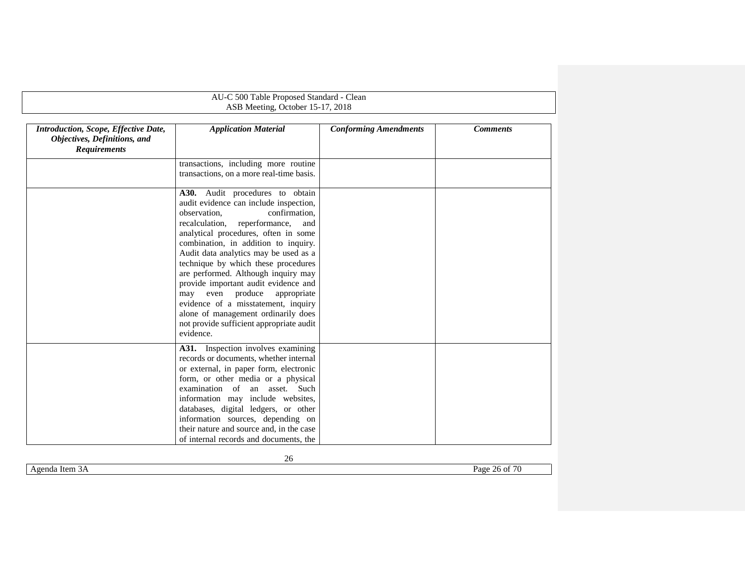|                                                                                             | AU-C 500 Table Proposed Standard - Clean                                                                                                                                                                                                                                                                                                                                                                                                                                                                                                                                    |                              |                 |
|---------------------------------------------------------------------------------------------|-----------------------------------------------------------------------------------------------------------------------------------------------------------------------------------------------------------------------------------------------------------------------------------------------------------------------------------------------------------------------------------------------------------------------------------------------------------------------------------------------------------------------------------------------------------------------------|------------------------------|-----------------|
|                                                                                             | ASB Meeting, October 15-17, 2018                                                                                                                                                                                                                                                                                                                                                                                                                                                                                                                                            |                              |                 |
| Introduction, Scope, Effective Date,<br>Objectives, Definitions, and<br><b>Requirements</b> | <b>Application Material</b>                                                                                                                                                                                                                                                                                                                                                                                                                                                                                                                                                 | <b>Conforming Amendments</b> | <b>Comments</b> |
|                                                                                             | transactions, including more routine                                                                                                                                                                                                                                                                                                                                                                                                                                                                                                                                        |                              |                 |
|                                                                                             | transactions, on a more real-time basis.                                                                                                                                                                                                                                                                                                                                                                                                                                                                                                                                    |                              |                 |
|                                                                                             | A30. Audit procedures to obtain<br>audit evidence can include inspection,<br>observation.<br>confirmation.<br>recalculation, reperformance,<br>and<br>analytical procedures, often in some<br>combination, in addition to inquiry.<br>Audit data analytics may be used as a<br>technique by which these procedures<br>are performed. Although inquiry may<br>provide important audit evidence and<br>may even produce<br>appropriate<br>evidence of a misstatement, inquiry<br>alone of management ordinarily does<br>not provide sufficient appropriate audit<br>evidence. |                              |                 |
|                                                                                             | A31. Inspection involves examining<br>records or documents, whether internal<br>or external, in paper form, electronic<br>form, or other media or a physical<br>examination of an asset. Such<br>information may include websites,<br>databases, digital ledgers, or other<br>information sources, depending on<br>their nature and source and, in the case<br>of internal records and documents, the                                                                                                                                                                       |                              |                 |

Agenda Item 3A Page 26 of 70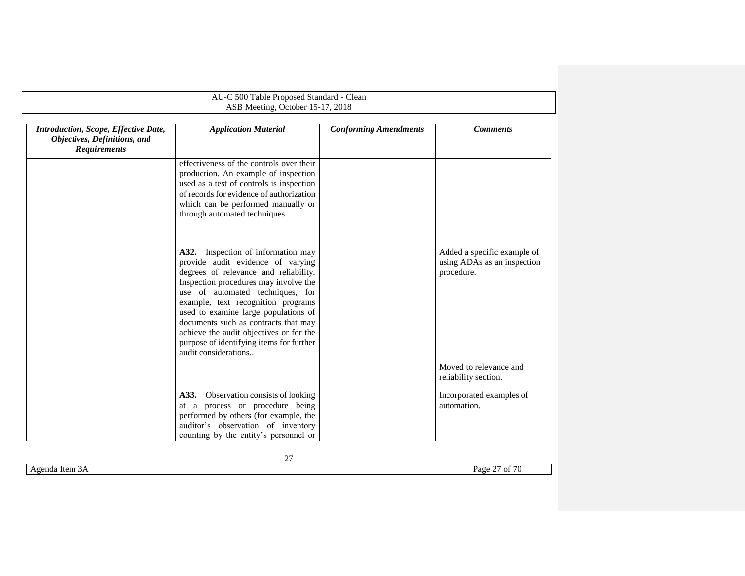<span id="page-26-0"></span>

|                                                                                             | AU-C 500 Table Proposed Standard - Clean<br>ASB Meeting, October 15-17, 2018                                                                                                                                                                                                                                                                                                                                                          |                              |                                                                          |  |
|---------------------------------------------------------------------------------------------|---------------------------------------------------------------------------------------------------------------------------------------------------------------------------------------------------------------------------------------------------------------------------------------------------------------------------------------------------------------------------------------------------------------------------------------|------------------------------|--------------------------------------------------------------------------|--|
| Introduction, Scope, Effective Date,<br>Objectives, Definitions, and<br><b>Requirements</b> | <b>Application Material</b>                                                                                                                                                                                                                                                                                                                                                                                                           | <b>Conforming Amendments</b> | <b>Comments</b>                                                          |  |
|                                                                                             | effectiveness of the controls over their<br>production. An example of inspection<br>used as a test of controls is inspection<br>of records for evidence of authorization<br>which can be performed manually or<br>through automated techniques.                                                                                                                                                                                       |                              |                                                                          |  |
|                                                                                             | Inspection of information may<br>A32.<br>provide audit evidence of varying<br>degrees of relevance and reliability.<br>Inspection procedures may involve the<br>use of automated techniques, for<br>example, text recognition programs<br>used to examine large populations of<br>documents such as contracts that may<br>achieve the audit objectives or for the<br>purpose of identifying items for further<br>audit considerations |                              | Added a specific example of<br>using ADAs as an inspection<br>procedure. |  |
|                                                                                             |                                                                                                                                                                                                                                                                                                                                                                                                                                       |                              | Moved to relevance and<br>reliability section.                           |  |
|                                                                                             | Observation consists of looking<br>A33.<br>at a process or procedure being<br>performed by others (for example, the<br>auditor's observation of inventory<br>counting by the entity's personnel or                                                                                                                                                                                                                                    |                              | Incorporated examples of<br>automation.                                  |  |

| $\sim$<br>--<br>т.<br>Item<br>Ряσе<br>п<br>яква<br>.<br>. . | - |  |
|-------------------------------------------------------------|---|--|
|                                                             |   |  |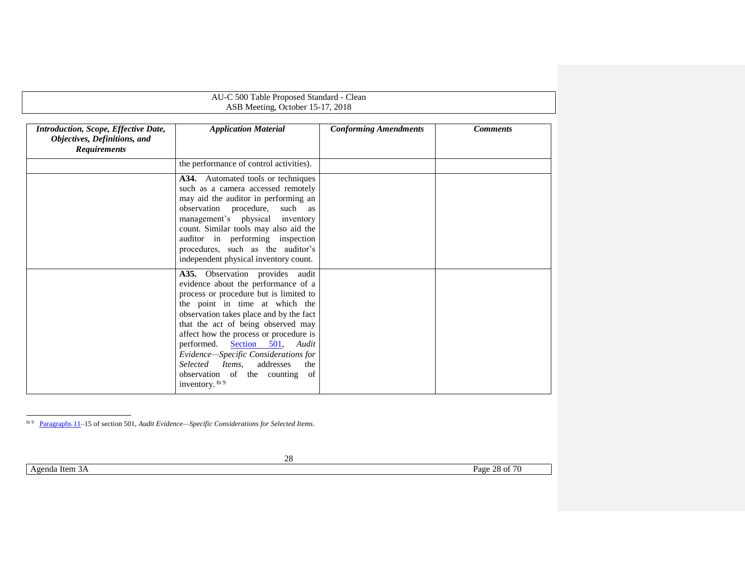| AU-C 500 Table Proposed Standard - Clean<br>ASB Meeting, October 15-17, 2018                |                                                                                                                                                                                                                                                                                                                                                                                                                                                                                                                                           |                              |                 |  |
|---------------------------------------------------------------------------------------------|-------------------------------------------------------------------------------------------------------------------------------------------------------------------------------------------------------------------------------------------------------------------------------------------------------------------------------------------------------------------------------------------------------------------------------------------------------------------------------------------------------------------------------------------|------------------------------|-----------------|--|
| Introduction, Scope, Effective Date,<br>Objectives, Definitions, and<br><b>Requirements</b> | <b>Application Material</b>                                                                                                                                                                                                                                                                                                                                                                                                                                                                                                               | <b>Conforming Amendments</b> | <b>Comments</b> |  |
|                                                                                             | the performance of control activities).<br>A34. Automated tools or techniques<br>such as a camera accessed remotely<br>may aid the auditor in performing an<br>observation procedure,<br>such as<br>management's physical inventory<br>count. Similar tools may also aid the<br>auditor in performing inspection                                                                                                                                                                                                                          |                              |                 |  |
|                                                                                             | procedures, such as the auditor's<br>independent physical inventory count.<br>A35. Observation provides audit<br>evidence about the performance of a<br>process or procedure but is limited to<br>the point in time at which the<br>observation takes place and by the fact<br>that the act of being observed may<br>affect how the process or procedure is<br>performed.<br>Section 501, Audit<br>Evidence-Specific Considerations for<br>Selected<br>Items.<br>addresses<br>the<br>observation of the counting<br>of<br>inventory. fn 9 |                              |                 |  |

fn 9 Paragraphs 11–15 of section 501, *Audit Evidence—Specific Considerations for Selected Items*.

l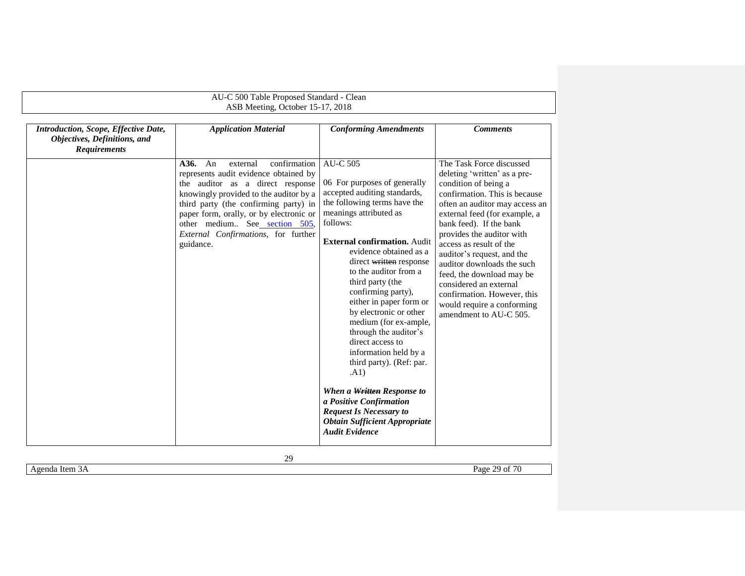|                                                                                             | AU-C 500 Table Proposed Standard - Clean                                                                                                                                                                                                                                                                                               |                                                                                                                                                                                                                                                                                                                                                                                                                                                                                                                                                                                                                                                                          |                                                                                                                                                                                                                                                                                                                                                                                                                                                                                   |
|---------------------------------------------------------------------------------------------|----------------------------------------------------------------------------------------------------------------------------------------------------------------------------------------------------------------------------------------------------------------------------------------------------------------------------------------|--------------------------------------------------------------------------------------------------------------------------------------------------------------------------------------------------------------------------------------------------------------------------------------------------------------------------------------------------------------------------------------------------------------------------------------------------------------------------------------------------------------------------------------------------------------------------------------------------------------------------------------------------------------------------|-----------------------------------------------------------------------------------------------------------------------------------------------------------------------------------------------------------------------------------------------------------------------------------------------------------------------------------------------------------------------------------------------------------------------------------------------------------------------------------|
|                                                                                             | ASB Meeting, October 15-17, 2018                                                                                                                                                                                                                                                                                                       |                                                                                                                                                                                                                                                                                                                                                                                                                                                                                                                                                                                                                                                                          |                                                                                                                                                                                                                                                                                                                                                                                                                                                                                   |
| Introduction, Scope, Effective Date,<br>Objectives, Definitions, and<br><b>Requirements</b> | <b>Application Material</b>                                                                                                                                                                                                                                                                                                            | <b>Conforming Amendments</b>                                                                                                                                                                                                                                                                                                                                                                                                                                                                                                                                                                                                                                             | <b>Comments</b>                                                                                                                                                                                                                                                                                                                                                                                                                                                                   |
|                                                                                             | A36.<br>An<br>external<br>confirmation<br>represents audit evidence obtained by<br>the auditor as a direct response<br>knowingly provided to the auditor by a<br>third party (the confirming party) in<br>paper form, orally, or by electronic or<br>other medium See section 505,<br>External Confirmations, for further<br>guidance. | <b>AU-C 505</b><br>06 For purposes of generally<br>accepted auditing standards,<br>the following terms have the<br>meanings attributed as<br>follows:<br><b>External confirmation.</b> Audit<br>evidence obtained as a<br>direct written response<br>to the auditor from a<br>third party (the<br>confirming party),<br>either in paper form or<br>by electronic or other<br>medium (for ex-ample,<br>through the auditor's<br>direct access to<br>information held by a<br>third party). (Ref: par.<br>(A1)<br>When a Written Response to<br>a Positive Confirmation<br><b>Request Is Necessary to</b><br><b>Obtain Sufficient Appropriate</b><br><b>Audit Evidence</b> | The Task Force discussed<br>deleting 'written' as a pre-<br>condition of being a<br>confirmation. This is because<br>often an auditor may access an<br>external feed (for example, a<br>bank feed). If the bank<br>provides the auditor with<br>access as result of the<br>auditor's request, and the<br>auditor downloads the such<br>feed, the download may be<br>considered an external<br>confirmation. However, this<br>would require a conforming<br>amendment to AU-C 505. |

Agenda Item 3A Page 29 of 70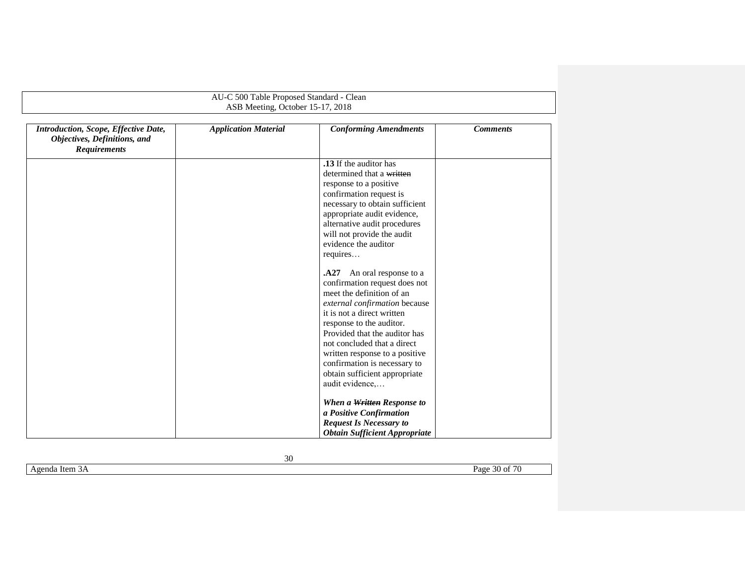<span id="page-29-0"></span>

|                                                                                             | AU-C 500 Table Proposed Standard - Clean |                                                                                                                                                                                                                                                                                                                                                                              |                 |
|---------------------------------------------------------------------------------------------|------------------------------------------|------------------------------------------------------------------------------------------------------------------------------------------------------------------------------------------------------------------------------------------------------------------------------------------------------------------------------------------------------------------------------|-----------------|
|                                                                                             | ASB Meeting, October 15-17, 2018         |                                                                                                                                                                                                                                                                                                                                                                              |                 |
| Introduction, Scope, Effective Date,<br>Objectives, Definitions, and<br><b>Requirements</b> | <b>Application Material</b>              | <b>Conforming Amendments</b>                                                                                                                                                                                                                                                                                                                                                 | <b>Comments</b> |
|                                                                                             |                                          | .13 If the auditor has<br>determined that a written<br>response to a positive<br>confirmation request is<br>necessary to obtain sufficient<br>appropriate audit evidence,<br>alternative audit procedures<br>will not provide the audit<br>evidence the auditor<br>requires                                                                                                  |                 |
|                                                                                             |                                          | A27.<br>An oral response to a<br>confirmation request does not<br>meet the definition of an<br>external confirmation because<br>it is not a direct written<br>response to the auditor.<br>Provided that the auditor has<br>not concluded that a direct<br>written response to a positive<br>confirmation is necessary to<br>obtain sufficient appropriate<br>audit evidence, |                 |
|                                                                                             |                                          | When a Written Response to<br>a Positive Confirmation<br><b>Request Is Necessary to</b><br><b>Obtain Sufficient Appropriate</b>                                                                                                                                                                                                                                              |                 |

Agenda Item 3A Page 30 of 70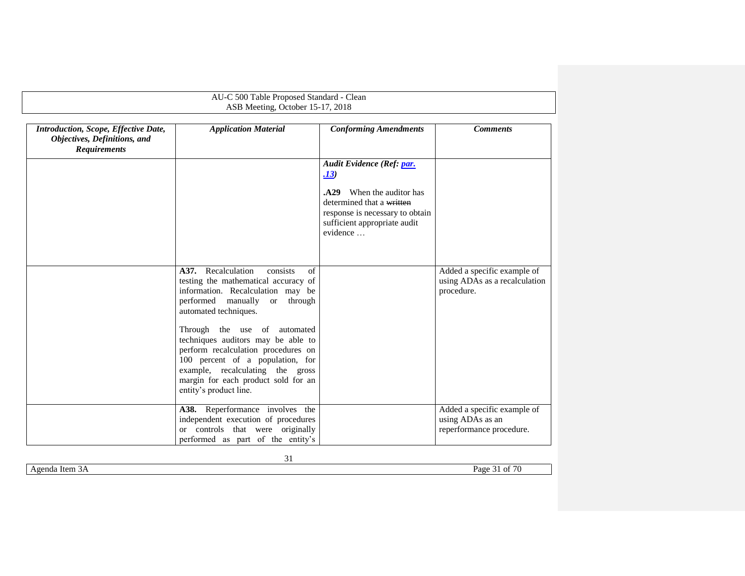|                                                                                             | AU-C 500 Table Proposed Standard - Clean<br>ASB Meeting, October 15-17, 2018                                                                                                                                                                       |                                                                                                                                                                               |                                                                             |
|---------------------------------------------------------------------------------------------|----------------------------------------------------------------------------------------------------------------------------------------------------------------------------------------------------------------------------------------------------|-------------------------------------------------------------------------------------------------------------------------------------------------------------------------------|-----------------------------------------------------------------------------|
| Introduction, Scope, Effective Date,<br>Objectives, Definitions, and<br><b>Requirements</b> | <b>Application Material</b>                                                                                                                                                                                                                        | <b>Conforming Amendments</b>                                                                                                                                                  | <b>Comments</b>                                                             |
|                                                                                             |                                                                                                                                                                                                                                                    | Audit Evidence (Ref: par.<br>.13)<br>When the auditor has<br>A29.<br>determined that a written<br>response is necessary to obtain<br>sufficient appropriate audit<br>evidence |                                                                             |
|                                                                                             | A37. Recalculation<br>consists<br>of<br>testing the mathematical accuracy of<br>information. Recalculation may be<br>performed manually<br>through<br><b>or</b><br>automated techniques.                                                           |                                                                                                                                                                               | Added a specific example of<br>using ADAs as a recalculation<br>procedure.  |
|                                                                                             | Through the use of automated<br>techniques auditors may be able to<br>perform recalculation procedures on<br>100 percent of a population, for<br>example, recalculating the gross<br>margin for each product sold for an<br>entity's product line. |                                                                                                                                                                               |                                                                             |
|                                                                                             | A38. Reperformance involves the<br>independent execution of procedures<br>or controls that were originally<br>performed as part of the entity's                                                                                                    |                                                                                                                                                                               | Added a specific example of<br>using ADAs as an<br>reperformance procedure. |

Agenda Item 3A Page 31 of 70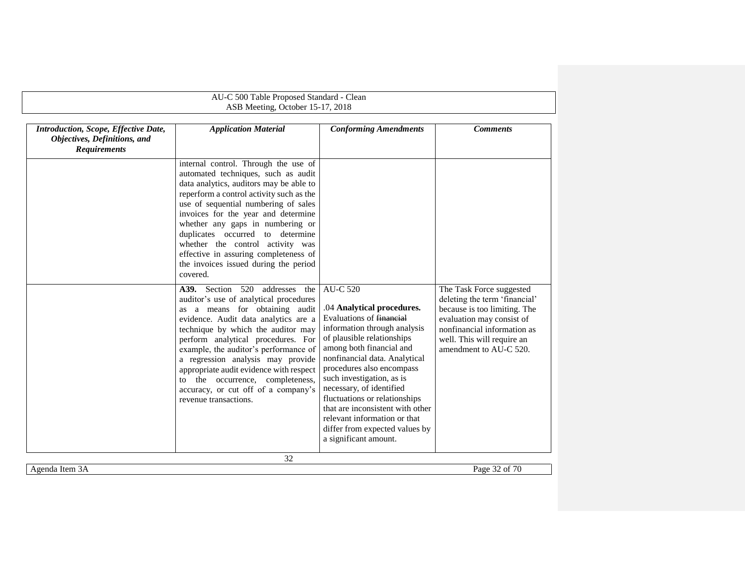| Introduction, Scope, Effective Date,<br>Objectives, Definitions, and<br><b>Requirements</b> | <b>Application Material</b><br>internal control. Through the use of<br>automated techniques, such as audit                                                                                                                                                                                                                                                                                                                                                                                                                                                                                                                                                                                                                                                                                                                                        | <b>Conforming Amendments</b>                                                                                                                                                                                                                                                                                                                                                                                                                               | <b>Comments</b>                                                                                                                                                                                               |
|---------------------------------------------------------------------------------------------|---------------------------------------------------------------------------------------------------------------------------------------------------------------------------------------------------------------------------------------------------------------------------------------------------------------------------------------------------------------------------------------------------------------------------------------------------------------------------------------------------------------------------------------------------------------------------------------------------------------------------------------------------------------------------------------------------------------------------------------------------------------------------------------------------------------------------------------------------|------------------------------------------------------------------------------------------------------------------------------------------------------------------------------------------------------------------------------------------------------------------------------------------------------------------------------------------------------------------------------------------------------------------------------------------------------------|---------------------------------------------------------------------------------------------------------------------------------------------------------------------------------------------------------------|
|                                                                                             |                                                                                                                                                                                                                                                                                                                                                                                                                                                                                                                                                                                                                                                                                                                                                                                                                                                   |                                                                                                                                                                                                                                                                                                                                                                                                                                                            |                                                                                                                                                                                                               |
|                                                                                             | data analytics, auditors may be able to<br>reperform a control activity such as the<br>use of sequential numbering of sales<br>invoices for the year and determine<br>whether any gaps in numbering or<br>duplicates occurred to determine<br>whether the control activity was<br>effective in assuring completeness of<br>the invoices issued during the period<br>covered.<br>A39. Section 520 addresses<br>the<br>auditor's use of analytical procedures<br>as a means for obtaining audit<br>evidence. Audit data analytics are a<br>technique by which the auditor may<br>perform analytical procedures. For<br>example, the auditor's performance of<br>a regression analysis may provide<br>appropriate audit evidence with respect<br>the occurrence, completeness,<br>to<br>accuracy, or cut off of a company's<br>revenue transactions. | <b>AU-C 520</b><br>.04 Analytical procedures.<br>Evaluations of financial<br>information through analysis<br>of plausible relationships<br>among both financial and<br>nonfinancial data. Analytical<br>procedures also encompass<br>such investigation, as is<br>necessary, of identified<br>fluctuations or relationships<br>that are inconsistent with other<br>relevant information or that<br>differ from expected values by<br>a significant amount. | The Task Force suggested<br>deleting the term 'financial'<br>because is too limiting. The<br>evaluation may consist of<br>nonfinancial information as<br>well. This will require an<br>amendment to AU-C 520. |
| Agenda Item 3A                                                                              | 32                                                                                                                                                                                                                                                                                                                                                                                                                                                                                                                                                                                                                                                                                                                                                                                                                                                |                                                                                                                                                                                                                                                                                                                                                                                                                                                            | Page 32 of 70                                                                                                                                                                                                 |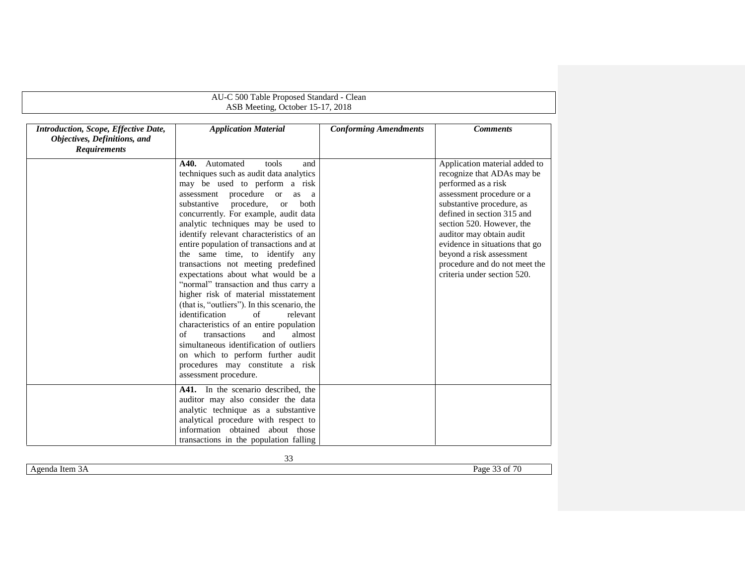|                                                                                             | AU-C 500 Table Proposed Standard - Clean<br>ASB Meeting, October 15-17, 2018                                                                                                                                                                                                                                                                                                                                                                                                                                                                                                                                                                                                                                                                                                                                                                                                                 |                              |                                                                                                                                                                                                                                                                                                                                                                   |
|---------------------------------------------------------------------------------------------|----------------------------------------------------------------------------------------------------------------------------------------------------------------------------------------------------------------------------------------------------------------------------------------------------------------------------------------------------------------------------------------------------------------------------------------------------------------------------------------------------------------------------------------------------------------------------------------------------------------------------------------------------------------------------------------------------------------------------------------------------------------------------------------------------------------------------------------------------------------------------------------------|------------------------------|-------------------------------------------------------------------------------------------------------------------------------------------------------------------------------------------------------------------------------------------------------------------------------------------------------------------------------------------------------------------|
| Introduction, Scope, Effective Date,<br>Objectives, Definitions, and<br><b>Requirements</b> | <b>Application Material</b>                                                                                                                                                                                                                                                                                                                                                                                                                                                                                                                                                                                                                                                                                                                                                                                                                                                                  | <b>Conforming Amendments</b> | <b>Comments</b>                                                                                                                                                                                                                                                                                                                                                   |
|                                                                                             | A40. Automated<br>tools<br>and<br>techniques such as audit data analytics<br>may be used to perform a risk<br>assessment procedure or<br>as a<br>substantive<br>procedure,<br>both<br><sub>or</sub><br>concurrently. For example, audit data<br>analytic techniques may be used to<br>identify relevant characteristics of an<br>entire population of transactions and at<br>the same time, to identify any<br>transactions not meeting predefined<br>expectations about what would be a<br>"normal" transaction and thus carry a<br>higher risk of material misstatement<br>(that is, "outliers"). In this scenario, the<br>identification<br>of<br>relevant<br>characteristics of an entire population<br>of<br>transactions<br>almost<br>and<br>simultaneous identification of outliers<br>on which to perform further audit<br>procedures may constitute a risk<br>assessment procedure. |                              | Application material added to<br>recognize that ADAs may be<br>performed as a risk<br>assessment procedure or a<br>substantive procedure, as<br>defined in section 315 and<br>section 520. However, the<br>auditor may obtain audit<br>evidence in situations that go<br>beyond a risk assessment<br>procedure and do not meet the<br>criteria under section 520. |
|                                                                                             | A41. In the scenario described, the<br>auditor may also consider the data<br>analytic technique as a substantive<br>analytical procedure with respect to<br>information obtained about those<br>transactions in the population falling                                                                                                                                                                                                                                                                                                                                                                                                                                                                                                                                                                                                                                                       |                              |                                                                                                                                                                                                                                                                                                                                                                   |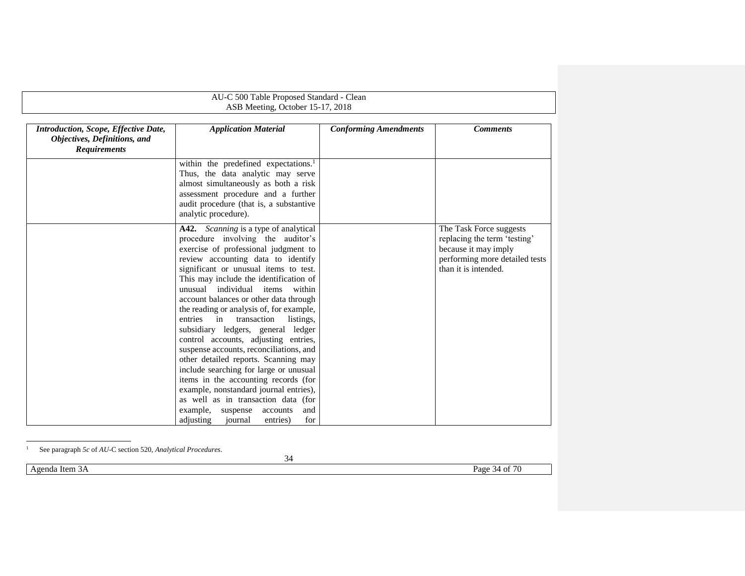|                                                                                             | AU-C 500 Table Proposed Standard - Clean                                                                                                                                                                                                                                                                                                                                                                                                                                                                                                                                                                                                                                                                                                                                                                                                       |                              |                                                                                                                                           |
|---------------------------------------------------------------------------------------------|------------------------------------------------------------------------------------------------------------------------------------------------------------------------------------------------------------------------------------------------------------------------------------------------------------------------------------------------------------------------------------------------------------------------------------------------------------------------------------------------------------------------------------------------------------------------------------------------------------------------------------------------------------------------------------------------------------------------------------------------------------------------------------------------------------------------------------------------|------------------------------|-------------------------------------------------------------------------------------------------------------------------------------------|
|                                                                                             | ASB Meeting, October 15-17, 2018                                                                                                                                                                                                                                                                                                                                                                                                                                                                                                                                                                                                                                                                                                                                                                                                               |                              |                                                                                                                                           |
| Introduction, Scope, Effective Date,<br>Objectives, Definitions, and<br><b>Requirements</b> | <b>Application Material</b>                                                                                                                                                                                                                                                                                                                                                                                                                                                                                                                                                                                                                                                                                                                                                                                                                    | <b>Conforming Amendments</b> | <b>Comments</b>                                                                                                                           |
|                                                                                             | within the predefined expectations. <sup>1</sup><br>Thus, the data analytic may serve<br>almost simultaneously as both a risk<br>assessment procedure and a further<br>audit procedure (that is, a substantive<br>analytic procedure).                                                                                                                                                                                                                                                                                                                                                                                                                                                                                                                                                                                                         |                              |                                                                                                                                           |
|                                                                                             | A42. Scanning is a type of analytical<br>procedure involving the auditor's<br>exercise of professional judgment to<br>review accounting data to identify<br>significant or unusual items to test.<br>This may include the identification of<br>unusual individual items<br>within<br>account balances or other data through<br>the reading or analysis of, for example,<br>transaction<br>entries<br>in<br>listings.<br>subsidiary ledgers, general ledger<br>control accounts, adjusting entries,<br>suspense accounts, reconciliations, and<br>other detailed reports. Scanning may<br>include searching for large or unusual<br>items in the accounting records (for<br>example, nonstandard journal entries),<br>as well as in transaction data (for<br>example,<br>suspense<br>accounts<br>and<br>adjusting<br>journal<br>entries)<br>for |                              | The Task Force suggests<br>replacing the term 'testing'<br>because it may imply<br>performing more detailed tests<br>than it is intended. |

#### <sup>1</sup> See paragraph *5c* of *AU*-C section 520, *Analytical Procedures*.

Agenda Item 3A Page 34 of 70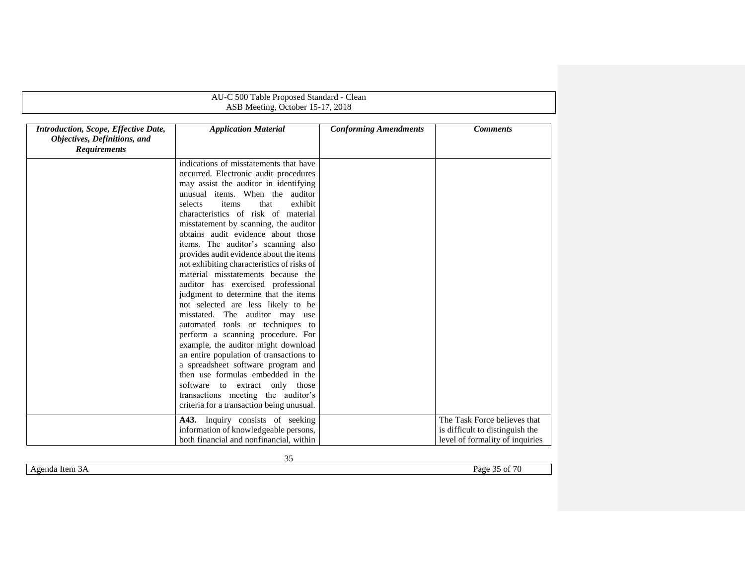|                                                                                             | AU-C 500 Table Proposed Standard - Clean                                                                                                                                                                                                                                                                                                                                                                                                                                                                                                                                                                                                                                                                                                                                                                                                                                                                                                                                                                       |                              |                                                                                                    |
|---------------------------------------------------------------------------------------------|----------------------------------------------------------------------------------------------------------------------------------------------------------------------------------------------------------------------------------------------------------------------------------------------------------------------------------------------------------------------------------------------------------------------------------------------------------------------------------------------------------------------------------------------------------------------------------------------------------------------------------------------------------------------------------------------------------------------------------------------------------------------------------------------------------------------------------------------------------------------------------------------------------------------------------------------------------------------------------------------------------------|------------------------------|----------------------------------------------------------------------------------------------------|
|                                                                                             | ASB Meeting, October 15-17, 2018                                                                                                                                                                                                                                                                                                                                                                                                                                                                                                                                                                                                                                                                                                                                                                                                                                                                                                                                                                               |                              |                                                                                                    |
| Introduction, Scope, Effective Date,<br>Objectives, Definitions, and<br><b>Requirements</b> | <b>Application Material</b>                                                                                                                                                                                                                                                                                                                                                                                                                                                                                                                                                                                                                                                                                                                                                                                                                                                                                                                                                                                    | <b>Conforming Amendments</b> | <b>Comments</b>                                                                                    |
|                                                                                             | indications of misstatements that have<br>occurred. Electronic audit procedures<br>may assist the auditor in identifying<br>unusual items. When the auditor<br>that<br>exhibit<br>selects<br>items<br>characteristics of risk of material<br>misstatement by scanning, the auditor<br>obtains audit evidence about those<br>items. The auditor's scanning also<br>provides audit evidence about the items<br>not exhibiting characteristics of risks of<br>material misstatements because the<br>auditor has exercised professional<br>judgment to determine that the items<br>not selected are less likely to be<br>misstated. The auditor may use<br>automated tools or techniques to<br>perform a scanning procedure. For<br>example, the auditor might download<br>an entire population of transactions to<br>a spreadsheet software program and<br>then use formulas embedded in the<br>software to extract only those<br>transactions meeting the auditor's<br>criteria for a transaction being unusual. |                              |                                                                                                    |
|                                                                                             | A43. Inquiry consists of seeking<br>information of knowledgeable persons,<br>both financial and nonfinancial, within                                                                                                                                                                                                                                                                                                                                                                                                                                                                                                                                                                                                                                                                                                                                                                                                                                                                                           |                              | The Task Force believes that<br>is difficult to distinguish the<br>level of formality of inquiries |

Agenda Item 3A Page 35 of 70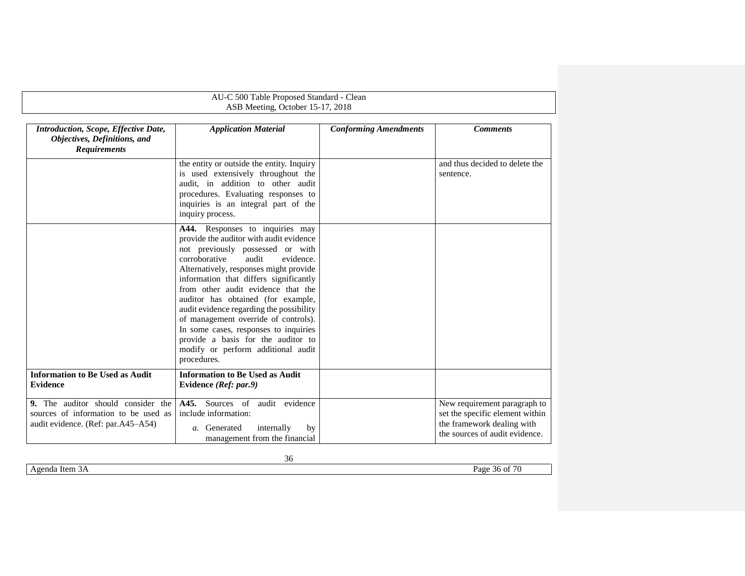<span id="page-35-0"></span>

|                                                                                                                  | AU-C 500 Table Proposed Standard - Clean<br>ASB Meeting, October 15-17, 2018                                                                                                                                                                                                                                                                                                                                                                                                                                                                  |                              |                                                                                                                                 |
|------------------------------------------------------------------------------------------------------------------|-----------------------------------------------------------------------------------------------------------------------------------------------------------------------------------------------------------------------------------------------------------------------------------------------------------------------------------------------------------------------------------------------------------------------------------------------------------------------------------------------------------------------------------------------|------------------------------|---------------------------------------------------------------------------------------------------------------------------------|
| Introduction, Scope, Effective Date,<br>Objectives, Definitions, and<br><b>Requirements</b>                      | <b>Application Material</b>                                                                                                                                                                                                                                                                                                                                                                                                                                                                                                                   | <b>Conforming Amendments</b> | <b>Comments</b>                                                                                                                 |
|                                                                                                                  | the entity or outside the entity. Inquiry<br>is used extensively throughout the<br>audit, in addition to other audit<br>procedures. Evaluating responses to<br>inquiries is an integral part of the<br>inquiry process.                                                                                                                                                                                                                                                                                                                       |                              | and thus decided to delete the<br>sentence.                                                                                     |
|                                                                                                                  | A44. Responses to inquiries may<br>provide the auditor with audit evidence<br>not previously possessed or with<br>corroborative<br>audit<br>evidence.<br>Alternatively, responses might provide<br>information that differs significantly<br>from other audit evidence that the<br>auditor has obtained (for example,<br>audit evidence regarding the possibility<br>of management override of controls).<br>In some cases, responses to inquiries<br>provide a basis for the auditor to<br>modify or perform additional audit<br>procedures. |                              |                                                                                                                                 |
| <b>Information to Be Used as Audit</b><br><b>Evidence</b>                                                        | <b>Information to Be Used as Audit</b><br>Evidence (Ref: par.9)                                                                                                                                                                                                                                                                                                                                                                                                                                                                               |                              |                                                                                                                                 |
| 9. The auditor should consider the<br>sources of information to be used as<br>audit evidence. (Ref: par.A45–A54) | A45. Sources of<br>audit evidence<br>include information:<br>a. Generated<br>internally<br>by<br>management from the financial                                                                                                                                                                                                                                                                                                                                                                                                                |                              | New requirement paragraph to<br>set the specific element within<br>the framework dealing with<br>the sources of audit evidence. |

<span id="page-35-2"></span><span id="page-35-1"></span>Agenda Item 3A Page 36 of 70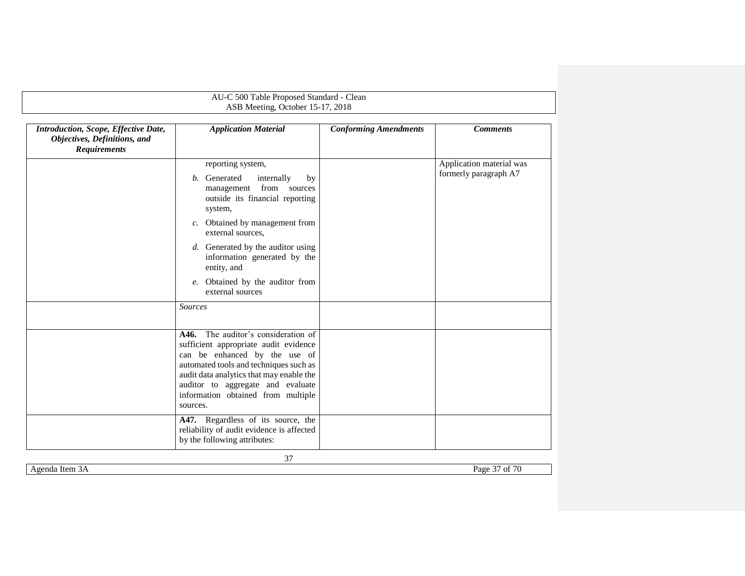|                                                                                             | ASB Meeting, October 15-17, 2018                                                                                                                                                                                                                                                                                                    |                              |                                                   |
|---------------------------------------------------------------------------------------------|-------------------------------------------------------------------------------------------------------------------------------------------------------------------------------------------------------------------------------------------------------------------------------------------------------------------------------------|------------------------------|---------------------------------------------------|
| Introduction, Scope, Effective Date,<br>Objectives, Definitions, and<br><b>Requirements</b> | <b>Application Material</b>                                                                                                                                                                                                                                                                                                         | <b>Conforming Amendments</b> | <b>Comments</b>                                   |
|                                                                                             | reporting system,<br>b. Generated<br>internally<br>by<br>management from sources<br>outside its financial reporting<br>system,<br>Obtained by management from<br>c.<br>external sources,<br>d. Generated by the auditor using<br>information generated by the<br>entity, and<br>e. Obtained by the auditor from<br>external sources |                              | Application material was<br>formerly paragraph A7 |
|                                                                                             | <b>Sources</b>                                                                                                                                                                                                                                                                                                                      |                              |                                                   |
|                                                                                             | A46. The auditor's consideration of<br>sufficient appropriate audit evidence<br>can be enhanced by the use of<br>automated tools and techniques such as<br>audit data analytics that may enable the<br>auditor to aggregate and evaluate<br>information obtained from multiple<br>sources.                                          |                              |                                                   |
|                                                                                             | A47. Regardless of its source, the<br>reliability of audit evidence is affected<br>by the following attributes:                                                                                                                                                                                                                     |                              |                                                   |

Agenda Item 3A Page 37 of 70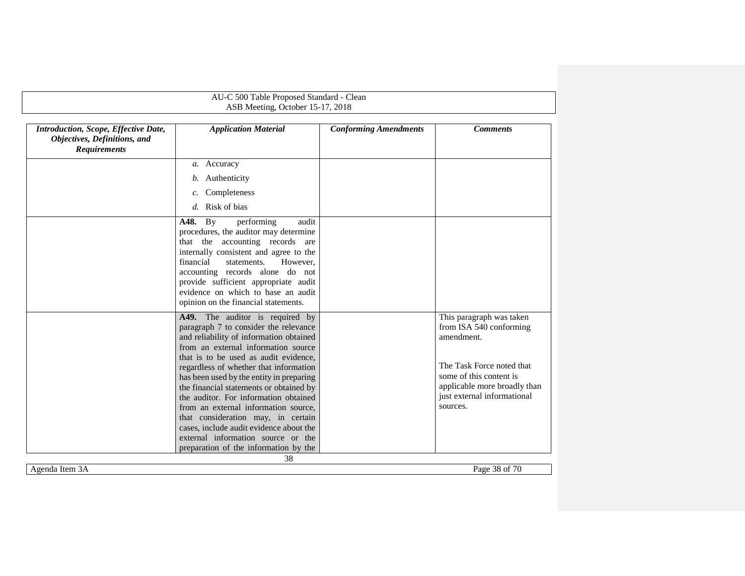| Introduction, Scope, Effective Date,<br>Objectives, Definitions, and<br><b>Requirements</b> | <b>Application Material</b>                                                                                                                                                                                                                                                                                                                                  | <b>Conforming Amendments</b> | <b>Comments</b>                                                                                                                 |
|---------------------------------------------------------------------------------------------|--------------------------------------------------------------------------------------------------------------------------------------------------------------------------------------------------------------------------------------------------------------------------------------------------------------------------------------------------------------|------------------------------|---------------------------------------------------------------------------------------------------------------------------------|
|                                                                                             | a. Accuracy                                                                                                                                                                                                                                                                                                                                                  |                              |                                                                                                                                 |
|                                                                                             | b. Authenticity                                                                                                                                                                                                                                                                                                                                              |                              |                                                                                                                                 |
|                                                                                             | Completeness<br>c.                                                                                                                                                                                                                                                                                                                                           |                              |                                                                                                                                 |
|                                                                                             | d. Risk of bias                                                                                                                                                                                                                                                                                                                                              |                              |                                                                                                                                 |
|                                                                                             | <b>A48.</b> By<br>performing<br>audit<br>procedures, the auditor may determine<br>that the accounting records are<br>internally consistent and agree to the<br>financial<br>statements.<br>However.<br>accounting records alone do not<br>provide sufficient appropriate audit<br>evidence on which to base an audit<br>opinion on the financial statements. |                              |                                                                                                                                 |
|                                                                                             | A49. The auditor is required by<br>paragraph 7 to consider the relevance<br>and reliability of information obtained<br>from an external information source                                                                                                                                                                                                   |                              | This paragraph was taken<br>from ISA 540 conforming<br>amendment.                                                               |
|                                                                                             | that is to be used as audit evidence,<br>regardless of whether that information<br>has been used by the entity in preparing<br>the financial statements or obtained by<br>the auditor. For information obtained<br>from an external information source,<br>that consideration may, in certain                                                                |                              | The Task Force noted that<br>some of this content is<br>applicable more broadly than<br>just external informational<br>sources. |
|                                                                                             | cases, include audit evidence about the<br>external information source or the<br>preparation of the information by the                                                                                                                                                                                                                                       |                              |                                                                                                                                 |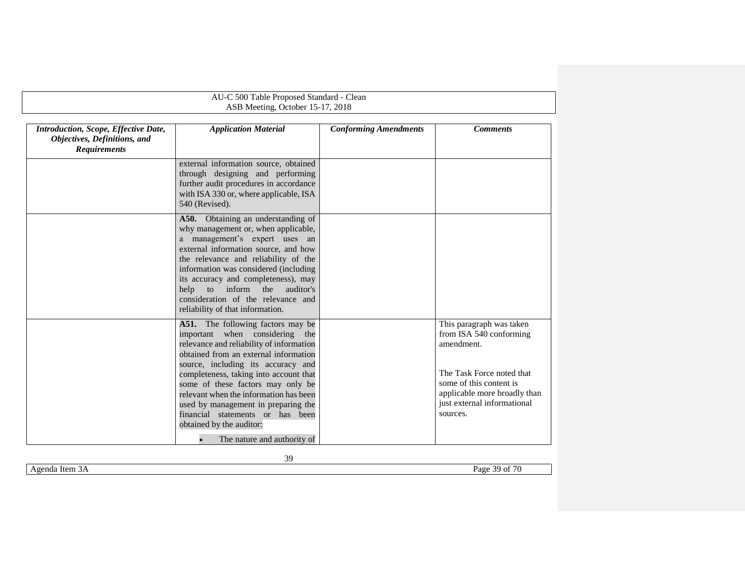|                                                                                             | AU-C 500 Table Proposed Standard - Clean<br>ASB Meeting, October 15-17, 2018                                                                                                                                                                                                                                                                                                                                                                                  |                              |                                                                                                                                                                                                      |
|---------------------------------------------------------------------------------------------|---------------------------------------------------------------------------------------------------------------------------------------------------------------------------------------------------------------------------------------------------------------------------------------------------------------------------------------------------------------------------------------------------------------------------------------------------------------|------------------------------|------------------------------------------------------------------------------------------------------------------------------------------------------------------------------------------------------|
| Introduction, Scope, Effective Date,<br>Objectives, Definitions, and<br><b>Requirements</b> | <b>Application Material</b>                                                                                                                                                                                                                                                                                                                                                                                                                                   | <b>Conforming Amendments</b> | <b>Comments</b>                                                                                                                                                                                      |
|                                                                                             | external information source, obtained<br>through designing and performing<br>further audit procedures in accordance<br>with ISA 330 or, where applicable, ISA<br>540 (Revised).                                                                                                                                                                                                                                                                               |                              |                                                                                                                                                                                                      |
|                                                                                             | A50. Obtaining an understanding of<br>why management or, when applicable,<br>a management's expert uses an<br>external information source, and how<br>the relevance and reliability of the<br>information was considered (including<br>its accuracy and completeness), may<br>inform the<br>help<br>to<br>auditor's<br>consideration of the relevance and<br>reliability of that information.                                                                 |                              |                                                                                                                                                                                                      |
|                                                                                             | A51. The following factors may be<br>important when considering the<br>relevance and reliability of information<br>obtained from an external information<br>source, including its accuracy and<br>completeness, taking into account that<br>some of these factors may only be<br>relevant when the information has been<br>used by management in preparing the<br>financial statements or has been<br>obtained by the auditor:<br>The nature and authority of |                              | This paragraph was taken<br>from ISA 540 conforming<br>amendment.<br>The Task Force noted that<br>some of this content is<br>applicable more broadly than<br>just external informational<br>sources. |

Agenda Item 3A Page 39 of 70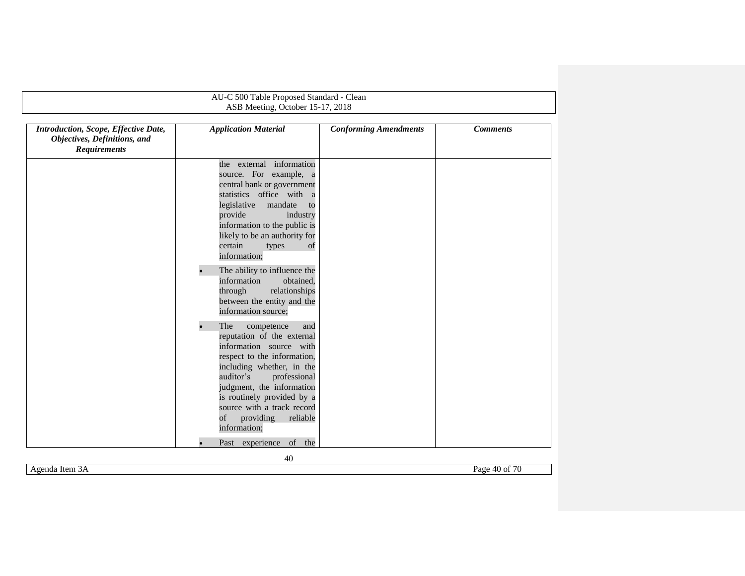|                                                                                             | AU-C 500 Table Proposed Standard - Clean                                                                                                                                                                                                                                                                                                                                                             |                              |                 |
|---------------------------------------------------------------------------------------------|------------------------------------------------------------------------------------------------------------------------------------------------------------------------------------------------------------------------------------------------------------------------------------------------------------------------------------------------------------------------------------------------------|------------------------------|-----------------|
|                                                                                             | ASB Meeting, October 15-17, 2018                                                                                                                                                                                                                                                                                                                                                                     |                              |                 |
| Introduction, Scope, Effective Date,<br>Objectives, Definitions, and<br><b>Requirements</b> | <b>Application Material</b>                                                                                                                                                                                                                                                                                                                                                                          | <b>Conforming Amendments</b> | <b>Comments</b> |
|                                                                                             | the external information<br>source. For example, a<br>central bank or government<br>statistics office with a<br>legislative<br>mandate<br>to<br>provide<br>industry<br>information to the public is<br>likely to be an authority for<br>certain<br>types<br>of<br>information;<br>The ability to influence the<br>information<br>obtained,<br>relationships<br>through<br>between the entity and the |                              |                 |
|                                                                                             | information source;<br>The<br>competence<br>and<br>reputation of the external<br>information source with<br>respect to the information,<br>including whether, in the<br>auditor's<br>professional<br>judgment, the information<br>is routinely provided by a<br>source with a track record<br>of<br>providing<br>reliable<br>information;                                                            |                              |                 |
|                                                                                             | Past experience of the                                                                                                                                                                                                                                                                                                                                                                               |                              |                 |

Agenda Item 3A Page 40 of 70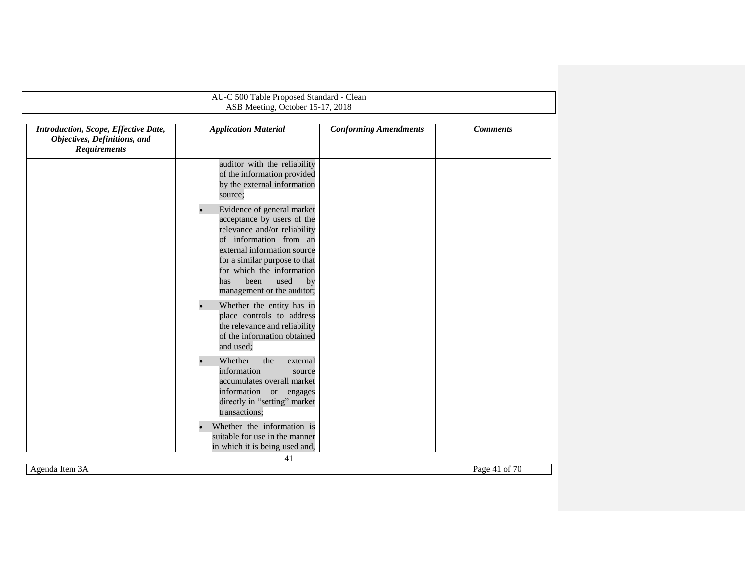| Introduction, Scope, Effective Date,<br>Objectives, Definitions, and<br><b>Requirements</b> | <b>Application Material</b>                                                                                                                                                                                                                                                | <b>Conforming Amendments</b> | <b>Comments</b> |
|---------------------------------------------------------------------------------------------|----------------------------------------------------------------------------------------------------------------------------------------------------------------------------------------------------------------------------------------------------------------------------|------------------------------|-----------------|
|                                                                                             | auditor with the reliability<br>of the information provided<br>by the external information<br>source;                                                                                                                                                                      |                              |                 |
|                                                                                             | Evidence of general market<br>acceptance by users of the<br>relevance and/or reliability<br>of information from an<br>external information source<br>for a similar purpose to that<br>for which the information<br>used<br>been<br>by<br>has<br>management or the auditor; |                              |                 |
|                                                                                             | $\bullet$<br>Whether the entity has in<br>place controls to address<br>the relevance and reliability<br>of the information obtained<br>and used;                                                                                                                           |                              |                 |
|                                                                                             | $\bullet$<br>Whether<br>the<br>external<br>information<br>source<br>accumulates overall market<br>information or engages<br>directly in "setting" market<br>transactions;                                                                                                  |                              |                 |
|                                                                                             | Whether the information is<br>suitable for use in the manner<br>in which it is being used and,                                                                                                                                                                             |                              |                 |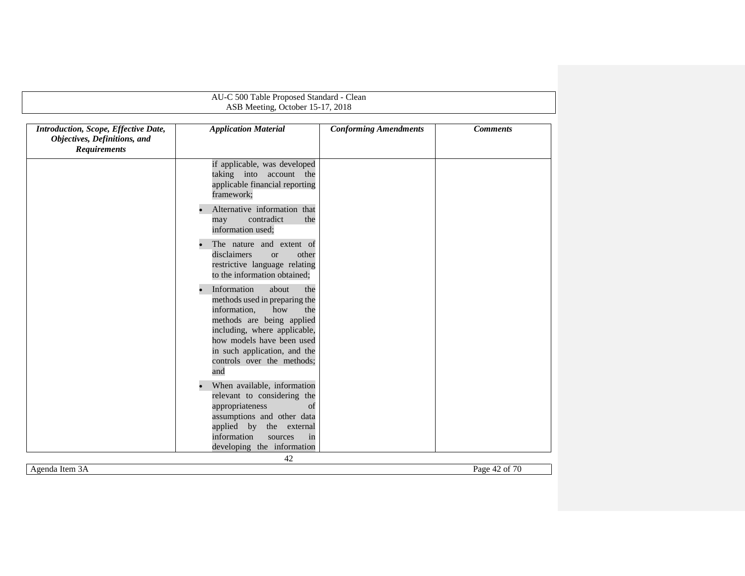|                                                                                             | ASB Meeting, October 15-17, 2018                                                                                                                                                                                                                          |                              |                 |
|---------------------------------------------------------------------------------------------|-----------------------------------------------------------------------------------------------------------------------------------------------------------------------------------------------------------------------------------------------------------|------------------------------|-----------------|
| Introduction, Scope, Effective Date,<br>Objectives, Definitions, and<br><b>Requirements</b> | <b>Application Material</b>                                                                                                                                                                                                                               | <b>Conforming Amendments</b> | <b>Comments</b> |
|                                                                                             | if applicable, was developed<br>taking into account the<br>applicable financial reporting<br>framework;<br>Alternative information that<br>contradict<br>may<br>the<br>information used;                                                                  |                              |                 |
|                                                                                             | The nature and extent of<br>disclaimers<br>other<br><sub>or</sub><br>restrictive language relating<br>to the information obtained;                                                                                                                        |                              |                 |
|                                                                                             | Information<br>about<br>the<br>methods used in preparing the<br>information,<br>how<br>the<br>methods are being applied<br>including, where applicable,<br>how models have been used<br>in such application, and the<br>controls over the methods;<br>and |                              |                 |
|                                                                                             | When available, information<br>relevant to considering the<br>appropriateness<br>of<br>assumptions and other data<br>applied by the external<br>information<br>sources<br>in<br>developing the information                                                |                              |                 |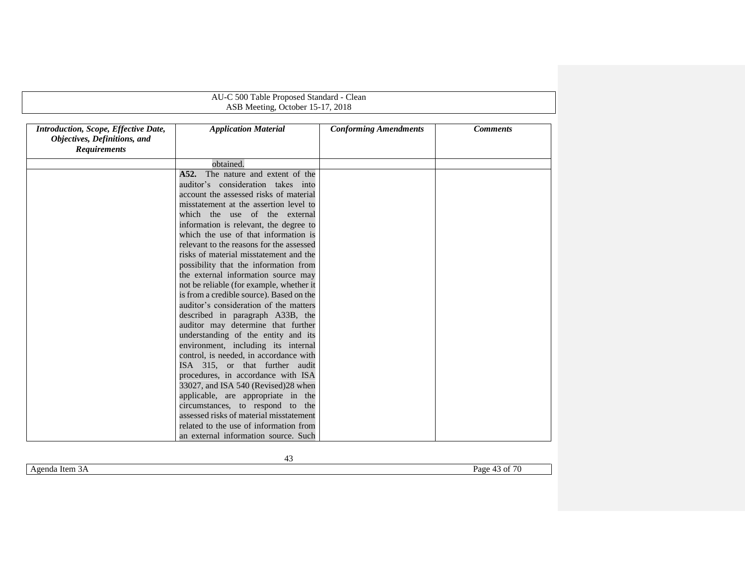|                                                                                             | AU-C 500 Table Proposed Standard - Clean                                       |                              |                 |
|---------------------------------------------------------------------------------------------|--------------------------------------------------------------------------------|------------------------------|-----------------|
|                                                                                             | ASB Meeting, October 15-17, 2018                                               |                              |                 |
| Introduction, Scope, Effective Date,<br>Objectives, Definitions, and<br><b>Requirements</b> | <b>Application Material</b>                                                    | <b>Conforming Amendments</b> | <b>Comments</b> |
|                                                                                             | obtained.                                                                      |                              |                 |
|                                                                                             | A52.<br>The nature and extent of the                                           |                              |                 |
|                                                                                             | auditor's consideration takes into                                             |                              |                 |
|                                                                                             | account the assessed risks of material                                         |                              |                 |
|                                                                                             | misstatement at the assertion level to<br>which the use of the external        |                              |                 |
|                                                                                             | information is relevant, the degree to<br>which the use of that information is |                              |                 |
|                                                                                             | relevant to the reasons for the assessed                                       |                              |                 |
|                                                                                             | risks of material misstatement and the                                         |                              |                 |
|                                                                                             | possibility that the information from                                          |                              |                 |
|                                                                                             | the external information source may                                            |                              |                 |
|                                                                                             | not be reliable (for example, whether it                                       |                              |                 |
|                                                                                             | is from a credible source). Based on the                                       |                              |                 |
|                                                                                             | auditor's consideration of the matters                                         |                              |                 |
|                                                                                             | described in paragraph A33B, the                                               |                              |                 |
|                                                                                             | auditor may determine that further                                             |                              |                 |
|                                                                                             | understanding of the entity and its                                            |                              |                 |
|                                                                                             | environment, including its internal                                            |                              |                 |
|                                                                                             | control, is needed, in accordance with                                         |                              |                 |
|                                                                                             | ISA 315, or that further audit                                                 |                              |                 |
|                                                                                             | procedures, in accordance with ISA                                             |                              |                 |
|                                                                                             | 33027, and ISA 540 (Revised) 28 when                                           |                              |                 |
|                                                                                             | applicable, are appropriate in the                                             |                              |                 |
|                                                                                             | circumstances, to respond to the                                               |                              |                 |
|                                                                                             | assessed risks of material misstatement                                        |                              |                 |
|                                                                                             | related to the use of information from                                         |                              |                 |
|                                                                                             | an external information source. Such                                           |                              |                 |

Agenda Item 3A Page 43 of 70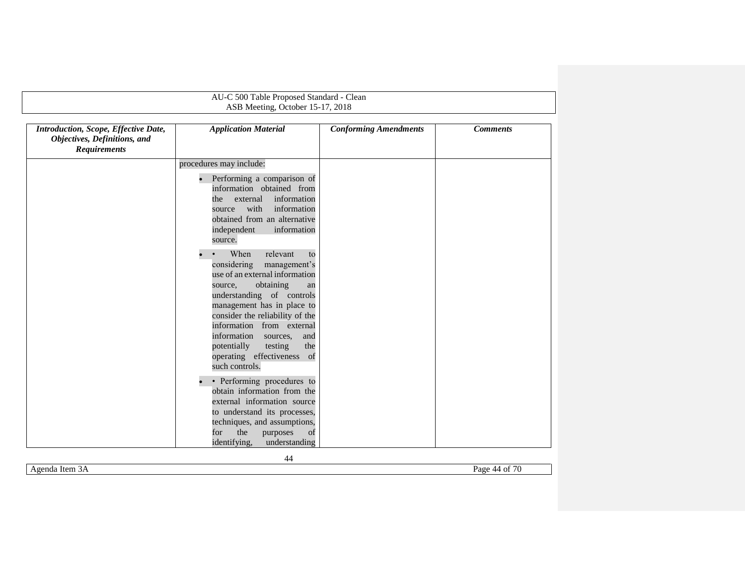|                                                                                             | AU-C 500 Table Proposed Standard - Clean<br>ASB Meeting, October 15-17, 2018                                                                                                                                                                                                                                                                                                      |                              |                 |
|---------------------------------------------------------------------------------------------|-----------------------------------------------------------------------------------------------------------------------------------------------------------------------------------------------------------------------------------------------------------------------------------------------------------------------------------------------------------------------------------|------------------------------|-----------------|
| Introduction, Scope, Effective Date,<br>Objectives, Definitions, and<br><b>Requirements</b> | <b>Application Material</b>                                                                                                                                                                                                                                                                                                                                                       | <b>Conforming Amendments</b> | <b>Comments</b> |
|                                                                                             | procedures may include:                                                                                                                                                                                                                                                                                                                                                           |                              |                 |
|                                                                                             | Performing a comparison of<br>$\bullet$<br>information obtained from<br>information<br>external<br>the<br>with<br>information<br>source<br>obtained from an alternative<br>independent<br>information<br>source.                                                                                                                                                                  |                              |                 |
|                                                                                             | When<br>relevant<br>to<br>considering<br>management's<br>use of an external information<br>obtaining<br>source,<br>an<br>understanding of controls<br>management has in place to<br>consider the reliability of the<br>information from external<br>information<br>sources,<br>and<br>the<br>potentially<br>testing<br>operating effectiveness<br><sub>of</sub><br>such controls. |                              |                 |
|                                                                                             | • Performing procedures to<br>obtain information from the<br>external information source<br>to understand its processes,<br>techniques, and assumptions,<br>the<br>for<br>purposes<br>of<br>identifying,<br>understanding                                                                                                                                                         |                              |                 |

Agenda Item 3A Page 44 of 70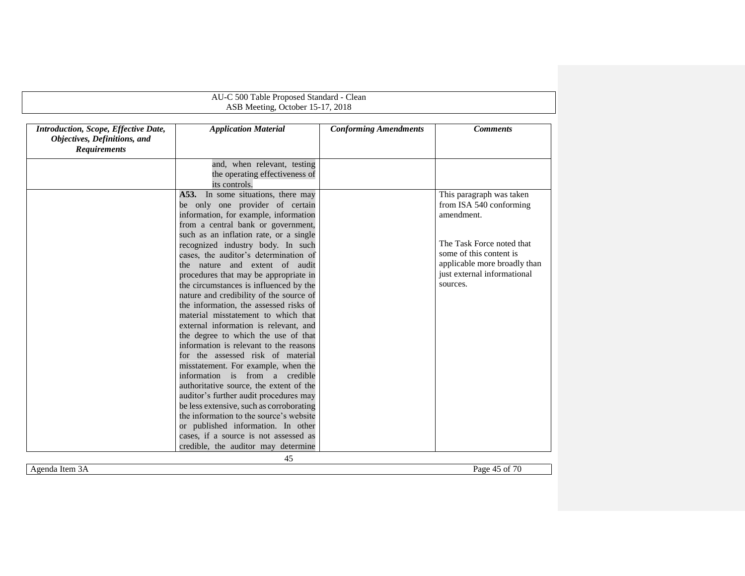| AU-C 500 Table Proposed Standard - Clean |                                           |                              |                              |
|------------------------------------------|-------------------------------------------|------------------------------|------------------------------|
|                                          | ASB Meeting, October 15-17, 2018          |                              |                              |
|                                          |                                           |                              |                              |
| Introduction, Scope, Effective Date,     | <b>Application Material</b>               | <b>Conforming Amendments</b> | <b>Comments</b>              |
| Objectives, Definitions, and             |                                           |                              |                              |
| <b>Requirements</b>                      |                                           |                              |                              |
|                                          | and, when relevant, testing               |                              |                              |
|                                          | the operating effectiveness of            |                              |                              |
|                                          | its controls.                             |                              |                              |
|                                          | In some situations, there may<br>A53.     |                              | This paragraph was taken     |
|                                          | be only one provider of certain           |                              | from ISA 540 conforming      |
|                                          | information, for example, information     |                              | amendment.                   |
|                                          | from a central bank or government,        |                              |                              |
|                                          | such as an inflation rate, or a single    |                              |                              |
|                                          | recognized industry body. In such         |                              | The Task Force noted that    |
|                                          | cases, the auditor's determination of     |                              | some of this content is      |
|                                          | the nature and extent of audit            |                              | applicable more broadly than |
|                                          | procedures that may be appropriate in     |                              | just external informational  |
|                                          | the circumstances is influenced by the    |                              | sources.                     |
|                                          | nature and credibility of the source of   |                              |                              |
|                                          | the information, the assessed risks of    |                              |                              |
|                                          | material misstatement to which that       |                              |                              |
|                                          | external information is relevant, and     |                              |                              |
|                                          | the degree to which the use of that       |                              |                              |
|                                          | information is relevant to the reasons    |                              |                              |
|                                          | for the assessed risk of material         |                              |                              |
|                                          | misstatement. For example, when the       |                              |                              |
|                                          | information is from a credible            |                              |                              |
|                                          | authoritative source, the extent of the   |                              |                              |
|                                          | auditor's further audit procedures may    |                              |                              |
|                                          | be less extensive, such as corroborating  |                              |                              |
|                                          | the information to the source's website   |                              |                              |
|                                          | or published information. In other        |                              |                              |
|                                          | cases, if a source is not assessed as     |                              |                              |
|                                          | credible, the auditor may determine<br>45 |                              |                              |

Agenda Item 3A Page 45 of 70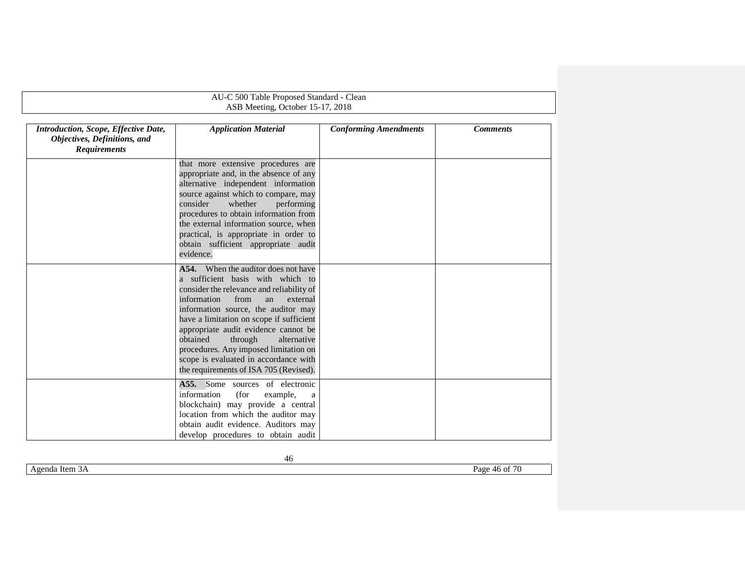<span id="page-45-0"></span>

|                                                                                             | AU-C 500 Table Proposed Standard - Clean                                                                                                                                                                                                                                                                                                                                                                                                                          |                              |                 |  |  |
|---------------------------------------------------------------------------------------------|-------------------------------------------------------------------------------------------------------------------------------------------------------------------------------------------------------------------------------------------------------------------------------------------------------------------------------------------------------------------------------------------------------------------------------------------------------------------|------------------------------|-----------------|--|--|
|                                                                                             | ASB Meeting, October 15-17, 2018                                                                                                                                                                                                                                                                                                                                                                                                                                  |                              |                 |  |  |
| Introduction, Scope, Effective Date,<br>Objectives, Definitions, and<br><b>Requirements</b> | <b>Application Material</b>                                                                                                                                                                                                                                                                                                                                                                                                                                       | <b>Conforming Amendments</b> | <b>Comments</b> |  |  |
|                                                                                             | that more extensive procedures are<br>appropriate and, in the absence of any<br>alternative independent information<br>source against which to compare, may<br>consider<br>whether<br>performing<br>procedures to obtain information from<br>the external information source, when<br>practical, is appropriate in order to<br>obtain sufficient appropriate audit<br>evidence.                                                                                   |                              |                 |  |  |
|                                                                                             | <b>A54.</b> When the auditor does not have<br>a sufficient basis with which to<br>consider the relevance and reliability of<br>information<br>from<br>external<br>an<br>information source, the auditor may<br>have a limitation on scope if sufficient<br>appropriate audit evidence cannot be<br>obtained<br>through<br>alternative<br>procedures. Any imposed limitation on<br>scope is evaluated in accordance with<br>the requirements of ISA 705 (Revised). |                              |                 |  |  |
|                                                                                             | A55. Some sources of electronic<br>information<br>(for<br>example,<br>a<br>blockchain) may provide a central<br>location from which the auditor may<br>obtain audit evidence. Auditors may<br>develop procedures to obtain audit                                                                                                                                                                                                                                  |                              |                 |  |  |

Agenda Item 3A Page 46 of 70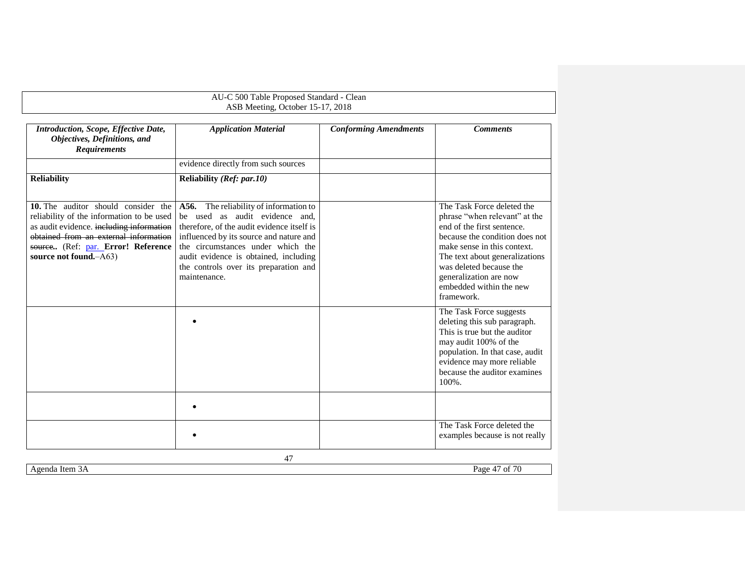<span id="page-46-0"></span>

|                                                                                                                                                                                                                                         | AU-C 500 Table Proposed Standard - Clean<br>ASB Meeting, October 15-17, 2018                                                                                                                                                                                                                             |                              |                                                                                                                                                                                                                                                                                            |
|-----------------------------------------------------------------------------------------------------------------------------------------------------------------------------------------------------------------------------------------|----------------------------------------------------------------------------------------------------------------------------------------------------------------------------------------------------------------------------------------------------------------------------------------------------------|------------------------------|--------------------------------------------------------------------------------------------------------------------------------------------------------------------------------------------------------------------------------------------------------------------------------------------|
| Introduction, Scope, Effective Date,<br>Objectives, Definitions, and<br><b>Requirements</b>                                                                                                                                             | <b>Application Material</b>                                                                                                                                                                                                                                                                              | <b>Conforming Amendments</b> | <b>Comments</b>                                                                                                                                                                                                                                                                            |
|                                                                                                                                                                                                                                         | evidence directly from such sources                                                                                                                                                                                                                                                                      |                              |                                                                                                                                                                                                                                                                                            |
| <b>Reliability</b>                                                                                                                                                                                                                      | Reliability (Ref: par.10)                                                                                                                                                                                                                                                                                |                              |                                                                                                                                                                                                                                                                                            |
| 10. The auditor should consider the<br>reliability of the information to be used<br>as audit evidence. including information<br>obtained from an external information<br>source (Ref: par. Error! Reference<br>source not found. - A63) | A56. The reliability of information to<br>be used as audit evidence and,<br>therefore, of the audit evidence itself is<br>influenced by its source and nature and<br>the circumstances under which the<br>audit evidence is obtained, including<br>the controls over its preparation and<br>maintenance. |                              | The Task Force deleted the<br>phrase "when relevant" at the<br>end of the first sentence.<br>because the condition does not<br>make sense in this context.<br>The text about generalizations<br>was deleted because the<br>generalization are now<br>embedded within the new<br>framework. |
|                                                                                                                                                                                                                                         |                                                                                                                                                                                                                                                                                                          |                              | The Task Force suggests<br>deleting this sub paragraph.<br>This is true but the auditor<br>may audit 100% of the<br>population. In that case, audit<br>evidence may more reliable<br>because the auditor examines<br>$100\%$ .                                                             |
|                                                                                                                                                                                                                                         |                                                                                                                                                                                                                                                                                                          |                              |                                                                                                                                                                                                                                                                                            |
|                                                                                                                                                                                                                                         |                                                                                                                                                                                                                                                                                                          |                              | The Task Force deleted the<br>examples because is not really                                                                                                                                                                                                                               |
|                                                                                                                                                                                                                                         | 47                                                                                                                                                                                                                                                                                                       |                              |                                                                                                                                                                                                                                                                                            |

Agenda Item 3A Page 47 of 70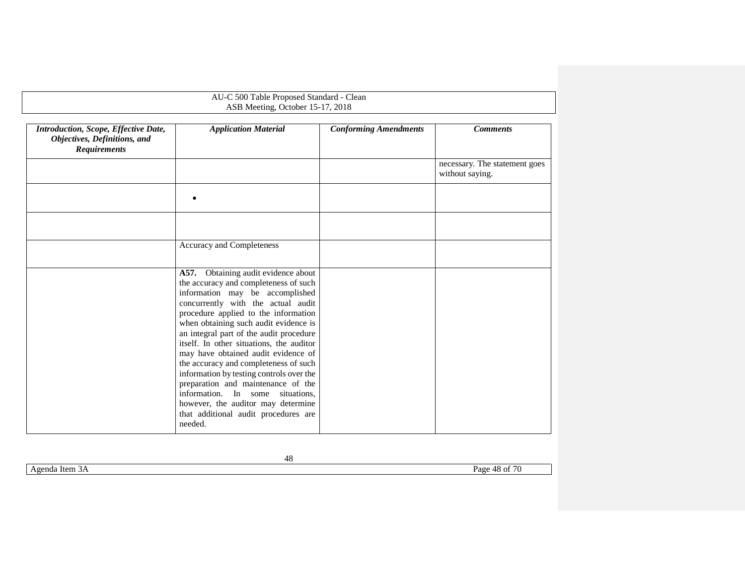| AU-C 500 Table Proposed Standard - Clean<br>ASB Meeting, October 15-17, 2018                |                                                                                                                                                                                                                                                                                                                                                                                                                                                                                                                                                                                                                              |                              |                                                  |  |
|---------------------------------------------------------------------------------------------|------------------------------------------------------------------------------------------------------------------------------------------------------------------------------------------------------------------------------------------------------------------------------------------------------------------------------------------------------------------------------------------------------------------------------------------------------------------------------------------------------------------------------------------------------------------------------------------------------------------------------|------------------------------|--------------------------------------------------|--|
| Introduction, Scope, Effective Date,<br>Objectives, Definitions, and<br><b>Requirements</b> | <b>Application Material</b>                                                                                                                                                                                                                                                                                                                                                                                                                                                                                                                                                                                                  | <b>Conforming Amendments</b> | <b>Comments</b>                                  |  |
|                                                                                             |                                                                                                                                                                                                                                                                                                                                                                                                                                                                                                                                                                                                                              |                              | necessary. The statement goes<br>without saying. |  |
|                                                                                             |                                                                                                                                                                                                                                                                                                                                                                                                                                                                                                                                                                                                                              |                              |                                                  |  |
|                                                                                             |                                                                                                                                                                                                                                                                                                                                                                                                                                                                                                                                                                                                                              |                              |                                                  |  |
|                                                                                             | Accuracy and Completeness                                                                                                                                                                                                                                                                                                                                                                                                                                                                                                                                                                                                    |                              |                                                  |  |
|                                                                                             | A57. Obtaining audit evidence about<br>the accuracy and completeness of such<br>information may be accomplished<br>concurrently with the actual audit<br>procedure applied to the information<br>when obtaining such audit evidence is<br>an integral part of the audit procedure<br>itself. In other situations, the auditor<br>may have obtained audit evidence of<br>the accuracy and completeness of such<br>information by testing controls over the<br>preparation and maintenance of the<br>information. In some situations,<br>however, the auditor may determine<br>that additional audit procedures are<br>needed. |                              |                                                  |  |

Agenda Item 3A Page 48 of 70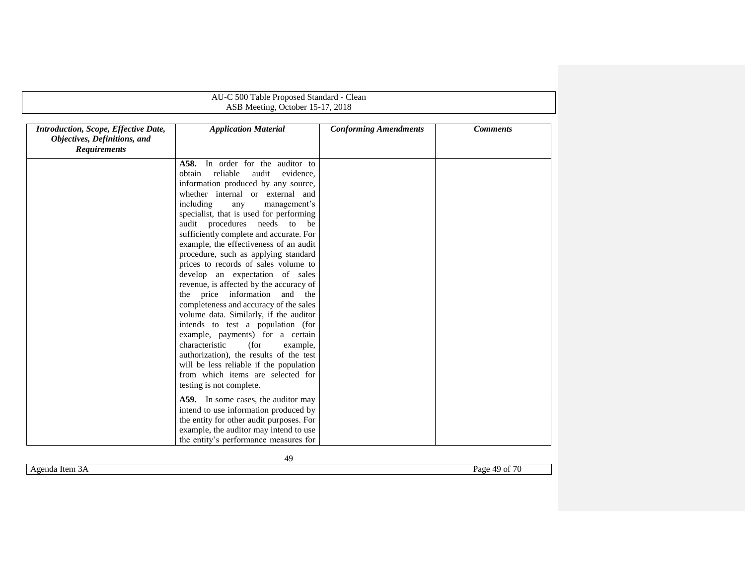|                                                                                             | AU-C 500 Table Proposed Standard - Clean                                                                                                                                                                                                                           |                              |                 |  |  |
|---------------------------------------------------------------------------------------------|--------------------------------------------------------------------------------------------------------------------------------------------------------------------------------------------------------------------------------------------------------------------|------------------------------|-----------------|--|--|
|                                                                                             | ASB Meeting, October 15-17, 2018                                                                                                                                                                                                                                   |                              |                 |  |  |
| Introduction, Scope, Effective Date,<br>Objectives, Definitions, and<br><b>Requirements</b> | <b>Application Material</b>                                                                                                                                                                                                                                        | <b>Conforming Amendments</b> | <b>Comments</b> |  |  |
|                                                                                             | In order for the auditor to<br>A58.<br>reliable<br>obtain<br>audit<br>evidence,<br>information produced by any source,<br>whether internal or external and<br>including<br>management's<br>any<br>specialist, that is used for performing                          |                              |                 |  |  |
|                                                                                             | audit procedures needs to be<br>sufficiently complete and accurate. For<br>example, the effectiveness of an audit<br>procedure, such as applying standard<br>prices to records of sales volume to                                                                  |                              |                 |  |  |
|                                                                                             | develop an expectation of sales<br>revenue, is affected by the accuracy of<br>the price information<br>and<br>the<br>completeness and accuracy of the sales<br>volume data. Similarly, if the auditor                                                              |                              |                 |  |  |
|                                                                                             | intends to test a population (for<br>example, payments) for a certain<br>characteristic<br>(for<br>example,<br>authorization), the results of the test<br>will be less reliable if the population<br>from which items are selected for<br>testing is not complete. |                              |                 |  |  |
|                                                                                             | A59. In some cases, the auditor may<br>intend to use information produced by<br>the entity for other audit purposes. For<br>example, the auditor may intend to use<br>the entity's performance measures for                                                        |                              |                 |  |  |

Agenda Item 3A Page 49 of 70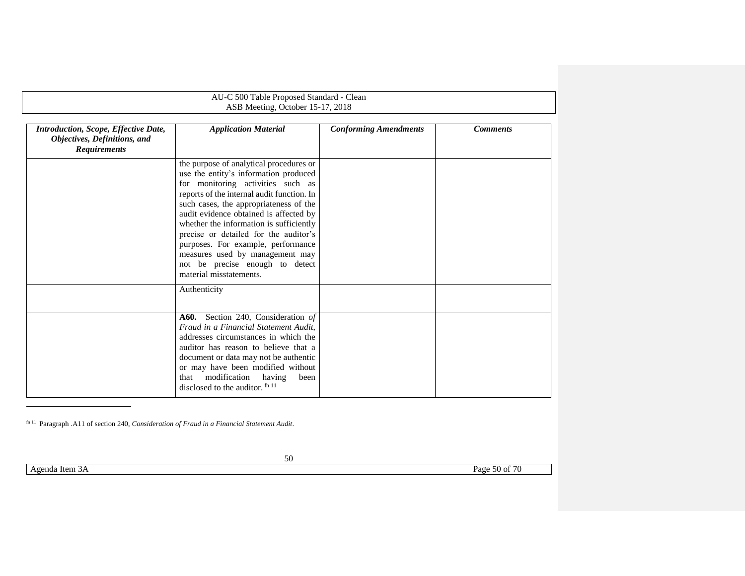| AU-C 500 Table Proposed Standard - Clean<br>ASB Meeting, October 15-17, 2018 |  |
|------------------------------------------------------------------------------|--|
|                                                                              |  |

| <b>Introduction, Scope, Effective Date,</b><br>Objectives, Definitions, and<br><b>Requirements</b> | <b>Application Material</b>                                                                                                                                                                                                                                                                                                                                                                                                                                                        | <b>Conforming Amendments</b> | <b>Comments</b> |
|----------------------------------------------------------------------------------------------------|------------------------------------------------------------------------------------------------------------------------------------------------------------------------------------------------------------------------------------------------------------------------------------------------------------------------------------------------------------------------------------------------------------------------------------------------------------------------------------|------------------------------|-----------------|
|                                                                                                    | the purpose of analytical procedures or<br>use the entity's information produced<br>for monitoring activities such as<br>reports of the internal audit function. In<br>such cases, the appropriateness of the<br>audit evidence obtained is affected by<br>whether the information is sufficiently<br>precise or detailed for the auditor's<br>purposes. For example, performance<br>measures used by management may<br>not be precise enough to detect<br>material misstatements. |                              |                 |
|                                                                                                    | Authenticity                                                                                                                                                                                                                                                                                                                                                                                                                                                                       |                              |                 |
|                                                                                                    | <b>A60.</b> Section 240, Consideration of<br>Fraud in a Financial Statement Audit.<br>addresses circumstances in which the<br>auditor has reason to believe that a<br>document or data may not be authentic<br>or may have been modified without<br>that modification<br>having<br>been<br>disclosed to the auditor. fn 11                                                                                                                                                         |                              |                 |

fn 11 Paragraph .A11 of section 240, *Consideration of Fraud in a Financial Statement Audit*.

l

50

Agenda Item 3A Page 50 of 70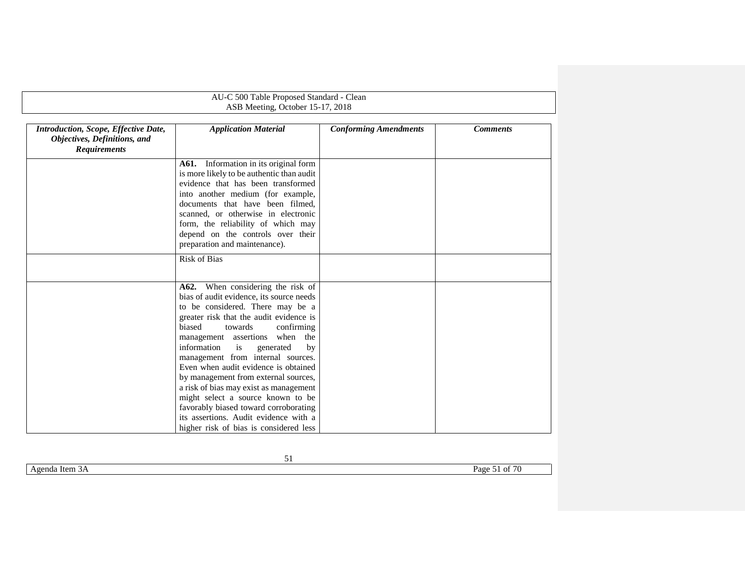|                                                                                             | AU-C 500 Table Proposed Standard - Clean<br>ASB Meeting, October 15-17, 2018                                                                                                                                                                                                                                                                                                                                                                                                                                                                                    |                              |                 |
|---------------------------------------------------------------------------------------------|-----------------------------------------------------------------------------------------------------------------------------------------------------------------------------------------------------------------------------------------------------------------------------------------------------------------------------------------------------------------------------------------------------------------------------------------------------------------------------------------------------------------------------------------------------------------|------------------------------|-----------------|
|                                                                                             |                                                                                                                                                                                                                                                                                                                                                                                                                                                                                                                                                                 |                              |                 |
| Introduction, Scope, Effective Date,<br>Objectives, Definitions, and<br><b>Requirements</b> | <b>Application Material</b>                                                                                                                                                                                                                                                                                                                                                                                                                                                                                                                                     | <b>Conforming Amendments</b> | <b>Comments</b> |
|                                                                                             | A61. Information in its original form<br>is more likely to be authentic than audit<br>evidence that has been transformed<br>into another medium (for example,<br>documents that have been filmed,<br>scanned, or otherwise in electronic<br>form, the reliability of which may<br>depend on the controls over their<br>preparation and maintenance).                                                                                                                                                                                                            |                              |                 |
|                                                                                             | <b>Risk of Bias</b>                                                                                                                                                                                                                                                                                                                                                                                                                                                                                                                                             |                              |                 |
|                                                                                             | A62. When considering the risk of<br>bias of audit evidence, its source needs<br>to be considered. There may be a<br>greater risk that the audit evidence is<br>biased<br>confirming<br>towards<br>management assertions when the<br>information<br>is<br>generated<br>by<br>management from internal sources.<br>Even when audit evidence is obtained<br>by management from external sources,<br>a risk of bias may exist as management<br>might select a source known to be<br>favorably biased toward corroborating<br>its assertions. Audit evidence with a |                              |                 |

Agenda Item 3A Page 51 of 70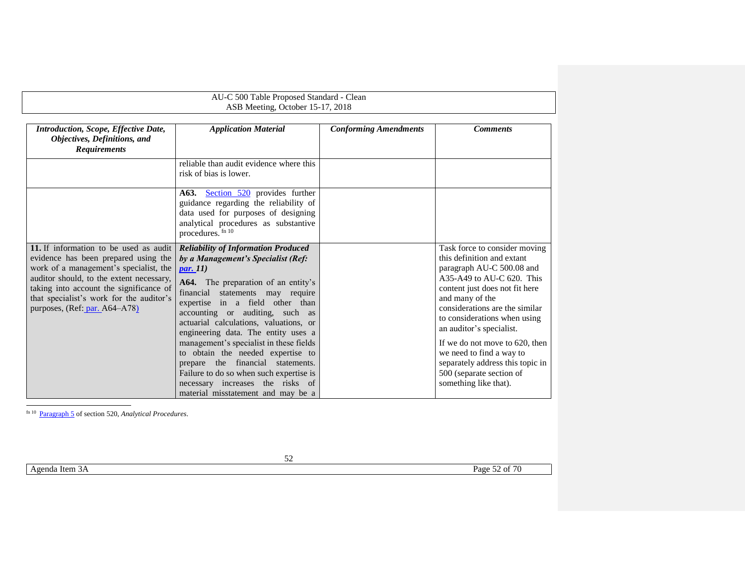<span id="page-51-2"></span><span id="page-51-0"></span>

| AU-C 500 Table Proposed Standard - Clean<br>ASB Meeting, October 15-17, 2018                                                                                                                                                                                                                 |                                                                                                                                                                                                                                                                                                                                                                                                                                                                                                                                                                                 |                              |                                                                                                                                                                                                                                                                                                                                                                                                                                   |
|----------------------------------------------------------------------------------------------------------------------------------------------------------------------------------------------------------------------------------------------------------------------------------------------|---------------------------------------------------------------------------------------------------------------------------------------------------------------------------------------------------------------------------------------------------------------------------------------------------------------------------------------------------------------------------------------------------------------------------------------------------------------------------------------------------------------------------------------------------------------------------------|------------------------------|-----------------------------------------------------------------------------------------------------------------------------------------------------------------------------------------------------------------------------------------------------------------------------------------------------------------------------------------------------------------------------------------------------------------------------------|
| <b>Introduction, Scope, Effective Date,</b><br>Objectives, Definitions, and<br><b>Requirements</b>                                                                                                                                                                                           | <b>Application Material</b>                                                                                                                                                                                                                                                                                                                                                                                                                                                                                                                                                     | <b>Conforming Amendments</b> | <b>Comments</b>                                                                                                                                                                                                                                                                                                                                                                                                                   |
|                                                                                                                                                                                                                                                                                              | reliable than audit evidence where this<br>risk of bias is lower.                                                                                                                                                                                                                                                                                                                                                                                                                                                                                                               |                              |                                                                                                                                                                                                                                                                                                                                                                                                                                   |
|                                                                                                                                                                                                                                                                                              | A63. Section 520 provides further<br>guidance regarding the reliability of<br>data used for purposes of designing<br>analytical procedures as substantive<br>procedures. fn 10                                                                                                                                                                                                                                                                                                                                                                                                  |                              |                                                                                                                                                                                                                                                                                                                                                                                                                                   |
| 11. If information to be used as audit<br>evidence has been prepared using the<br>work of a management's specialist, the<br>auditor should, to the extent necessary,<br>taking into account the significance of<br>that specialist's work for the auditor's<br>purposes, (Ref: par. A64–A78) | <b>Reliability of Information Produced</b><br>by a Management's Specialist (Ref:<br><i>par.</i> 11)<br>A64. The preparation of an entity's<br>financial statements may require<br>expertise in a field other than<br>accounting or auditing, such as<br>actuarial calculations, valuations, or<br>engineering data. The entity uses a<br>management's specialist in these fields<br>to obtain the needed expertise to<br>prepare the financial statements.<br>Failure to do so when such expertise is<br>necessary increases the risks of<br>material misstatement and may be a |                              | Task force to consider moving<br>this definition and extant<br>paragraph AU-C 500.08 and<br>$A35-A49$ to AU-C 620. This<br>content just does not fit here<br>and many of the<br>considerations are the similar<br>to considerations when using<br>an auditor's specialist.<br>If we do not move to 620, then<br>we need to find a way to<br>separately address this topic in<br>500 (separate section of<br>something like that). |

<span id="page-51-1"></span>fn 10 Paragraph 5 of section 520, *Analytical Procedures*.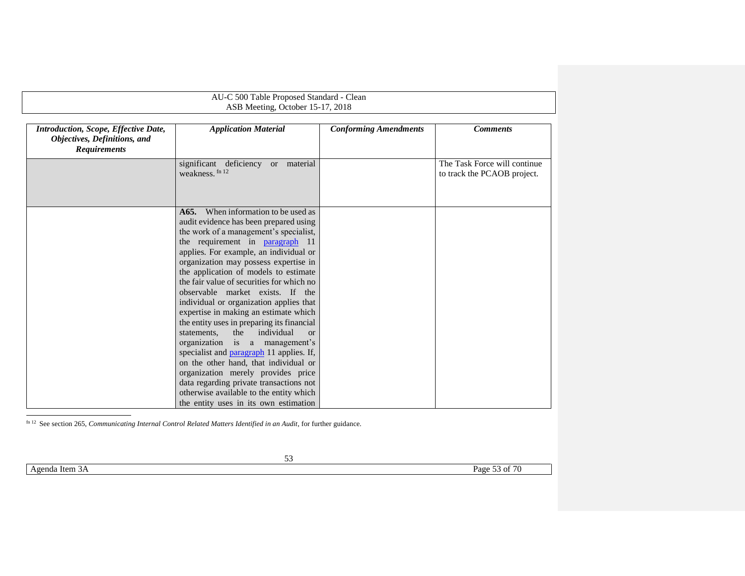| AU-C 500 Table Proposed Standard - Clean<br>ASB Meeting, October 15-17, 2018                |                                                                                                                                                                                                                                                                                                                                                                                                                                                                                                                                                                                                                                                                                                                                                                                                                                                                 |                              |                                                             |
|---------------------------------------------------------------------------------------------|-----------------------------------------------------------------------------------------------------------------------------------------------------------------------------------------------------------------------------------------------------------------------------------------------------------------------------------------------------------------------------------------------------------------------------------------------------------------------------------------------------------------------------------------------------------------------------------------------------------------------------------------------------------------------------------------------------------------------------------------------------------------------------------------------------------------------------------------------------------------|------------------------------|-------------------------------------------------------------|
|                                                                                             |                                                                                                                                                                                                                                                                                                                                                                                                                                                                                                                                                                                                                                                                                                                                                                                                                                                                 |                              |                                                             |
| Introduction, Scope, Effective Date,<br>Objectives, Definitions, and<br><b>Requirements</b> | <b>Application Material</b>                                                                                                                                                                                                                                                                                                                                                                                                                                                                                                                                                                                                                                                                                                                                                                                                                                     | <b>Conforming Amendments</b> | <b>Comments</b>                                             |
|                                                                                             | significant<br>deficiency or material<br>weakness. fn 12                                                                                                                                                                                                                                                                                                                                                                                                                                                                                                                                                                                                                                                                                                                                                                                                        |                              | The Task Force will continue<br>to track the PCAOB project. |
|                                                                                             | <b>A65.</b> When information to be used as<br>audit evidence has been prepared using<br>the work of a management's specialist,<br>the requirement in paragraph 11<br>applies. For example, an individual or<br>organization may possess expertise in<br>the application of models to estimate<br>the fair value of securities for which no<br>observable market exists. If the<br>individual or organization applies that<br>expertise in making an estimate which<br>the entity uses in preparing its financial<br>the<br>individual<br>statements.<br>$\alpha$<br>organization<br>is a management's<br>specialist and paragraph 11 applies. If,<br>on the other hand, that individual or<br>organization merely provides price<br>data regarding private transactions not<br>otherwise available to the entity which<br>the entity uses in its own estimation |                              |                                                             |

fn 12 See section 265, *Communicating Internal Control Related Matters Identified in an Audit*, for further guidance.

Agenda Item 3A Page 53 of 70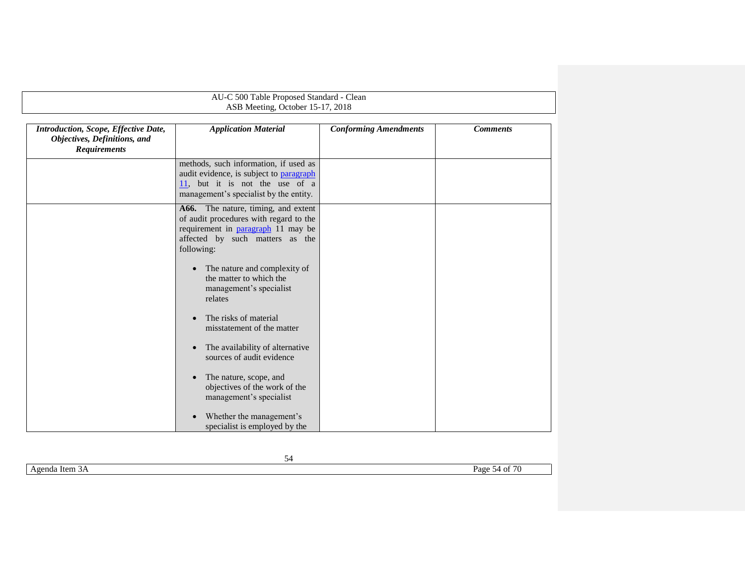| AU-C 500 Table Proposed Standard - Clean                                                    |                                                                                                                                                                             |                              |                 |  |
|---------------------------------------------------------------------------------------------|-----------------------------------------------------------------------------------------------------------------------------------------------------------------------------|------------------------------|-----------------|--|
|                                                                                             | ASB Meeting, October 15-17, 2018                                                                                                                                            |                              |                 |  |
| Introduction, Scope, Effective Date,<br>Objectives, Definitions, and<br><b>Requirements</b> | <b>Application Material</b>                                                                                                                                                 | <b>Conforming Amendments</b> | <b>Comments</b> |  |
|                                                                                             | methods, such information, if used as<br>audit evidence, is subject to paragraph<br>$\frac{11}{11}$ , but it is not the use of a<br>management's specialist by the entity.  |                              |                 |  |
|                                                                                             | A66. The nature, timing, and extent<br>of audit procedures with regard to the<br>requirement in <b>paragraph</b> 11 may be<br>affected by such matters as the<br>following: |                              |                 |  |
|                                                                                             | The nature and complexity of<br>$\bullet$<br>the matter to which the<br>management's specialist<br>relates                                                                  |                              |                 |  |
|                                                                                             | The risks of material<br>misstatement of the matter                                                                                                                         |                              |                 |  |
|                                                                                             | The availability of alternative<br>$\bullet$<br>sources of audit evidence                                                                                                   |                              |                 |  |
|                                                                                             | The nature, scope, and<br>$\bullet$<br>objectives of the work of the<br>management's specialist                                                                             |                              |                 |  |
|                                                                                             | Whether the management's<br>$\bullet$<br>specialist is employed by the                                                                                                      |                              |                 |  |

|                   | __                                           |
|-------------------|----------------------------------------------|
| Item 3A<br>Agenda | $\sim$ $\sim$ $\sim$<br>Page<br>54<br>$\sim$ |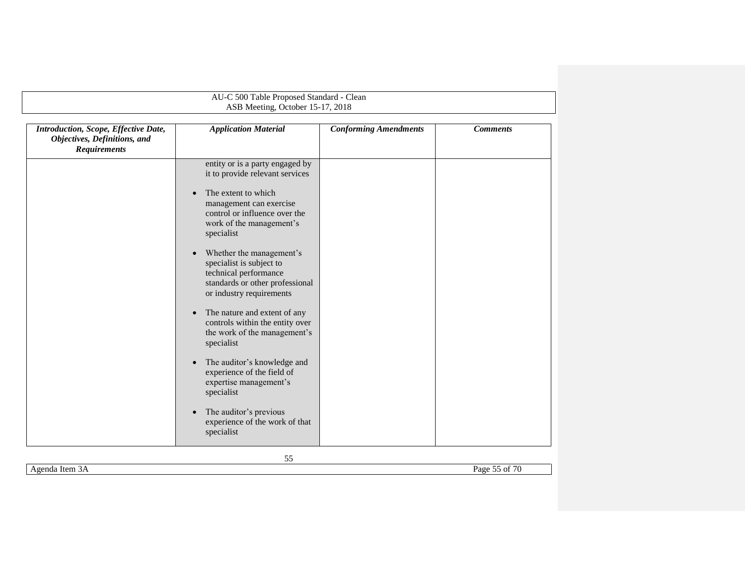| AU-C 500 Table Proposed Standard - Clean                                                    |                                                                                                                                                                                                                                                                                                                                                                                                                                                                                                                                                                                                                                                                                                                  |                              |                 |  |
|---------------------------------------------------------------------------------------------|------------------------------------------------------------------------------------------------------------------------------------------------------------------------------------------------------------------------------------------------------------------------------------------------------------------------------------------------------------------------------------------------------------------------------------------------------------------------------------------------------------------------------------------------------------------------------------------------------------------------------------------------------------------------------------------------------------------|------------------------------|-----------------|--|
|                                                                                             | ASB Meeting, October 15-17, 2018                                                                                                                                                                                                                                                                                                                                                                                                                                                                                                                                                                                                                                                                                 |                              |                 |  |
| Introduction, Scope, Effective Date,<br>Objectives, Definitions, and<br><b>Requirements</b> | <b>Application Material</b>                                                                                                                                                                                                                                                                                                                                                                                                                                                                                                                                                                                                                                                                                      | <b>Conforming Amendments</b> | <b>Comments</b> |  |
|                                                                                             | entity or is a party engaged by<br>it to provide relevant services<br>The extent to which<br>$\bullet$<br>management can exercise<br>control or influence over the<br>work of the management's<br>specialist<br>Whether the management's<br>$\bullet$<br>specialist is subject to<br>technical performance<br>standards or other professional<br>or industry requirements<br>The nature and extent of any<br>$\bullet$<br>controls within the entity over<br>the work of the management's<br>specialist<br>The auditor's knowledge and<br>$\bullet$<br>experience of the field of<br>expertise management's<br>specialist<br>The auditor's previous<br>$\bullet$<br>experience of the work of that<br>specialist |                              |                 |  |

Agenda Item 3A Page 55 of 70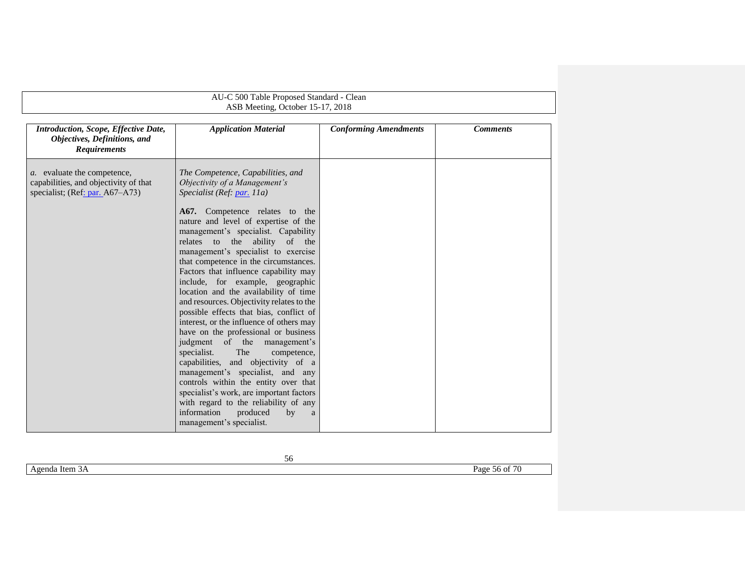<span id="page-55-1"></span><span id="page-55-0"></span>

| AU-C 500 Table Proposed Standard - Clean                                                                        |                                                                                                                                                                                                                                                                                                                                                                                                                                                                                                                                                                                                                                                                                                                                                                                                                                                                                                                                                                                       |                              |                 |
|-----------------------------------------------------------------------------------------------------------------|---------------------------------------------------------------------------------------------------------------------------------------------------------------------------------------------------------------------------------------------------------------------------------------------------------------------------------------------------------------------------------------------------------------------------------------------------------------------------------------------------------------------------------------------------------------------------------------------------------------------------------------------------------------------------------------------------------------------------------------------------------------------------------------------------------------------------------------------------------------------------------------------------------------------------------------------------------------------------------------|------------------------------|-----------------|
| ASB Meeting, October 15-17, 2018                                                                                |                                                                                                                                                                                                                                                                                                                                                                                                                                                                                                                                                                                                                                                                                                                                                                                                                                                                                                                                                                                       |                              |                 |
| Introduction, Scope, Effective Date,<br>Objectives, Definitions, and<br><b>Requirements</b>                     | <b>Application Material</b>                                                                                                                                                                                                                                                                                                                                                                                                                                                                                                                                                                                                                                                                                                                                                                                                                                                                                                                                                           | <b>Conforming Amendments</b> | <b>Comments</b> |
| <i>a</i> . evaluate the competence,<br>capabilities, and objectivity of that<br>specialist; (Ref: par. A67-A73) | The Competence, Capabilities, and<br>Objectivity of a Management's<br>Specialist (Ref. par. 11a)<br>A67. Competence relates to the<br>nature and level of expertise of the<br>management's specialist. Capability<br>relates to the<br>ability of the<br>management's specialist to exercise<br>that competence in the circumstances.<br>Factors that influence capability may<br>include, for example, geographic<br>location and the availability of time<br>and resources. Objectivity relates to the<br>possible effects that bias, conflict of<br>interest, or the influence of others may<br>have on the professional or business<br>judgment of the management's<br>specialist.<br>The<br>competence,<br>capabilities, and objectivity of a<br>management's specialist, and any<br>controls within the entity over that<br>specialist's work, are important factors<br>with regard to the reliability of any<br>information<br>produced<br>by<br>a<br>management's specialist. |                              |                 |

Agenda Item 3A Page 56 of 70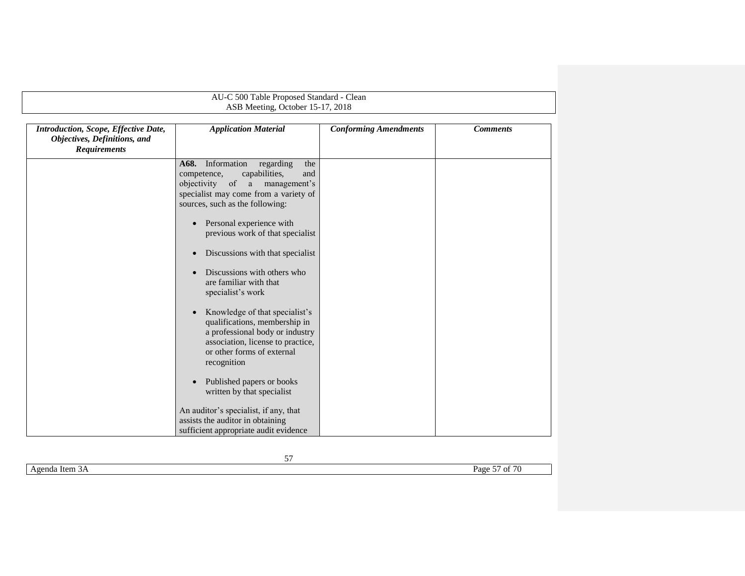|                                                                                             | AU-C 500 Table Proposed Standard - Clean                                                                                                                                                                                                                                                                                                                                                                                                                                                                                                                                                                                                                                                                                                                                                                         |                              |                 |
|---------------------------------------------------------------------------------------------|------------------------------------------------------------------------------------------------------------------------------------------------------------------------------------------------------------------------------------------------------------------------------------------------------------------------------------------------------------------------------------------------------------------------------------------------------------------------------------------------------------------------------------------------------------------------------------------------------------------------------------------------------------------------------------------------------------------------------------------------------------------------------------------------------------------|------------------------------|-----------------|
|                                                                                             | ASB Meeting, October 15-17, 2018                                                                                                                                                                                                                                                                                                                                                                                                                                                                                                                                                                                                                                                                                                                                                                                 |                              |                 |
| Introduction, Scope, Effective Date,<br>Objectives, Definitions, and<br><b>Requirements</b> | <b>Application Material</b>                                                                                                                                                                                                                                                                                                                                                                                                                                                                                                                                                                                                                                                                                                                                                                                      | <b>Conforming Amendments</b> | <b>Comments</b> |
|                                                                                             | Information<br>A68.<br>regarding<br>the<br>capabilities,<br>competence,<br>and<br>of a<br>objectivity<br>management's<br>specialist may come from a variety of<br>sources, such as the following:<br>Personal experience with<br>$\bullet$<br>previous work of that specialist<br>Discussions with that specialist<br>$\bullet$<br>Discussions with others who<br>are familiar with that<br>specialist's work<br>Knowledge of that specialist's<br>$\bullet$<br>qualifications, membership in<br>a professional body or industry<br>association, license to practice,<br>or other forms of external<br>recognition<br>Published papers or books<br>$\bullet$<br>written by that specialist<br>An auditor's specialist, if any, that<br>assists the auditor in obtaining<br>sufficient appropriate audit evidence |                              |                 |

| Item 3A<br>enda<br>Ave<br>. . | $\sim$ $\sim$ $\sim$<br>--<br>Page<br>$\sim$<br>v<br>$\sim$ $\prime$ |
|-------------------------------|----------------------------------------------------------------------|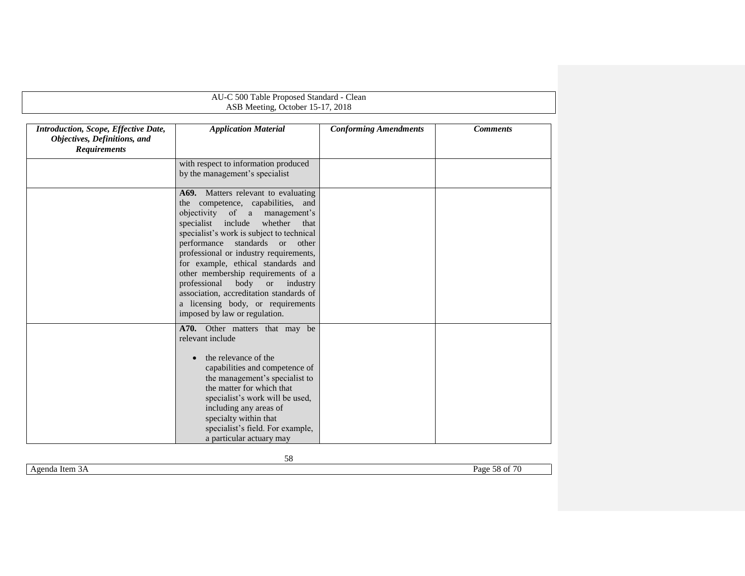| AU-C 500 Table Proposed Standard - Clean                                                    |                                                                                                                                                                                                                                                                                                                                                                                                                                                                                                                            |                              |                 |
|---------------------------------------------------------------------------------------------|----------------------------------------------------------------------------------------------------------------------------------------------------------------------------------------------------------------------------------------------------------------------------------------------------------------------------------------------------------------------------------------------------------------------------------------------------------------------------------------------------------------------------|------------------------------|-----------------|
|                                                                                             | ASB Meeting, October 15-17, 2018                                                                                                                                                                                                                                                                                                                                                                                                                                                                                           |                              |                 |
| Introduction, Scope, Effective Date,<br>Objectives, Definitions, and<br><b>Requirements</b> | <b>Application Material</b>                                                                                                                                                                                                                                                                                                                                                                                                                                                                                                | <b>Conforming Amendments</b> | <b>Comments</b> |
|                                                                                             | with respect to information produced<br>by the management's specialist                                                                                                                                                                                                                                                                                                                                                                                                                                                     |                              |                 |
|                                                                                             | A69. Matters relevant to evaluating<br>the competence, capabilities, and<br>objectivity of a management's<br>specialist include<br>whether<br>that<br>specialist's work is subject to technical<br>standards or other<br>performance<br>professional or industry requirements,<br>for example, ethical standards and<br>other membership requirements of a<br>professional<br>body<br>$\,$ or<br>industry<br>association, accreditation standards of<br>a licensing body, or requirements<br>imposed by law or regulation. |                              |                 |
|                                                                                             | A70. Other matters that may be<br>relevant include<br>the relevance of the<br>capabilities and competence of<br>the management's specialist to<br>the matter for which that<br>specialist's work will be used,<br>including any areas of<br>specialty within that<br>specialist's field. For example,<br>a particular actuary may                                                                                                                                                                                          |                              |                 |

Agenda Item 3A Page 58 of 70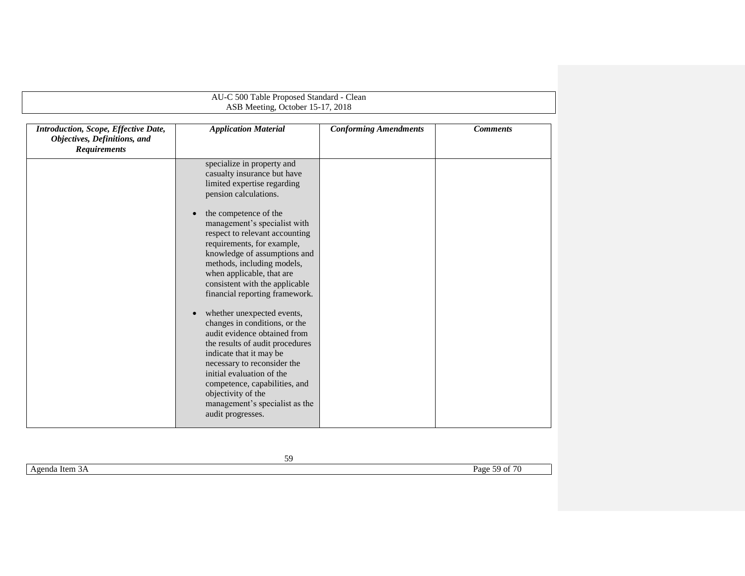|                                                                                             | AU-C 500 Table Proposed Standard - Clean                                                                                                                                                                                                                                                                                                                                                                                                                                                                                                                                                                                                                                                                                                                      |                              |                 |
|---------------------------------------------------------------------------------------------|---------------------------------------------------------------------------------------------------------------------------------------------------------------------------------------------------------------------------------------------------------------------------------------------------------------------------------------------------------------------------------------------------------------------------------------------------------------------------------------------------------------------------------------------------------------------------------------------------------------------------------------------------------------------------------------------------------------------------------------------------------------|------------------------------|-----------------|
|                                                                                             | ASB Meeting, October 15-17, 2018                                                                                                                                                                                                                                                                                                                                                                                                                                                                                                                                                                                                                                                                                                                              |                              |                 |
| Introduction, Scope, Effective Date,<br>Objectives, Definitions, and<br><b>Requirements</b> | <b>Application Material</b>                                                                                                                                                                                                                                                                                                                                                                                                                                                                                                                                                                                                                                                                                                                                   | <b>Conforming Amendments</b> | <b>Comments</b> |
|                                                                                             | specialize in property and<br>casualty insurance but have<br>limited expertise regarding<br>pension calculations.<br>the competence of the<br>management's specialist with<br>respect to relevant accounting<br>requirements, for example,<br>knowledge of assumptions and<br>methods, including models,<br>when applicable, that are<br>consistent with the applicable<br>financial reporting framework.<br>whether unexpected events,<br>$\bullet$<br>changes in conditions, or the<br>audit evidence obtained from<br>the results of audit procedures<br>indicate that it may be<br>necessary to reconsider the<br>initial evaluation of the<br>competence, capabilities, and<br>objectivity of the<br>management's specialist as the<br>audit progresses. |                              |                 |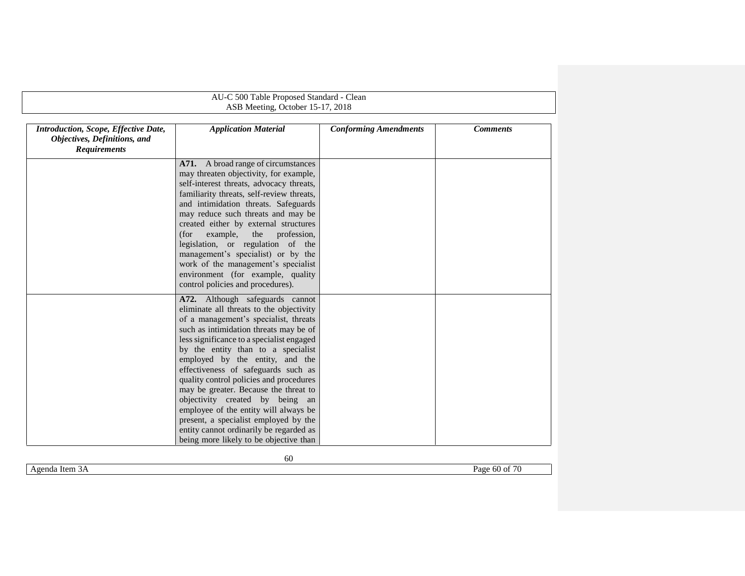|                                                                                             | AU-C 500 Table Proposed Standard - Clean                                                                                                                                                                                                                                                                                                                                                                                                                                                                                                                                                                                  |                              |                 |
|---------------------------------------------------------------------------------------------|---------------------------------------------------------------------------------------------------------------------------------------------------------------------------------------------------------------------------------------------------------------------------------------------------------------------------------------------------------------------------------------------------------------------------------------------------------------------------------------------------------------------------------------------------------------------------------------------------------------------------|------------------------------|-----------------|
|                                                                                             | ASB Meeting, October 15-17, 2018                                                                                                                                                                                                                                                                                                                                                                                                                                                                                                                                                                                          |                              |                 |
| Introduction, Scope, Effective Date,<br>Objectives, Definitions, and<br><b>Requirements</b> | <b>Application Material</b>                                                                                                                                                                                                                                                                                                                                                                                                                                                                                                                                                                                               | <b>Conforming Amendments</b> | <b>Comments</b> |
|                                                                                             | A71. A broad range of circumstances<br>may threaten objectivity, for example,<br>self-interest threats, advocacy threats,<br>familiarity threats, self-review threats,<br>and intimidation threats. Safeguards<br>may reduce such threats and may be<br>created either by external structures<br>(for<br>example,<br>the<br>profession,<br>legislation, or regulation of the<br>management's specialist) or by the<br>work of the management's specialist<br>environment (for example, quality<br>control policies and procedures).                                                                                       |                              |                 |
|                                                                                             | A72. Although safeguards cannot<br>eliminate all threats to the objectivity<br>of a management's specialist, threats<br>such as intimidation threats may be of<br>less significance to a specialist engaged<br>by the entity than to a specialist<br>employed by the entity, and the<br>effectiveness of safeguards such as<br>quality control policies and procedures<br>may be greater. Because the threat to<br>objectivity created by being an<br>employee of the entity will always be<br>present, a specialist employed by the<br>entity cannot ordinarily be regarded as<br>being more likely to be objective than |                              |                 |

Agenda Item 3A Page 60 of 70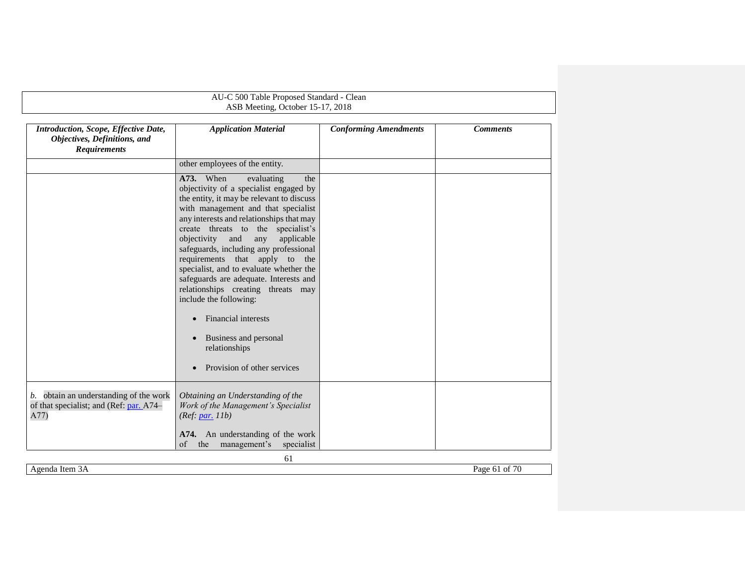<span id="page-60-1"></span><span id="page-60-0"></span>

| Introduction, Scope, Effective Date,<br>Objectives, Definitions, and<br><b>Requirements</b> | <b>Application Material</b>                                                                                                                                                                                                                                                                                                                                                                                                                                                                                                                                                                              | <b>Conforming Amendments</b> | <b>Comments</b> |
|---------------------------------------------------------------------------------------------|----------------------------------------------------------------------------------------------------------------------------------------------------------------------------------------------------------------------------------------------------------------------------------------------------------------------------------------------------------------------------------------------------------------------------------------------------------------------------------------------------------------------------------------------------------------------------------------------------------|------------------------------|-----------------|
|                                                                                             | other employees of the entity.                                                                                                                                                                                                                                                                                                                                                                                                                                                                                                                                                                           |                              |                 |
|                                                                                             | A73. When<br>evaluating<br>the<br>objectivity of a specialist engaged by<br>the entity, it may be relevant to discuss<br>with management and that specialist<br>any interests and relationships that may<br>create threats to the specialist's<br>objectivity<br>and<br>applicable<br>any<br>safeguards, including any professional<br>requirements that apply to the<br>specialist, and to evaluate whether the<br>safeguards are adequate. Interests and<br>relationships creating threats may<br>include the following:<br>Financial interests<br>Business and personal<br>$\bullet$<br>relationships |                              |                 |
|                                                                                             | Provision of other services                                                                                                                                                                                                                                                                                                                                                                                                                                                                                                                                                                              |                              |                 |
| b. obtain an understanding of the work<br>of that specialist; and (Ref: par. A74–<br>A77)   | Obtaining an Understanding of the<br>Work of the Management's Specialist<br>(Ref: par. 11b)                                                                                                                                                                                                                                                                                                                                                                                                                                                                                                              |                              |                 |
|                                                                                             | A74. An understanding of the work<br>the<br>specialist<br>of<br>management's                                                                                                                                                                                                                                                                                                                                                                                                                                                                                                                             |                              |                 |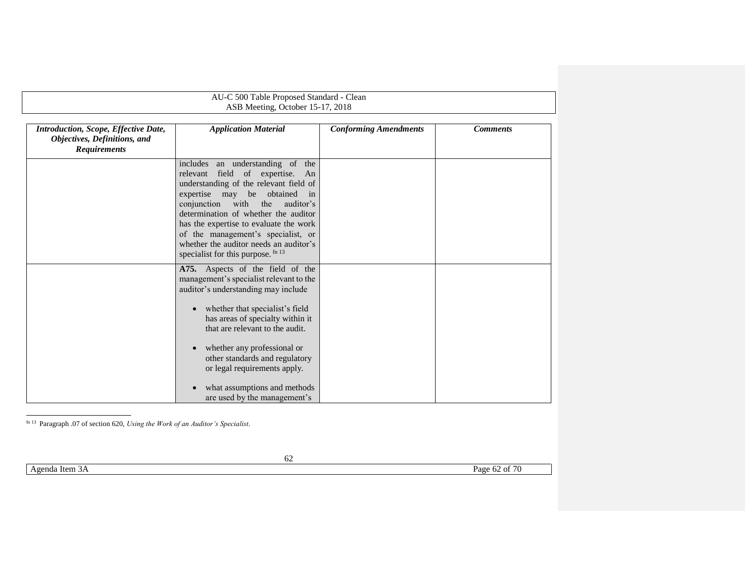|                                                                                             | AU-C 500 Table Proposed Standard - Clean<br>ASB Meeting, October 15-17, 2018                                                                                                                                                                                                                                                                                                                               |                              |                 |  |
|---------------------------------------------------------------------------------------------|------------------------------------------------------------------------------------------------------------------------------------------------------------------------------------------------------------------------------------------------------------------------------------------------------------------------------------------------------------------------------------------------------------|------------------------------|-----------------|--|
|                                                                                             |                                                                                                                                                                                                                                                                                                                                                                                                            |                              |                 |  |
| Introduction, Scope, Effective Date,<br>Objectives, Definitions, and<br><b>Requirements</b> | <b>Application Material</b>                                                                                                                                                                                                                                                                                                                                                                                | <b>Conforming Amendments</b> | <b>Comments</b> |  |
|                                                                                             | includes an understanding of the<br>relevant field of expertise. An<br>understanding of the relevant field of<br>expertise may be obtained in<br>conjunction with the<br>auditor's<br>determination of whether the auditor<br>has the expertise to evaluate the work<br>of the management's specialist, or<br>whether the auditor needs an auditor's<br>specialist for this purpose. fn 13                 |                              |                 |  |
|                                                                                             | A75. Aspects of the field of the<br>management's specialist relevant to the<br>auditor's understanding may include<br>whether that specialist's field<br>$\bullet$<br>has areas of specialty within it<br>that are relevant to the audit.<br>whether any professional or<br>other standards and regulatory<br>or legal requirements apply.<br>what assumptions and methods<br>are used by the management's |                              |                 |  |

l fn 13 Paragraph .07 of section 620, *Using the Work of an Auditor's Specialist*.

Agenda Item 3A Page 62 of 70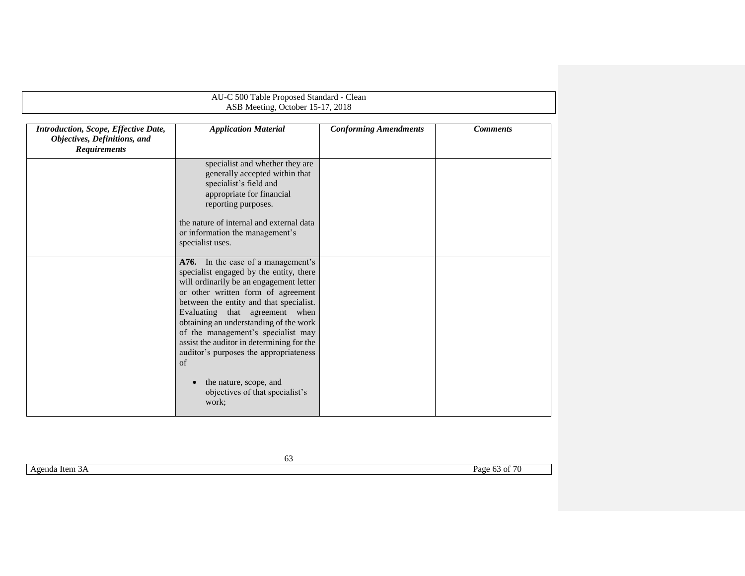| AU-C 500 Table Proposed Standard - Clean<br>ASB Meeting, October 15-17, 2018                |                                                                                                                                                                                                                                                                                                                                                                                                                                |                              |                 |
|---------------------------------------------------------------------------------------------|--------------------------------------------------------------------------------------------------------------------------------------------------------------------------------------------------------------------------------------------------------------------------------------------------------------------------------------------------------------------------------------------------------------------------------|------------------------------|-----------------|
| Introduction, Scope, Effective Date,<br>Objectives, Definitions, and<br><b>Requirements</b> | <b>Application Material</b>                                                                                                                                                                                                                                                                                                                                                                                                    | <b>Conforming Amendments</b> | <b>Comments</b> |
|                                                                                             | specialist and whether they are<br>generally accepted within that<br>specialist's field and<br>appropriate for financial<br>reporting purposes.                                                                                                                                                                                                                                                                                |                              |                 |
|                                                                                             | the nature of internal and external data<br>or information the management's<br>specialist uses.                                                                                                                                                                                                                                                                                                                                |                              |                 |
|                                                                                             | A76. In the case of a management's<br>specialist engaged by the entity, there<br>will ordinarily be an engagement letter<br>or other written form of agreement<br>between the entity and that specialist.<br>Evaluating that agreement when<br>obtaining an understanding of the work<br>of the management's specialist may<br>assist the auditor in determining for the<br>auditor's purposes the appropriateness<br>$\sigma$ |                              |                 |
|                                                                                             | the nature, scope, and<br>objectives of that specialist's<br>work;                                                                                                                                                                                                                                                                                                                                                             |                              |                 |

Agenda Item 3A Page 63 of 70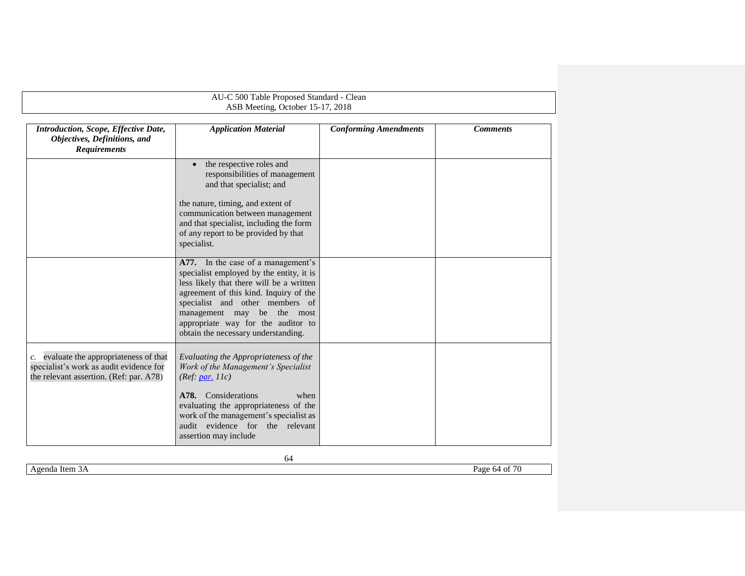<span id="page-63-1"></span>

| AU-C 500 Table Proposed Standard - Clean                                                                                      |                                                                                                                                                                                                                                                                                                                       |                              |                 |  |  |
|-------------------------------------------------------------------------------------------------------------------------------|-----------------------------------------------------------------------------------------------------------------------------------------------------------------------------------------------------------------------------------------------------------------------------------------------------------------------|------------------------------|-----------------|--|--|
|                                                                                                                               | ASB Meeting, October 15-17, 2018                                                                                                                                                                                                                                                                                      |                              |                 |  |  |
| Introduction, Scope, Effective Date,<br>Objectives, Definitions, and<br><b>Requirements</b>                                   | <b>Application Material</b>                                                                                                                                                                                                                                                                                           | <b>Conforming Amendments</b> | <b>Comments</b> |  |  |
|                                                                                                                               | the respective roles and<br>responsibilities of management<br>and that specialist; and<br>the nature, timing, and extent of<br>communication between management<br>and that specialist, including the form<br>of any report to be provided by that<br>specialist.                                                     |                              |                 |  |  |
|                                                                                                                               | A77. In the case of a management's<br>specialist employed by the entity, it is<br>less likely that there will be a written<br>agreement of this kind. Inquiry of the<br>specialist and other members of<br>be the most<br>management may<br>appropriate way for the auditor to<br>obtain the necessary understanding. |                              |                 |  |  |
| c. evaluate the appropriateness of that<br>specialist's work as audit evidence for<br>the relevant assertion. (Ref: par. A78) | Evaluating the Appropriateness of the<br>Work of the Management's Specialist<br>(Ref: par. 11c)<br>A78. Considerations<br>when<br>evaluating the appropriateness of the<br>work of the management's specialist as<br>audit evidence for the relevant<br>assertion may include                                         |                              |                 |  |  |

<span id="page-63-0"></span>Agenda Item 3A Page 64 of 70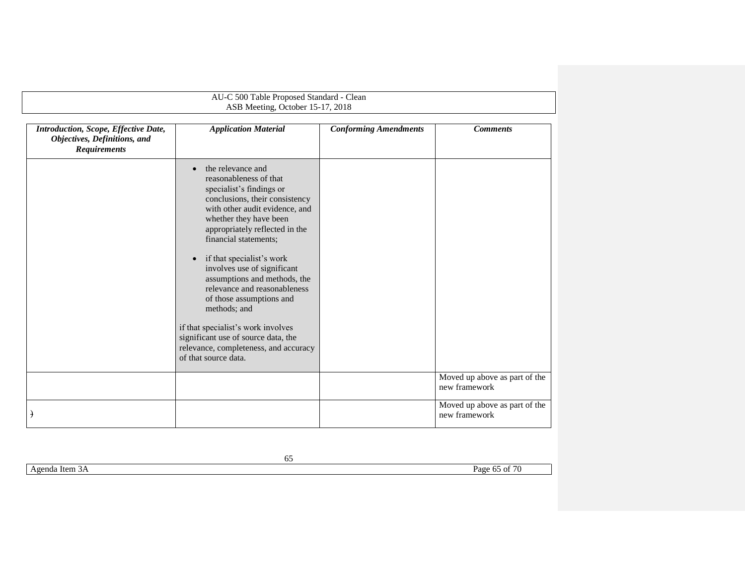| AU-C 500 Table Proposed Standard - Clean<br>ASB Meeting, October 15-17, 2018                |                                                                                                                                                                                                                                                                                                                                                                                                                                                                                                                                                                                  |                              |                                                |
|---------------------------------------------------------------------------------------------|----------------------------------------------------------------------------------------------------------------------------------------------------------------------------------------------------------------------------------------------------------------------------------------------------------------------------------------------------------------------------------------------------------------------------------------------------------------------------------------------------------------------------------------------------------------------------------|------------------------------|------------------------------------------------|
| Introduction, Scope, Effective Date,<br>Objectives, Definitions, and<br><b>Requirements</b> | <b>Application Material</b>                                                                                                                                                                                                                                                                                                                                                                                                                                                                                                                                                      | <b>Conforming Amendments</b> | <b>Comments</b>                                |
|                                                                                             | the relevance and<br>$\bullet$<br>reasonableness of that<br>specialist's findings or<br>conclusions, their consistency<br>with other audit evidence, and<br>whether they have been<br>appropriately reflected in the<br>financial statements;<br>if that specialist's work<br>$\bullet$<br>involves use of significant<br>assumptions and methods, the<br>relevance and reasonableness<br>of those assumptions and<br>methods; and<br>if that specialist's work involves<br>significant use of source data, the<br>relevance, completeness, and accuracy<br>of that source data. |                              |                                                |
|                                                                                             |                                                                                                                                                                                                                                                                                                                                                                                                                                                                                                                                                                                  |                              | Moved up above as part of the<br>new framework |
| $\rightarrow$                                                                               |                                                                                                                                                                                                                                                                                                                                                                                                                                                                                                                                                                                  |                              | Moved up above as part of the<br>new framework |

<span id="page-64-0"></span>Agenda Item 3A Page 65 of 70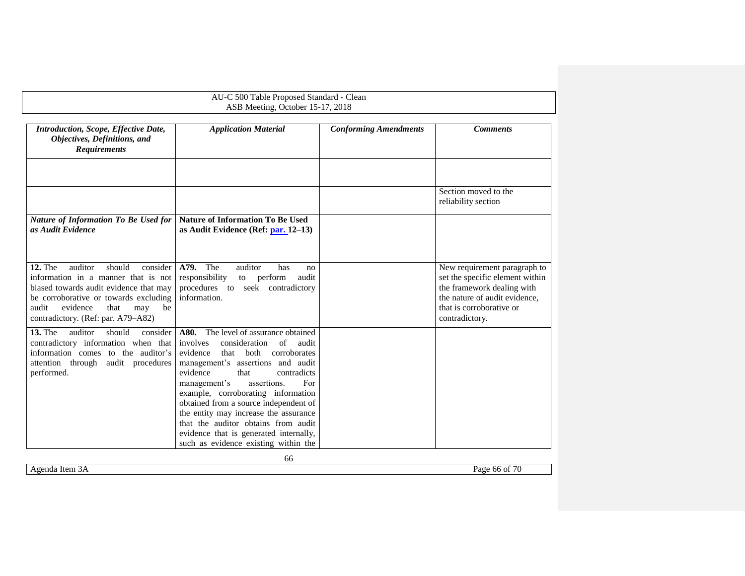<span id="page-65-0"></span>

| AU-C 500 Table Proposed Standard - Clean<br>ASB Meeting, October 15-17, 2018                                                                                                                                                                              |                                                                                                                                                                                                                                                                                                                                                                                                                                                                                             |                              |                                                                                                                                                                              |  |
|-----------------------------------------------------------------------------------------------------------------------------------------------------------------------------------------------------------------------------------------------------------|---------------------------------------------------------------------------------------------------------------------------------------------------------------------------------------------------------------------------------------------------------------------------------------------------------------------------------------------------------------------------------------------------------------------------------------------------------------------------------------------|------------------------------|------------------------------------------------------------------------------------------------------------------------------------------------------------------------------|--|
| <b>Introduction, Scope, Effective Date,</b><br>Objectives, Definitions, and<br><b>Requirements</b>                                                                                                                                                        | <b>Application Material</b>                                                                                                                                                                                                                                                                                                                                                                                                                                                                 | <b>Conforming Amendments</b> | <b>Comments</b>                                                                                                                                                              |  |
|                                                                                                                                                                                                                                                           |                                                                                                                                                                                                                                                                                                                                                                                                                                                                                             |                              | Section moved to the<br>reliability section                                                                                                                                  |  |
| <b>Nature of Information To Be Used for</b><br>as Audit Evidence                                                                                                                                                                                          | <b>Nature of Information To Be Used</b><br>as Audit Evidence (Ref: par. 12-13)                                                                                                                                                                                                                                                                                                                                                                                                              |                              |                                                                                                                                                                              |  |
| <b>12. The</b><br>auditor<br>should<br>consider<br>information in a manner that is not<br>biased towards audit evidence that may<br>be corroborative or towards excluding<br>evidence<br>audit<br>that<br>may<br>be<br>contradictory. (Ref: par. A79-A82) | <b>A79.</b> The<br>auditor<br>has<br>no<br>responsibility<br>perform<br>audit<br>to<br>procedures to seek contradictory<br>information.                                                                                                                                                                                                                                                                                                                                                     |                              | New requirement paragraph to<br>set the specific element within<br>the framework dealing with<br>the nature of audit evidence,<br>that is corroborative or<br>contradictory. |  |
| <b>13. The</b><br>auditor<br>should<br>consider<br>contradictory information when that<br>information comes to the auditor's<br>attention through audit procedures<br>performed.                                                                          | The level of assurance obtained<br>A80.<br>involves<br>consideration<br>of<br>audit<br>evidence<br>that both<br>corroborates<br>management's assertions and audit<br>evidence<br>contradicts<br>that<br>management's<br>assertions.<br>For<br>example, corroborating information<br>obtained from a source independent of<br>the entity may increase the assurance<br>that the auditor obtains from audit<br>evidence that is generated internally,<br>such as evidence existing within the |                              |                                                                                                                                                                              |  |
|                                                                                                                                                                                                                                                           | 66                                                                                                                                                                                                                                                                                                                                                                                                                                                                                          |                              |                                                                                                                                                                              |  |

<span id="page-65-1"></span>Agenda Item 3A Page 66 of 70

<span id="page-65-2"></span>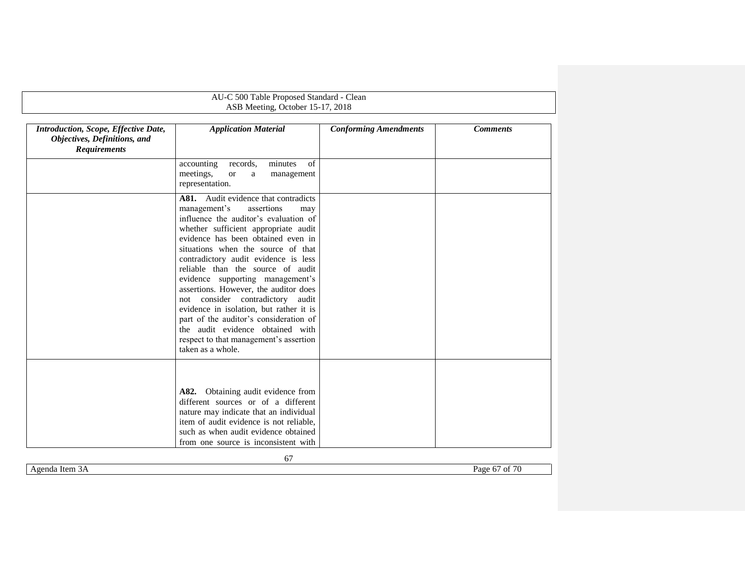|                                                                                             | AU-C 500 Table Proposed Standard - Clean                                                                                                                                                                                                                                                                                                                                                                                                                                                                                                                                                                                     |                              |                 |
|---------------------------------------------------------------------------------------------|------------------------------------------------------------------------------------------------------------------------------------------------------------------------------------------------------------------------------------------------------------------------------------------------------------------------------------------------------------------------------------------------------------------------------------------------------------------------------------------------------------------------------------------------------------------------------------------------------------------------------|------------------------------|-----------------|
|                                                                                             | ASB Meeting, October 15-17, 2018                                                                                                                                                                                                                                                                                                                                                                                                                                                                                                                                                                                             |                              |                 |
| Introduction, Scope, Effective Date,<br>Objectives, Definitions, and<br><b>Requirements</b> | <b>Application Material</b>                                                                                                                                                                                                                                                                                                                                                                                                                                                                                                                                                                                                  | <b>Conforming Amendments</b> | <b>Comments</b> |
|                                                                                             | minutes<br>of<br>accounting<br>records.<br>meetings,<br><b>or</b><br>a<br>management<br>representation.                                                                                                                                                                                                                                                                                                                                                                                                                                                                                                                      |                              |                 |
|                                                                                             | A81. Audit evidence that contradicts<br>management's<br>assertions<br>may<br>influence the auditor's evaluation of<br>whether sufficient appropriate audit<br>evidence has been obtained even in<br>situations when the source of that<br>contradictory audit evidence is less<br>reliable than the source of audit<br>evidence supporting management's<br>assertions. However, the auditor does<br>not consider contradictory audit<br>evidence in isolation, but rather it is<br>part of the auditor's consideration of<br>the audit evidence obtained with<br>respect to that management's assertion<br>taken as a whole. |                              |                 |
|                                                                                             | A82. Obtaining audit evidence from<br>different sources or of a different<br>nature may indicate that an individual<br>item of audit evidence is not reliable.<br>such as when audit evidence obtained<br>from one source is inconsistent with                                                                                                                                                                                                                                                                                                                                                                               |                              |                 |

<span id="page-66-0"></span>Agenda Item 3A Page 67 of 70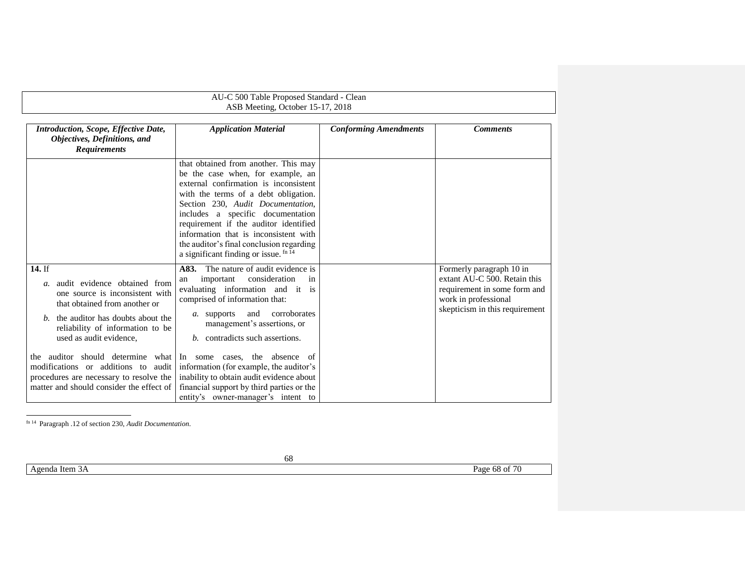| AU-C 500 Table Proposed Standard - Clean<br>ASB Meeting, October 15-17, 2018                                                                                                                                                                                                                                                                                         |                                                                                                                                                                                                                                                                                                                                                                                                                                                                                                          |                              |                                                                                                                                                    |  |
|----------------------------------------------------------------------------------------------------------------------------------------------------------------------------------------------------------------------------------------------------------------------------------------------------------------------------------------------------------------------|----------------------------------------------------------------------------------------------------------------------------------------------------------------------------------------------------------------------------------------------------------------------------------------------------------------------------------------------------------------------------------------------------------------------------------------------------------------------------------------------------------|------------------------------|----------------------------------------------------------------------------------------------------------------------------------------------------|--|
| <b>Introduction, Scope, Effective Date,</b><br>Objectives, Definitions, and<br><b>Requirements</b>                                                                                                                                                                                                                                                                   | <b>Application Material</b>                                                                                                                                                                                                                                                                                                                                                                                                                                                                              | <b>Conforming Amendments</b> | <b>Comments</b>                                                                                                                                    |  |
|                                                                                                                                                                                                                                                                                                                                                                      | that obtained from another. This may<br>be the case when, for example, an<br>external confirmation is inconsistent<br>with the terms of a debt obligation.<br>Section 230, Audit Documentation,<br>includes a specific documentation<br>requirement if the auditor identified<br>information that is inconsistent with<br>the auditor's final conclusion regarding<br>a significant finding or issue. fn 14                                                                                              |                              |                                                                                                                                                    |  |
| 14. If<br>audit evidence obtained from<br>$a$ .<br>one source is inconsistent with<br>that obtained from another or<br>the auditor has doubts about the<br>b.<br>reliability of information to be<br>used as audit evidence.<br>the<br>modifications or additions to<br>audit<br>procedures are necessary to resolve the<br>matter and should consider the effect of | The nature of audit evidence is<br>A83.<br>consideration<br>important<br>in<br>an<br>evaluating information and it is<br>comprised of information that:<br>corroborates<br>and<br>a. supports<br>management's assertions, or<br>b. contradicts such assertions.<br>auditor should determine what In some cases, the absence of<br>information (for example, the auditor's<br>inability to obtain audit evidence about<br>financial support by third parties or the<br>entity's owner-manager's intent to |                              | Formerly paragraph 10 in<br>extant AU-C 500. Retain this<br>requirement in some form and<br>work in professional<br>skepticism in this requirement |  |

fn 14 Paragraph .12 of section 230, *Audit Documentation*.

Agenda Item 3A Page 68 of 70

<span id="page-67-1"></span><span id="page-67-0"></span>l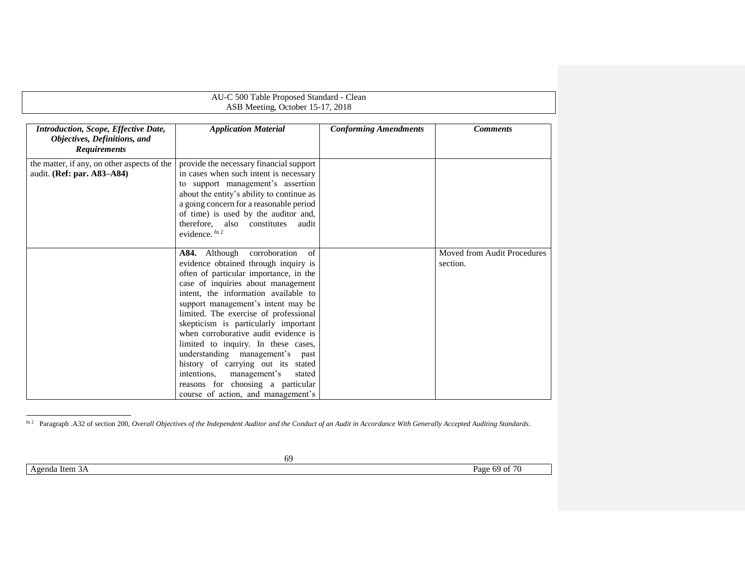<span id="page-68-0"></span>

| AU-C 500 Table Proposed Standard - Clean<br>ASB Meeting, October 15-17, 2018                |                                                                                                                                                                                                                                                                                                                                                                                                                                                                                                                                                                                                                |                              |                                         |  |
|---------------------------------------------------------------------------------------------|----------------------------------------------------------------------------------------------------------------------------------------------------------------------------------------------------------------------------------------------------------------------------------------------------------------------------------------------------------------------------------------------------------------------------------------------------------------------------------------------------------------------------------------------------------------------------------------------------------------|------------------------------|-----------------------------------------|--|
| Introduction, Scope, Effective Date,<br>Objectives, Definitions, and<br><b>Requirements</b> | <b>Application Material</b>                                                                                                                                                                                                                                                                                                                                                                                                                                                                                                                                                                                    | <b>Conforming Amendments</b> | <b>Comments</b>                         |  |
| the matter, if any, on other aspects of the<br>audit. (Ref: par. A83-A84)                   | provide the necessary financial support<br>in cases when such intent is necessary<br>to support management's assertion<br>about the entity's ability to continue as<br>a going concern for a reasonable period<br>of time) is used by the auditor and,<br>therefore, also constitutes<br>audit<br>evidence. $\ln 2$                                                                                                                                                                                                                                                                                            |                              |                                         |  |
|                                                                                             | corroboration<br>of<br><b>A84.</b> Although<br>evidence obtained through inquiry is<br>often of particular importance, in the<br>case of inquiries about management<br>intent, the information available to<br>support management's intent may be<br>limited. The exercise of professional<br>skepticism is particularly important<br>when corroborative audit evidence is<br>limited to inquiry. In these cases,<br>understanding management's past<br>history of carrying out its stated<br>management's<br>intentions.<br>stated<br>reasons for choosing a particular<br>course of action, and management's |                              | Moved from Audit Procedures<br>section. |  |

fin 2 Paragraph .A32 of section 200, *Overall Objectives of the Independent Auditor and the Conduct of an Audit in Accordance With Generally Accepted Auditing Standards.* 

Agenda Item 3A Page 69 of 70

l